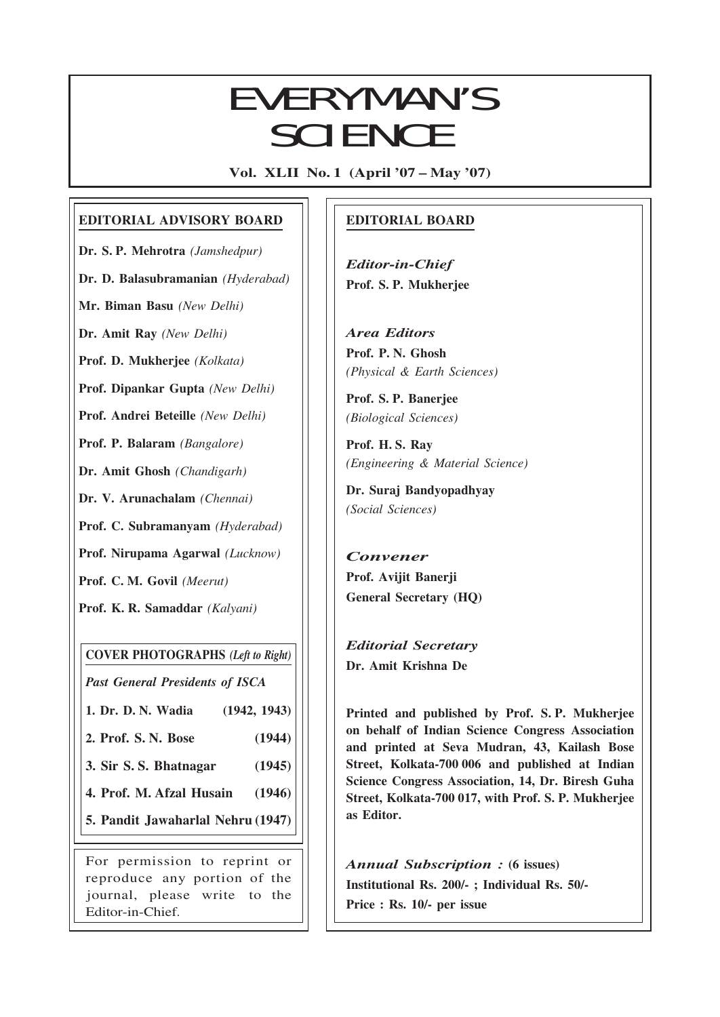# EVERYMAN'S **SCIENCE**

Vol. XLII No. 1 (April '07 – May '07)

### EDITORIAL ADVISORY BOARD

Dr. S. P. Mehrotra (Jamshedpur)

Dr. D. Balasubramanian (Hyderabad)

Mr. Biman Basu (New Delhi)

Dr. Amit Ray (New Delhi)

Prof. D. Mukherjee (Kolkata)

Prof. Dipankar Gupta (New Delhi)

Prof. Andrei Beteille (New Delhi)

Prof. P. Balaram (Bangalore)

Dr. Amit Ghosh (Chandigarh)

Dr. V. Arunachalam (Chennai)

Prof. C. Subramanyam (Hyderabad)

Prof. Nirupama Agarwal (Lucknow)

Prof. C. M. Govil (Meerut)

Prof. K. R. Samaddar (Kalyani)

COVER PHOTOGRAPHS (Left to Right)

Past General Presidents of ISCA

1. Dr. D. N. Wadia (1942, 1943)

2. Prof. S. N. Bose (1944)

3. Sir S. S. Bhatnagar (1945)

4. Prof. M. Afzal Husain (1946)

5. Pandit Jawaharlal Nehru (1947)

For permission to reprint or reproduce any portion of the journal, please write to the Editor-in-Chief.

## EDITORIAL BOARD

Editor-in-Chief Prof. S. P. Mukherjee

Area Editors Prof. P. N. Ghosh (Physical & Earth Sciences)

Prof. S. P. Banerjee (Biological Sciences)

Prof. H. S. Ray (Engineering & Material Science)

Dr. Suraj Bandyopadhyay (Social Sciences)

Convener Prof. Avijit Banerji General Secretary (HQ)

Editorial Secretary Dr. Amit Krishna De

 $\overline{1}$ 

Printed and published by Prof. S. P. Mukherjee on behalf of Indian Science Congress Association and printed at Seva Mudran, 43, Kailash Bose Street, Kolkata-700 006 and published at Indian Science Congress Association, 14, Dr. Biresh Guha Street, Kolkata-700 017, with Prof. S. P. Mukherjee as Editor.

Annual Subscription : (6 issues) Institutional Rs. 200/- ; Individual Rs. 50/- Price : Rs. 10/- per issue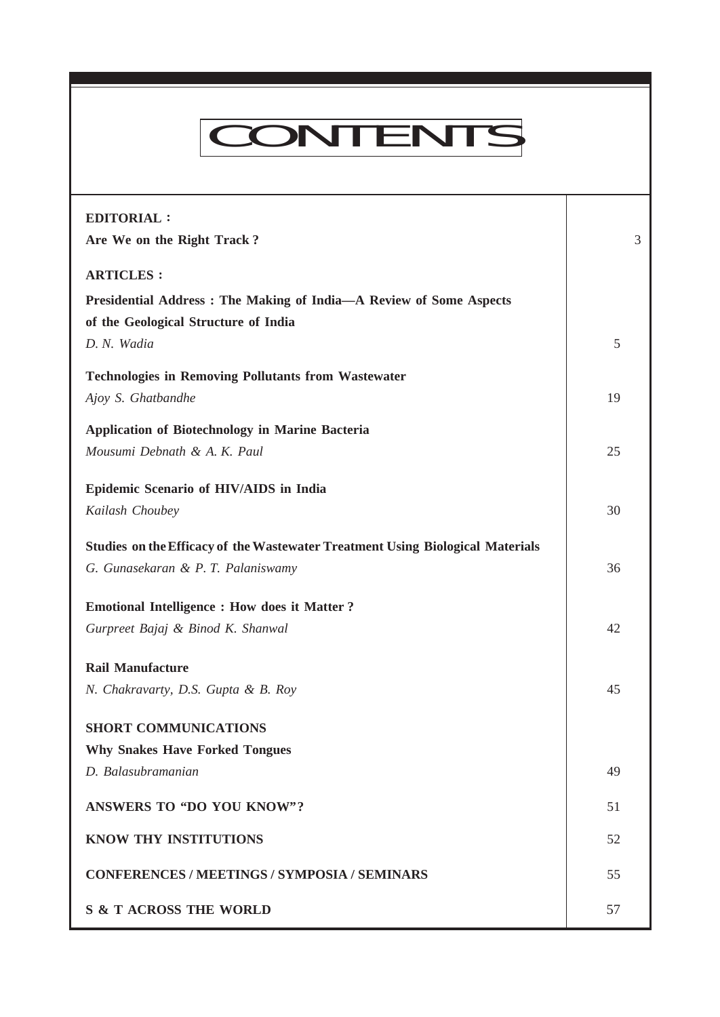# CONTENTS

Everyman's Science VOL. XLII NO. 1, April '07 —May '07

| <b>EDITORIAL:</b><br>Are We on the Right Track?                                | 3  |
|--------------------------------------------------------------------------------|----|
| <b>ARTICLES:</b>                                                               |    |
| Presidential Address: The Making of India-A Review of Some Aspects             |    |
| of the Geological Structure of India                                           |    |
| D. N. Wadia                                                                    | 5  |
| <b>Technologies in Removing Pollutants from Wastewater</b>                     |    |
| Ajoy S. Ghatbandhe                                                             | 19 |
| <b>Application of Biotechnology in Marine Bacteria</b>                         |    |
| Mousumi Debnath & A. K. Paul                                                   | 25 |
| Epidemic Scenario of HIV/AIDS in India                                         |    |
| Kailash Choubey                                                                | 30 |
|                                                                                |    |
| Studies on the Efficacy of the Wastewater Treatment Using Biological Materials |    |
| G. Gunasekaran & P. T. Palaniswamy                                             | 36 |
| <b>Emotional Intelligence : How does it Matter ?</b>                           |    |
| Gurpreet Bajaj & Binod K. Shanwal                                              | 42 |
| <b>Rail Manufacture</b>                                                        |    |
| N. Chakravarty, D.S. Gupta & B. Roy                                            | 45 |
| <b>SHORT COMMUNICATIONS</b>                                                    |    |
| <b>Why Snakes Have Forked Tongues</b>                                          |    |
| D. Balasubramanian                                                             | 49 |
|                                                                                |    |
| <b>ANSWERS TO "DO YOU KNOW"?</b>                                               | 51 |
| KNOW THY INSTITUTIONS                                                          | 52 |
| <b>CONFERENCES / MEETINGS / SYMPOSIA / SEMINARS</b>                            | 55 |
| <b>S &amp; T ACROSS THE WORLD</b>                                              | 57 |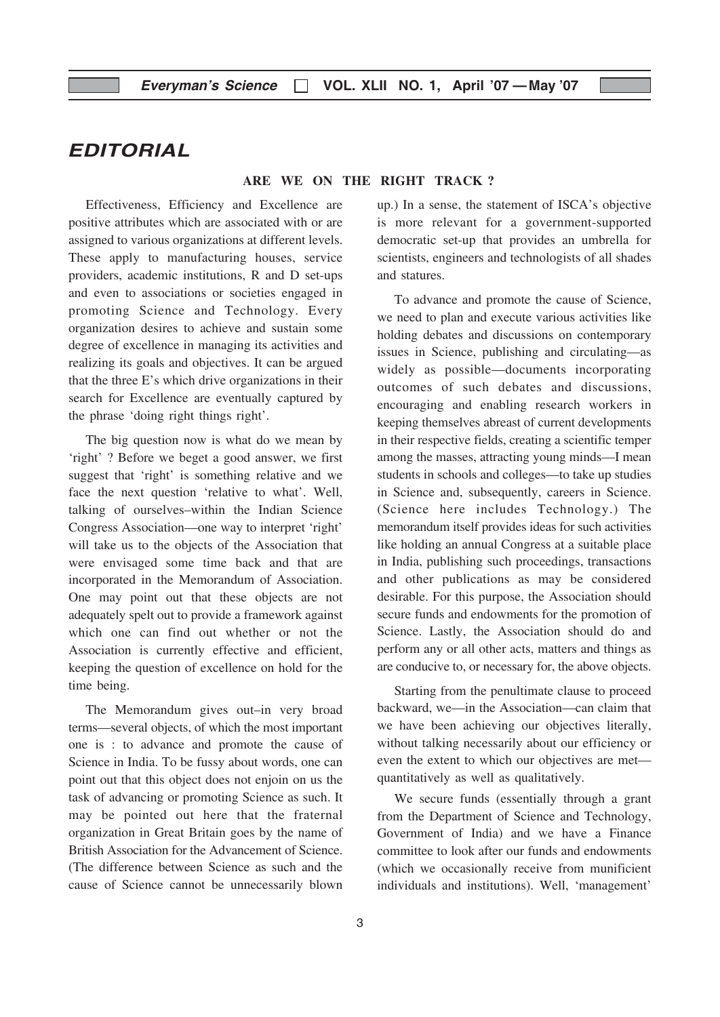# EDITORIAL

#### ARE WE ON THE RIGHT TRACK ?

Effectiveness, Efficiency and Excellence are positive attributes which are associated with or are assigned to various organizations at different levels. These apply to manufacturing houses, service providers, academic institutions, R and D set-ups and even to associations or societies engaged in promoting Science and Technology. Every organization desires to achieve and sustain some degree of excellence in managing its activities and realizing its goals and objectives. It can be argued that the three E's which drive organizations in their search for Excellence are eventually captured by the phrase 'doing right things right'.

The big question now is what do we mean by 'right' ? Before we beget a good answer, we first suggest that 'right' is something relative and we face the next question 'relative to what'. Well, talking of ourselves–within the Indian Science Congress Association—one way to interpret 'right' will take us to the objects of the Association that were envisaged some time back and that are incorporated in the Memorandum of Association. One may point out that these objects are not adequately spelt out to provide a framework against which one can find out whether or not the Association is currently effective and efficient, keeping the question of excellence on hold for the time being.

The Memorandum gives out–in very broad terms—several objects, of which the most important one is : to advance and promote the cause of Science in India. To be fussy about words, one can point out that this object does not enjoin on us the task of advancing or promoting Science as such. It may be pointed out here that the fraternal organization in Great Britain goes by the name of British Association for the Advancement of Science. (The difference between Science as such and the cause of Science cannot be unnecessarily blown

up.) In a sense, the statement of ISCA's objective is more relevant for a government-supported democratic set-up that provides an umbrella for scientists, engineers and technologists of all shades and statures.

To advance and promote the cause of Science, we need to plan and execute various activities like holding debates and discussions on contemporary issues in Science, publishing and circulating—as widely as possible—documents incorporating outcomes of such debates and discussions, encouraging and enabling research workers in keeping themselves abreast of current developments in their respective fields, creating a scientific temper among the masses, attracting young minds—I mean students in schools and colleges—to take up studies in Science and, subsequently, careers in Science. (Science here includes Technology.) The memorandum itself provides ideas for such activities like holding an annual Congress at a suitable place in India, publishing such proceedings, transactions and other publications as may be considered desirable. For this purpose, the Association should secure funds and endowments for the promotion of Science. Lastly, the Association should do and perform any or all other acts, matters and things as are conducive to, or necessary for, the above objects.

Starting from the penultimate clause to proceed backward, we—in the Association—can claim that we have been achieving our objectives literally, without talking necessarily about our efficiency or even the extent to which our objectives are met quantitatively as well as qualitatively.

We secure funds (essentially through a grant from the Department of Science and Technology, Government of India) and we have a Finance committee to look after our funds and endowments (which we occasionally receive from munificient individuals and institutions). Well, 'management'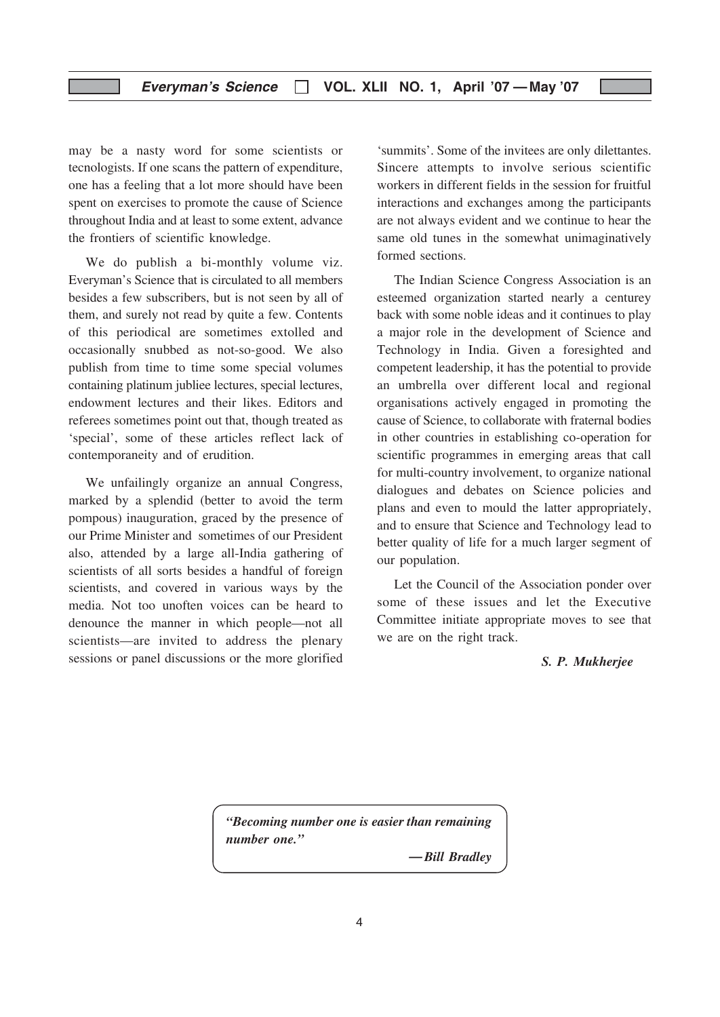may be a nasty word for some scientists or tecnologists. If one scans the pattern of expenditure, one has a feeling that a lot more should have been spent on exercises to promote the cause of Science throughout India and at least to some extent, advance the frontiers of scientific knowledge.

We do publish a bi-monthly volume viz. Everyman's Science that is circulated to all members besides a few subscribers, but is not seen by all of them, and surely not read by quite a few. Contents of this periodical are sometimes extolled and occasionally snubbed as not-so-good. We also publish from time to time some special volumes containing platinum jubliee lectures, special lectures, endowment lectures and their likes. Editors and referees sometimes point out that, though treated as 'special', some of these articles reflect lack of contemporaneity and of erudition.

We unfailingly organize an annual Congress, marked by a splendid (better to avoid the term pompous) inauguration, graced by the presence of our Prime Minister and sometimes of our President also, attended by a large all-India gathering of scientists of all sorts besides a handful of foreign scientists, and covered in various ways by the media. Not too unoften voices can be heard to denounce the manner in which people—not all scientists—are invited to address the plenary sessions or panel discussions or the more glorified

'summits'. Some of the invitees are only dilettantes. Sincere attempts to involve serious scientific workers in different fields in the session for fruitful interactions and exchanges among the participants are not always evident and we continue to hear the same old tunes in the somewhat unimaginatively formed sections.

The Indian Science Congress Association is an esteemed organization started nearly a centurey back with some noble ideas and it continues to play a major role in the development of Science and Technology in India. Given a foresighted and competent leadership, it has the potential to provide an umbrella over different local and regional organisations actively engaged in promoting the cause of Science, to collaborate with fraternal bodies in other countries in establishing co-operation for scientific programmes in emerging areas that call for multi-country involvement, to organize national dialogues and debates on Science policies and plans and even to mould the latter appropriately, and to ensure that Science and Technology lead to better quality of life for a much larger segment of our population.

Let the Council of the Association ponder over some of these issues and let the Executive Committee initiate appropriate moves to see that we are on the right track.

#### S. P. Mukherjee

"Becoming number one is easier than remaining number one."

—Bill Bradley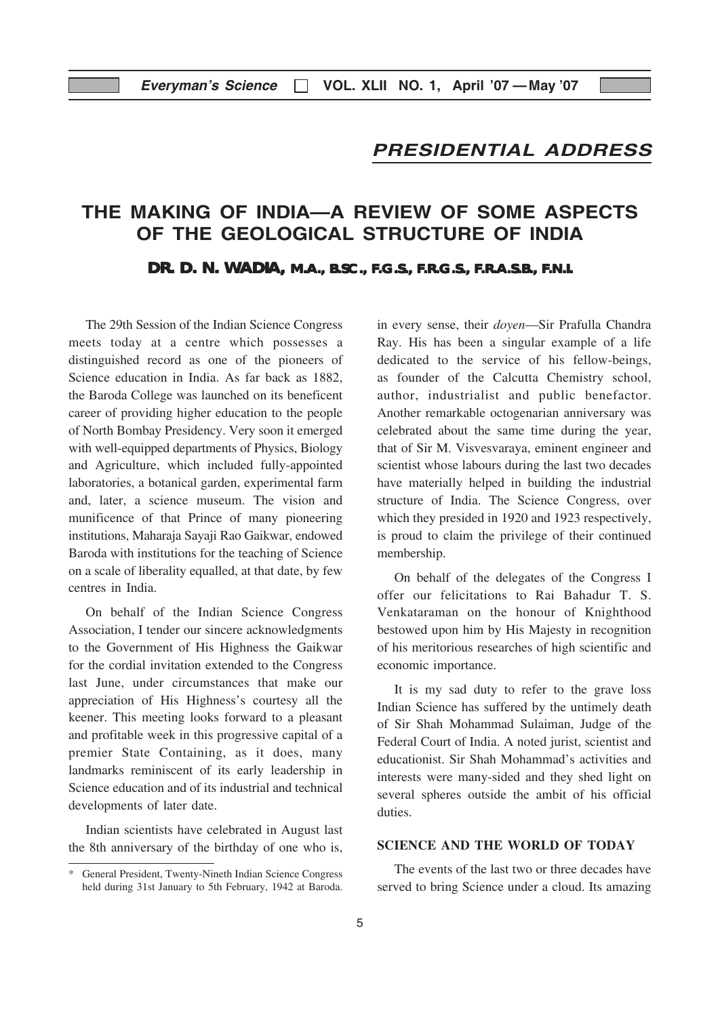### PRESIDENTIAL ADDRESS

# THE MAKING OF INDIA—A REVIEW OF SOME ASPECTS OF THE GEOLOGICAL STRUCTURE OF INDIA

**DR. D. N. WADIA, M.A., B.SC., F.G.S., F.R.G.S., F.R.A.S.B., F.N.I.** 

The 29th Session of the Indian Science Congress meets today at a centre which possesses a distinguished record as one of the pioneers of Science education in India. As far back as 1882, the Baroda College was launched on its beneficent career of providing higher education to the people of North Bombay Presidency. Very soon it emerged with well-equipped departments of Physics, Biology and Agriculture, which included fully-appointed laboratories, a botanical garden, experimental farm and, later, a science museum. The vision and munificence of that Prince of many pioneering institutions, Maharaja Sayaji Rao Gaikwar, endowed Baroda with institutions for the teaching of Science on a scale of liberality equalled, at that date, by few centres in India.

On behalf of the Indian Science Congress Association, I tender our sincere acknowledgments to the Government of His Highness the Gaikwar for the cordial invitation extended to the Congress last June, under circumstances that make our appreciation of His Highness's courtesy all the keener. This meeting looks forward to a pleasant and profitable week in this progressive capital of a premier State Containing, as it does, many landmarks reminiscent of its early leadership in Science education and of its industrial and technical developments of later date.

Indian scientists have celebrated in August last the 8th anniversary of the birthday of one who is, in every sense, their doyen—Sir Prafulla Chandra Ray. His has been a singular example of a life dedicated to the service of his fellow-beings, as founder of the Calcutta Chemistry school, author, industrialist and public benefactor. Another remarkable octogenarian anniversary was celebrated about the same time during the year, that of Sir M. Visvesvaraya, eminent engineer and scientist whose labours during the last two decades have materially helped in building the industrial structure of India. The Science Congress, over which they presided in 1920 and 1923 respectively, is proud to claim the privilege of their continued membership.

On behalf of the delegates of the Congress I offer our felicitations to Rai Bahadur T. S. Venkataraman on the honour of Knighthood bestowed upon him by His Majesty in recognition of his meritorious researches of high scientific and economic importance.

It is my sad duty to refer to the grave loss Indian Science has suffered by the untimely death of Sir Shah Mohammad Sulaiman, Judge of the Federal Court of India. A noted jurist, scientist and educationist. Sir Shah Mohammad's activities and interests were many-sided and they shed light on several spheres outside the ambit of his official duties.

#### SCIENCE AND THE WORLD OF TODAY

The events of the last two or three decades have served to bring Science under a cloud. Its amazing

General President, Twenty-Nineth Indian Science Congress held during 31st January to 5th February, 1942 at Baroda.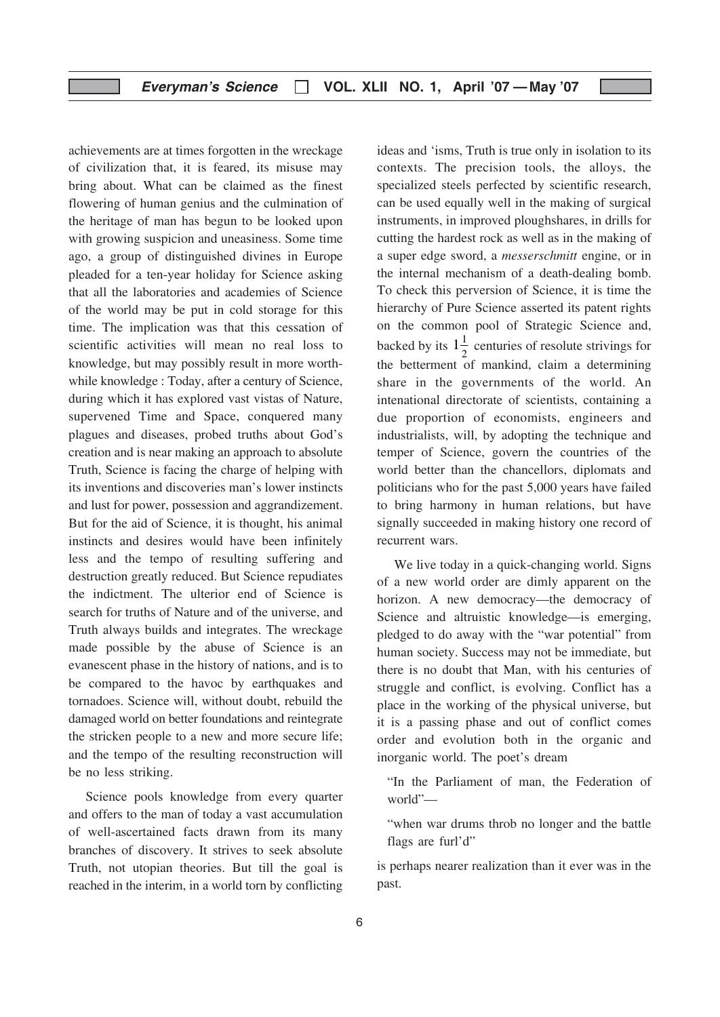achievements are at times forgotten in the wreckage of civilization that, it is feared, its misuse may bring about. What can be claimed as the finest flowering of human genius and the culmination of the heritage of man has begun to be looked upon with growing suspicion and uneasiness. Some time ago, a group of distinguished divines in Europe pleaded for a ten-year holiday for Science asking that all the laboratories and academies of Science of the world may be put in cold storage for this time. The implication was that this cessation of scientific activities will mean no real loss to knowledge, but may possibly result in more worthwhile knowledge : Today, after a century of Science, during which it has explored vast vistas of Nature, supervened Time and Space, conquered many plagues and diseases, probed truths about God's creation and is near making an approach to absolute Truth, Science is facing the charge of helping with its inventions and discoveries man's lower instincts and lust for power, possession and aggrandizement. But for the aid of Science, it is thought, his animal instincts and desires would have been infinitely less and the tempo of resulting suffering and destruction greatly reduced. But Science repudiates the indictment. The ulterior end of Science is search for truths of Nature and of the universe, and Truth always builds and integrates. The wreckage made possible by the abuse of Science is an evanescent phase in the history of nations, and is to be compared to the havoc by earthquakes and tornadoes. Science will, without doubt, rebuild the damaged world on better foundations and reintegrate the stricken people to a new and more secure life; and the tempo of the resulting reconstruction will be no less striking.

Science pools knowledge from every quarter and offers to the man of today a vast accumulation of well-ascertained facts drawn from its many branches of discovery. It strives to seek absolute Truth, not utopian theories. But till the goal is reached in the interim, in a world torn by conflicting

ideas and 'isms, Truth is true only in isolation to its contexts. The precision tools, the alloys, the specialized steels perfected by scientific research, can be used equally well in the making of surgical instruments, in improved ploughshares, in drills for cutting the hardest rock as well as in the making of a super edge sword, a messerschmitt engine, or in the internal mechanism of a death-dealing bomb. To check this perversion of Science, it is time the hierarchy of Pure Science asserted its patent rights on the common pool of Strategic Science and, backed by its  $1\frac{1}{2}$  centuries of resolute strivings for the betterment of mankind, claim a determining share in the governments of the world. An intenational directorate of scientists, containing a due proportion of economists, engineers and industrialists, will, by adopting the technique and temper of Science, govern the countries of the world better than the chancellors, diplomats and politicians who for the past 5,000 years have failed to bring harmony in human relations, but have signally succeeded in making history one record of recurrent wars.

We live today in a quick-changing world. Signs of a new world order are dimly apparent on the horizon. A new democracy—the democracy of Science and altruistic knowledge—is emerging, pledged to do away with the "war potential" from human society. Success may not be immediate, but there is no doubt that Man, with his centuries of struggle and conflict, is evolving. Conflict has a place in the working of the physical universe, but it is a passing phase and out of conflict comes order and evolution both in the organic and inorganic world. The poet's dream

- "In the Parliament of man, the Federation of world"—
- "when war drums throb no longer and the battle flags are furl'd"

is perhaps nearer realization than it ever was in the past.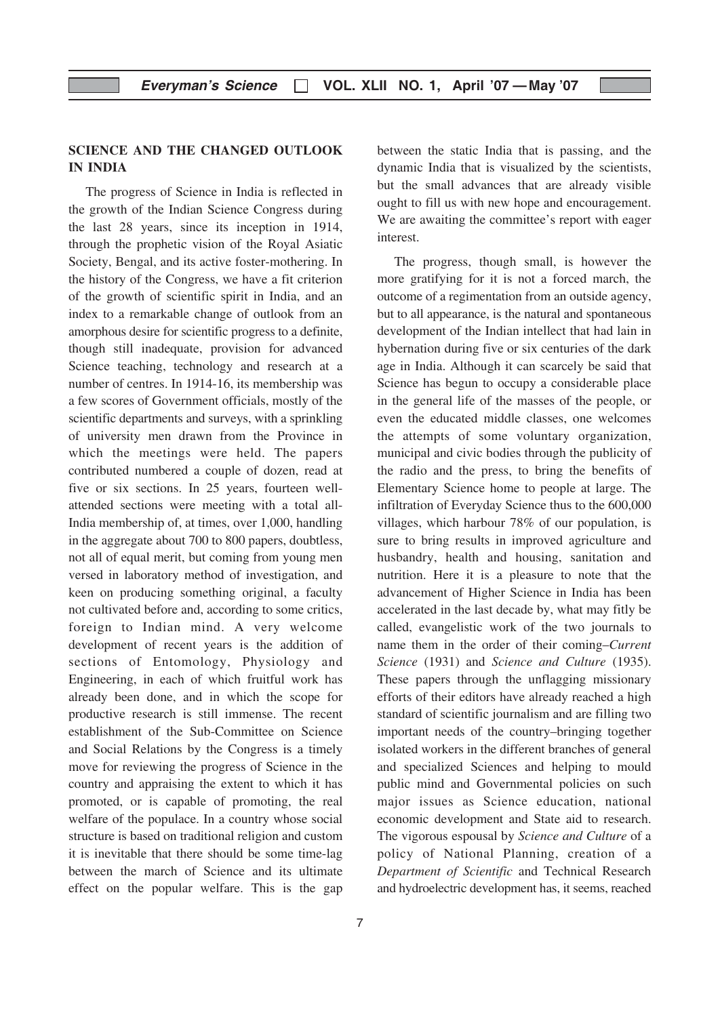#### SCIENCE AND THE CHANGED OUTLOOK IN INDIA

The progress of Science in India is reflected in the growth of the Indian Science Congress during the last 28 years, since its inception in 1914, through the prophetic vision of the Royal Asiatic Society, Bengal, and its active foster-mothering. In the history of the Congress, we have a fit criterion of the growth of scientific spirit in India, and an index to a remarkable change of outlook from an amorphous desire for scientific progress to a definite, though still inadequate, provision for advanced Science teaching, technology and research at a number of centres. In 1914-16, its membership was a few scores of Government officials, mostly of the scientific departments and surveys, with a sprinkling of university men drawn from the Province in which the meetings were held. The papers contributed numbered a couple of dozen, read at five or six sections. In 25 years, fourteen wellattended sections were meeting with a total all-India membership of, at times, over 1,000, handling in the aggregate about 700 to 800 papers, doubtless, not all of equal merit, but coming from young men versed in laboratory method of investigation, and keen on producing something original, a faculty not cultivated before and, according to some critics, foreign to Indian mind. A very welcome development of recent years is the addition of sections of Entomology, Physiology and Engineering, in each of which fruitful work has already been done, and in which the scope for productive research is still immense. The recent establishment of the Sub-Committee on Science and Social Relations by the Congress is a timely move for reviewing the progress of Science in the country and appraising the extent to which it has promoted, or is capable of promoting, the real welfare of the populace. In a country whose social structure is based on traditional religion and custom it is inevitable that there should be some time-lag between the march of Science and its ultimate effect on the popular welfare. This is the gap

between the static India that is passing, and the dynamic India that is visualized by the scientists, but the small advances that are already visible ought to fill us with new hope and encouragement. We are awaiting the committee's report with eager interest.

The progress, though small, is however the more gratifying for it is not a forced march, the outcome of a regimentation from an outside agency, but to all appearance, is the natural and spontaneous development of the Indian intellect that had lain in hybernation during five or six centuries of the dark age in India. Although it can scarcely be said that Science has begun to occupy a considerable place in the general life of the masses of the people, or even the educated middle classes, one welcomes the attempts of some voluntary organization, municipal and civic bodies through the publicity of the radio and the press, to bring the benefits of Elementary Science home to people at large. The infiltration of Everyday Science thus to the 600,000 villages, which harbour 78% of our population, is sure to bring results in improved agriculture and husbandry, health and housing, sanitation and nutrition. Here it is a pleasure to note that the advancement of Higher Science in India has been accelerated in the last decade by, what may fitly be called, evangelistic work of the two journals to name them in the order of their coming–Current Science (1931) and Science and Culture (1935). These papers through the unflagging missionary efforts of their editors have already reached a high standard of scientific journalism and are filling two important needs of the country–bringing together isolated workers in the different branches of general and specialized Sciences and helping to mould public mind and Governmental policies on such major issues as Science education, national economic development and State aid to research. The vigorous espousal by Science and Culture of a policy of National Planning, creation of a Department of Scientific and Technical Research and hydroelectric development has, it seems, reached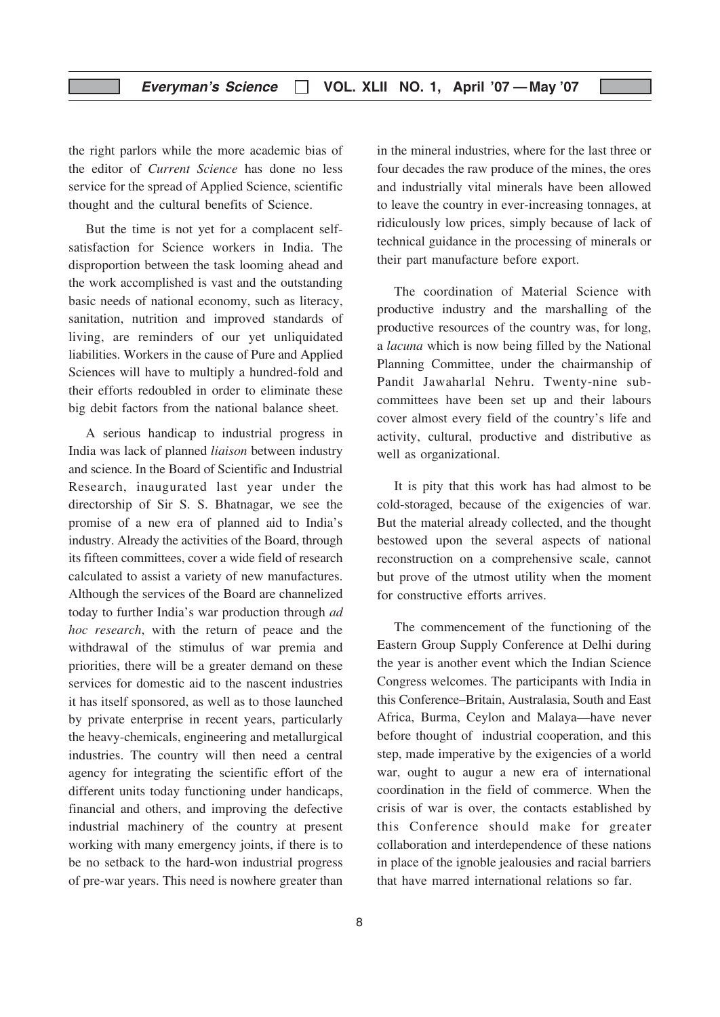the right parlors while the more academic bias of the editor of Current Science has done no less service for the spread of Applied Science, scientific thought and the cultural benefits of Science.

But the time is not yet for a complacent selfsatisfaction for Science workers in India. The disproportion between the task looming ahead and the work accomplished is vast and the outstanding basic needs of national economy, such as literacy, sanitation, nutrition and improved standards of living, are reminders of our yet unliquidated liabilities. Workers in the cause of Pure and Applied Sciences will have to multiply a hundred-fold and their efforts redoubled in order to eliminate these big debit factors from the national balance sheet.

A serious handicap to industrial progress in India was lack of planned liaison between industry and science. In the Board of Scientific and Industrial Research, inaugurated last year under the directorship of Sir S. S. Bhatnagar, we see the promise of a new era of planned aid to India's industry. Already the activities of the Board, through its fifteen committees, cover a wide field of research calculated to assist a variety of new manufactures. Although the services of the Board are channelized today to further India's war production through ad hoc research, with the return of peace and the withdrawal of the stimulus of war premia and priorities, there will be a greater demand on these services for domestic aid to the nascent industries it has itself sponsored, as well as to those launched by private enterprise in recent years, particularly the heavy-chemicals, engineering and metallurgical industries. The country will then need a central agency for integrating the scientific effort of the different units today functioning under handicaps, financial and others, and improving the defective industrial machinery of the country at present working with many emergency joints, if there is to be no setback to the hard-won industrial progress of pre-war years. This need is nowhere greater than

in the mineral industries, where for the last three or four decades the raw produce of the mines, the ores and industrially vital minerals have been allowed to leave the country in ever-increasing tonnages, at ridiculously low prices, simply because of lack of technical guidance in the processing of minerals or their part manufacture before export.

The coordination of Material Science with productive industry and the marshalling of the productive resources of the country was, for long, a lacuna which is now being filled by the National Planning Committee, under the chairmanship of Pandit Jawaharlal Nehru. Twenty-nine subcommittees have been set up and their labours cover almost every field of the country's life and activity, cultural, productive and distributive as well as organizational.

It is pity that this work has had almost to be cold-storaged, because of the exigencies of war. But the material already collected, and the thought bestowed upon the several aspects of national reconstruction on a comprehensive scale, cannot but prove of the utmost utility when the moment for constructive efforts arrives.

The commencement of the functioning of the Eastern Group Supply Conference at Delhi during the year is another event which the Indian Science Congress welcomes. The participants with India in this Conference–Britain, Australasia, South and East Africa, Burma, Ceylon and Malaya—have never before thought of industrial cooperation, and this step, made imperative by the exigencies of a world war, ought to augur a new era of international coordination in the field of commerce. When the crisis of war is over, the contacts established by this Conference should make for greater collaboration and interdependence of these nations in place of the ignoble jealousies and racial barriers that have marred international relations so far.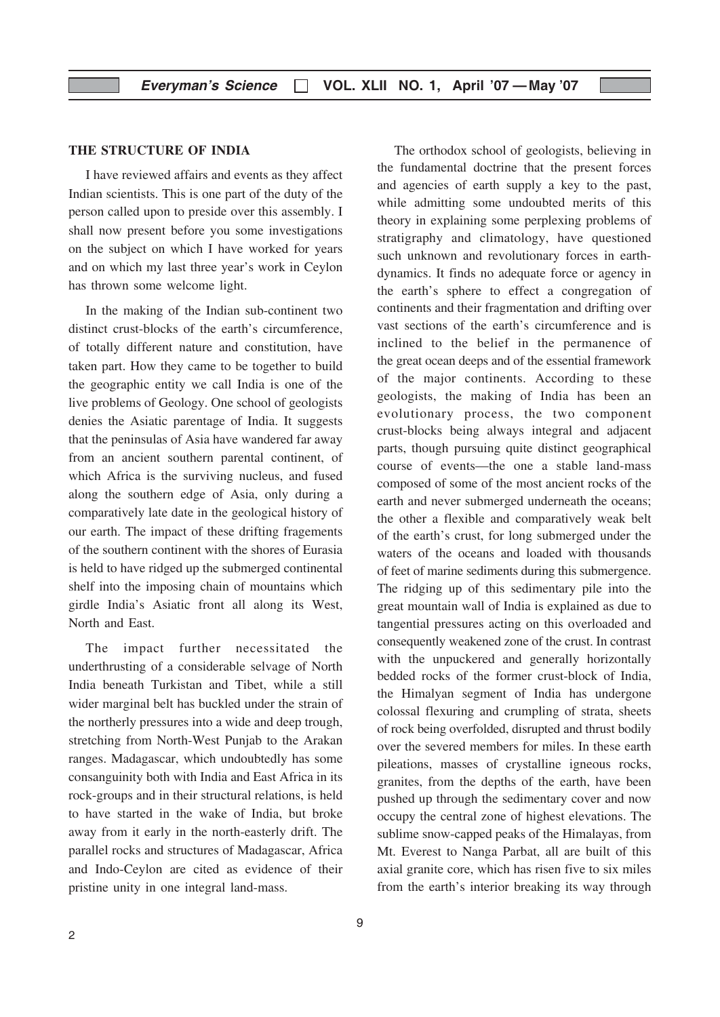#### THE STRUCTURE OF INDIA

I have reviewed affairs and events as they affect Indian scientists. This is one part of the duty of the person called upon to preside over this assembly. I shall now present before you some investigations on the subject on which I have worked for years and on which my last three year's work in Ceylon has thrown some welcome light.

In the making of the Indian sub-continent two distinct crust-blocks of the earth's circumference, of totally different nature and constitution, have taken part. How they came to be together to build the geographic entity we call India is one of the live problems of Geology. One school of geologists denies the Asiatic parentage of India. It suggests that the peninsulas of Asia have wandered far away from an ancient southern parental continent, of which Africa is the surviving nucleus, and fused along the southern edge of Asia, only during a comparatively late date in the geological history of our earth. The impact of these drifting fragements of the southern continent with the shores of Eurasia is held to have ridged up the submerged continental shelf into the imposing chain of mountains which girdle India's Asiatic front all along its West, North and East.

The impact further necessitated the underthrusting of a considerable selvage of North India beneath Turkistan and Tibet, while a still wider marginal belt has buckled under the strain of the northerly pressures into a wide and deep trough, stretching from North-West Punjab to the Arakan ranges. Madagascar, which undoubtedly has some consanguinity both with India and East Africa in its rock-groups and in their structural relations, is held to have started in the wake of India, but broke away from it early in the north-easterly drift. The parallel rocks and structures of Madagascar, Africa and Indo-Ceylon are cited as evidence of their pristine unity in one integral land-mass.

The orthodox school of geologists, believing in the fundamental doctrine that the present forces and agencies of earth supply a key to the past, while admitting some undoubted merits of this theory in explaining some perplexing problems of stratigraphy and climatology, have questioned such unknown and revolutionary forces in earthdynamics. It finds no adequate force or agency in the earth's sphere to effect a congregation of continents and their fragmentation and drifting over vast sections of the earth's circumference and is inclined to the belief in the permanence of the great ocean deeps and of the essential framework of the major continents. According to these geologists, the making of India has been an evolutionary process, the two component crust-blocks being always integral and adjacent parts, though pursuing quite distinct geographical course of events—the one a stable land-mass composed of some of the most ancient rocks of the earth and never submerged underneath the oceans; the other a flexible and comparatively weak belt of the earth's crust, for long submerged under the waters of the oceans and loaded with thousands of feet of marine sediments during this submergence. The ridging up of this sedimentary pile into the great mountain wall of India is explained as due to tangential pressures acting on this overloaded and consequently weakened zone of the crust. In contrast with the unpuckered and generally horizontally bedded rocks of the former crust-block of India, the Himalyan segment of India has undergone colossal flexuring and crumpling of strata, sheets of rock being overfolded, disrupted and thrust bodily over the severed members for miles. In these earth pileations, masses of crystalline igneous rocks, granites, from the depths of the earth, have been pushed up through the sedimentary cover and now occupy the central zone of highest elevations. The sublime snow-capped peaks of the Himalayas, from Mt. Everest to Nanga Parbat, all are built of this axial granite core, which has risen five to six miles from the earth's interior breaking its way through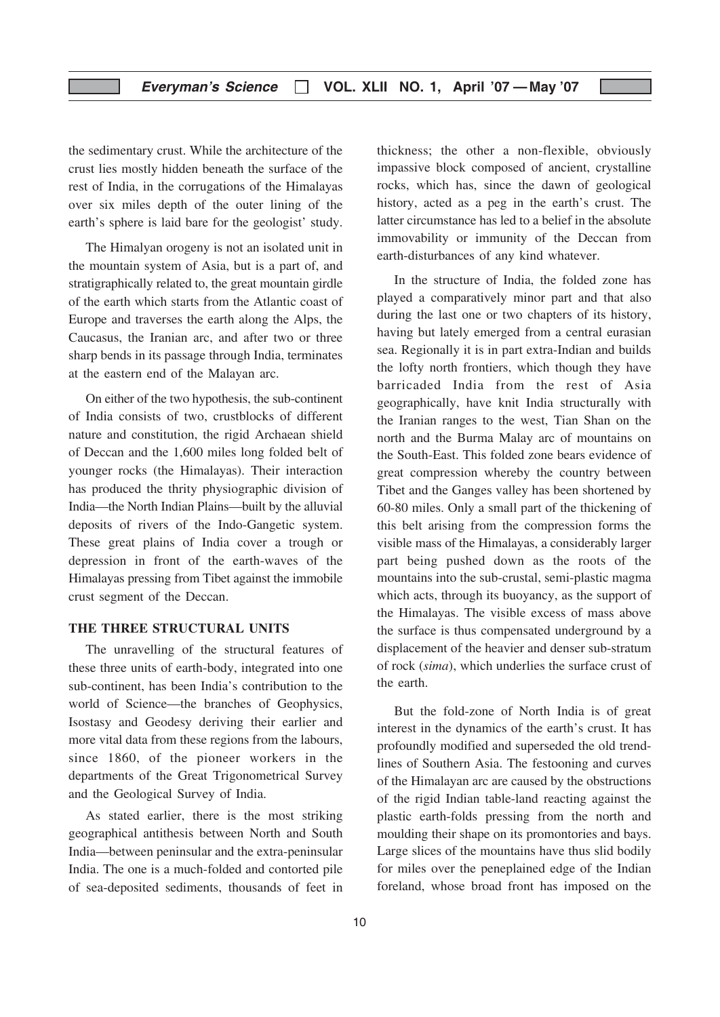the sedimentary crust. While the architecture of the crust lies mostly hidden beneath the surface of the rest of India, in the corrugations of the Himalayas over six miles depth of the outer lining of the earth's sphere is laid bare for the geologist' study.

The Himalyan orogeny is not an isolated unit in the mountain system of Asia, but is a part of, and stratigraphically related to, the great mountain girdle of the earth which starts from the Atlantic coast of Europe and traverses the earth along the Alps, the Caucasus, the Iranian arc, and after two or three sharp bends in its passage through India, terminates at the eastern end of the Malayan arc.

On either of the two hypothesis, the sub-continent of India consists of two, crustblocks of different nature and constitution, the rigid Archaean shield of Deccan and the 1,600 miles long folded belt of younger rocks (the Himalayas). Their interaction has produced the thrity physiographic division of India—the North Indian Plains—built by the alluvial deposits of rivers of the Indo-Gangetic system. These great plains of India cover a trough or depression in front of the earth-waves of the Himalayas pressing from Tibet against the immobile crust segment of the Deccan.

#### THE THREE STRUCTURAL UNITS

The unravelling of the structural features of these three units of earth-body, integrated into one sub-continent, has been India's contribution to the world of Science—the branches of Geophysics, Isostasy and Geodesy deriving their earlier and more vital data from these regions from the labours, since 1860, of the pioneer workers in the departments of the Great Trigonometrical Survey and the Geological Survey of India.

As stated earlier, there is the most striking geographical antithesis between North and South India—between peninsular and the extra-peninsular India. The one is a much-folded and contorted pile of sea-deposited sediments, thousands of feet in thickness; the other a non-flexible, obviously impassive block composed of ancient, crystalline rocks, which has, since the dawn of geological history, acted as a peg in the earth's crust. The latter circumstance has led to a belief in the absolute immovability or immunity of the Deccan from earth-disturbances of any kind whatever.

In the structure of India, the folded zone has played a comparatively minor part and that also during the last one or two chapters of its history, having but lately emerged from a central eurasian sea. Regionally it is in part extra-Indian and builds the lofty north frontiers, which though they have barricaded India from the rest of Asia geographically, have knit India structurally with the Iranian ranges to the west, Tian Shan on the north and the Burma Malay arc of mountains on the South-East. This folded zone bears evidence of great compression whereby the country between Tibet and the Ganges valley has been shortened by 60-80 miles. Only a small part of the thickening of this belt arising from the compression forms the visible mass of the Himalayas, a considerably larger part being pushed down as the roots of the mountains into the sub-crustal, semi-plastic magma which acts, through its buoyancy, as the support of the Himalayas. The visible excess of mass above the surface is thus compensated underground by a displacement of the heavier and denser sub-stratum of rock (sima), which underlies the surface crust of the earth.

But the fold-zone of North India is of great interest in the dynamics of the earth's crust. It has profoundly modified and superseded the old trendlines of Southern Asia. The festooning and curves of the Himalayan arc are caused by the obstructions of the rigid Indian table-land reacting against the plastic earth-folds pressing from the north and moulding their shape on its promontories and bays. Large slices of the mountains have thus slid bodily for miles over the peneplained edge of the Indian foreland, whose broad front has imposed on the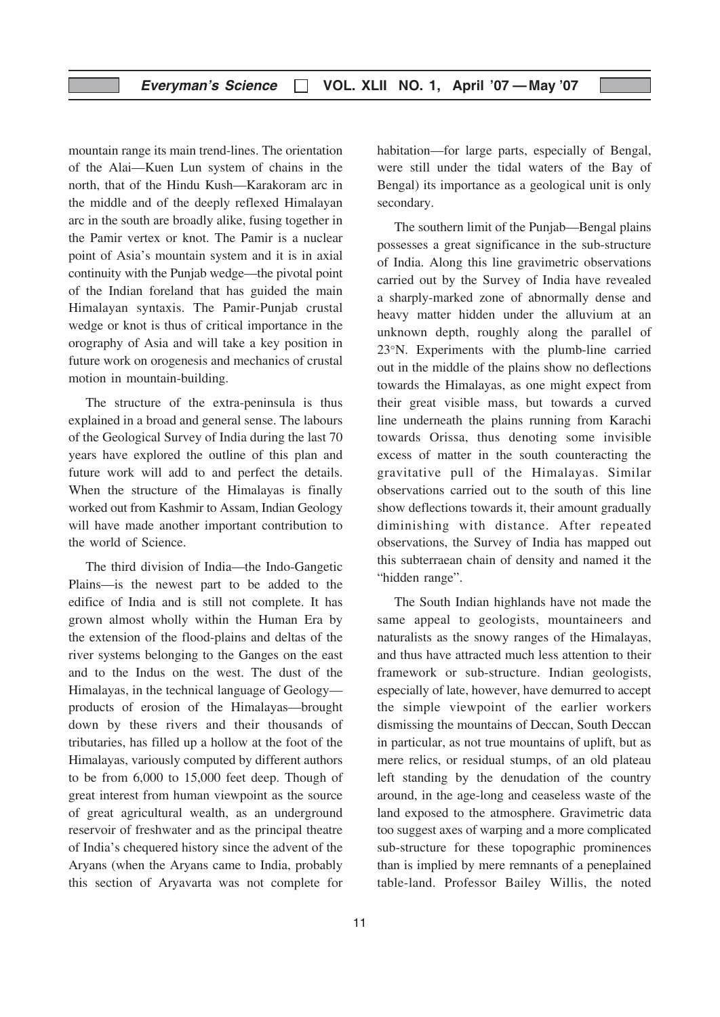mountain range its main trend-lines. The orientation of the Alai—Kuen Lun system of chains in the north, that of the Hindu Kush—Karakoram arc in the middle and of the deeply reflexed Himalayan arc in the south are broadly alike, fusing together in the Pamir vertex or knot. The Pamir is a nuclear point of Asia's mountain system and it is in axial continuity with the Punjab wedge—the pivotal point of the Indian foreland that has guided the main Himalayan syntaxis. The Pamir-Punjab crustal wedge or knot is thus of critical importance in the orography of Asia and will take a key position in future work on orogenesis and mechanics of crustal motion in mountain-building.

The structure of the extra-peninsula is thus explained in a broad and general sense. The labours of the Geological Survey of India during the last 70 years have explored the outline of this plan and future work will add to and perfect the details. When the structure of the Himalayas is finally worked out from Kashmir to Assam, Indian Geology will have made another important contribution to the world of Science.

The third division of India—the Indo-Gangetic Plains—is the newest part to be added to the edifice of India and is still not complete. It has grown almost wholly within the Human Era by the extension of the flood-plains and deltas of the river systems belonging to the Ganges on the east and to the Indus on the west. The dust of the Himalayas, in the technical language of Geology products of erosion of the Himalayas—brought down by these rivers and their thousands of tributaries, has filled up a hollow at the foot of the Himalayas, variously computed by different authors to be from 6,000 to 15,000 feet deep. Though of great interest from human viewpoint as the source of great agricultural wealth, as an underground reservoir of freshwater and as the principal theatre of India's chequered history since the advent of the Aryans (when the Aryans came to India, probably this section of Aryavarta was not complete for habitation—for large parts, especially of Bengal, were still under the tidal waters of the Bay of Bengal) its importance as a geological unit is only secondary.

The southern limit of the Punjab—Bengal plains possesses a great significance in the sub-structure of India. Along this line gravimetric observations carried out by the Survey of India have revealed a sharply-marked zone of abnormally dense and heavy matter hidden under the alluvium at an unknown depth, roughly along the parallel of 23°N. Experiments with the plumb-line carried out in the middle of the plains show no deflections towards the Himalayas, as one might expect from their great visible mass, but towards a curved line underneath the plains running from Karachi towards Orissa, thus denoting some invisible excess of matter in the south counteracting the gravitative pull of the Himalayas. Similar observations carried out to the south of this line show deflections towards it, their amount gradually diminishing with distance. After repeated observations, the Survey of India has mapped out this subterraean chain of density and named it the "hidden range".

The South Indian highlands have not made the same appeal to geologists, mountaineers and naturalists as the snowy ranges of the Himalayas, and thus have attracted much less attention to their framework or sub-structure. Indian geologists, especially of late, however, have demurred to accept the simple viewpoint of the earlier workers dismissing the mountains of Deccan, South Deccan in particular, as not true mountains of uplift, but as mere relics, or residual stumps, of an old plateau left standing by the denudation of the country around, in the age-long and ceaseless waste of the land exposed to the atmosphere. Gravimetric data too suggest axes of warping and a more complicated sub-structure for these topographic prominences than is implied by mere remnants of a peneplained table-land. Professor Bailey Willis, the noted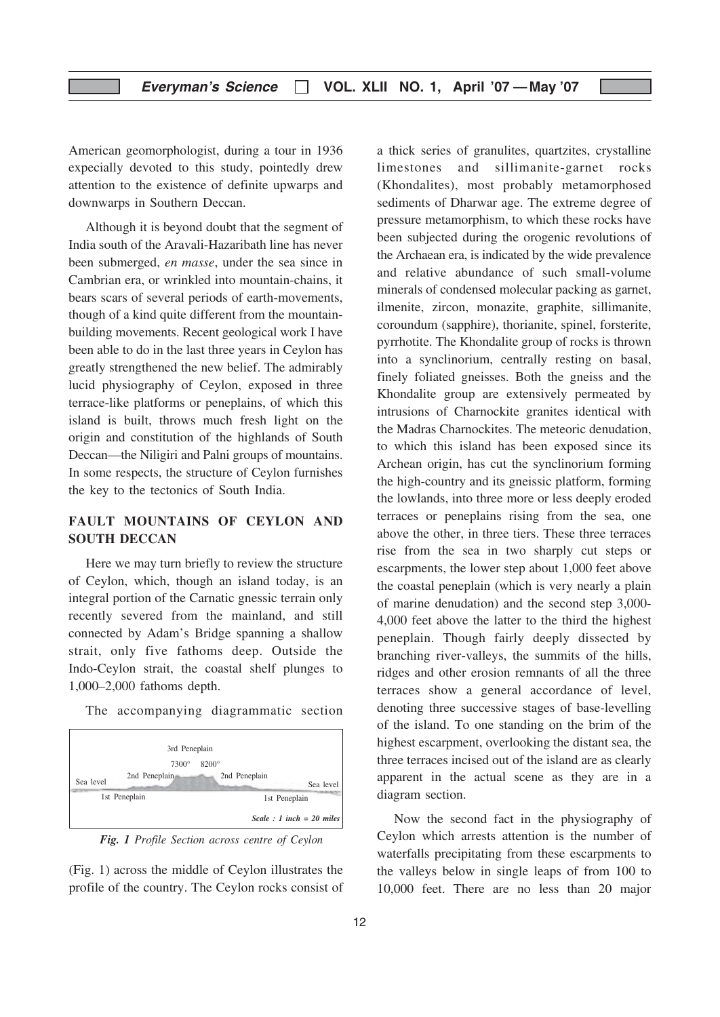American geomorphologist, during a tour in 1936 expecially devoted to this study, pointedly drew attention to the existence of definite upwarps and downwarps in Southern Deccan.

Although it is beyond doubt that the segment of India south of the Aravali-Hazaribath line has never been submerged, en masse, under the sea since in Cambrian era, or wrinkled into mountain-chains, it bears scars of several periods of earth-movements, though of a kind quite different from the mountainbuilding movements. Recent geological work I have been able to do in the last three years in Ceylon has greatly strengthened the new belief. The admirably lucid physiography of Ceylon, exposed in three terrace-like platforms or peneplains, of which this island is built, throws much fresh light on the origin and constitution of the highlands of South Deccan—the Niligiri and Palni groups of mountains. In some respects, the structure of Ceylon furnishes the key to the tectonics of South India.

#### FAULT MOUNTAINS OF CEYLON AND SOUTH DECCAN

Here we may turn briefly to review the structure of Ceylon, which, though an island today, is an integral portion of the Carnatic gnessic terrain only recently severed from the mainland, and still connected by Adam's Bridge spanning a shallow strait, only five fathoms deep. Outside the Indo-Ceylon strait, the coastal shelf plunges to 1,000–2,000 fathoms depth.

The accompanying diagrammatic section



Fig. 1 Profile Section across centre of Ceylon

(Fig. 1) across the middle of Ceylon illustrates the profile of the country. The Ceylon rocks consist of a thick series of granulites, quartzites, crystalline limestones and sillimanite-garnet rocks (Khondalites), most probably metamorphosed sediments of Dharwar age. The extreme degree of pressure metamorphism, to which these rocks have been subjected during the orogenic revolutions of the Archaean era, is indicated by the wide prevalence and relative abundance of such small-volume minerals of condensed molecular packing as garnet, ilmenite, zircon, monazite, graphite, sillimanite, coroundum (sapphire), thorianite, spinel, forsterite, pyrrhotite. The Khondalite group of rocks is thrown into a synclinorium, centrally resting on basal, finely foliated gneisses. Both the gneiss and the Khondalite group are extensively permeated by intrusions of Charnockite granites identical with the Madras Charnockites. The meteoric denudation, to which this island has been exposed since its Archean origin, has cut the synclinorium forming the high-country and its gneissic platform, forming the lowlands, into three more or less deeply eroded terraces or peneplains rising from the sea, one above the other, in three tiers. These three terraces rise from the sea in two sharply cut steps or escarpments, the lower step about 1,000 feet above the coastal peneplain (which is very nearly a plain of marine denudation) and the second step 3,000- 4,000 feet above the latter to the third the highest peneplain. Though fairly deeply dissected by branching river-valleys, the summits of the hills, ridges and other erosion remnants of all the three terraces show a general accordance of level, denoting three successive stages of base-levelling of the island. To one standing on the brim of the highest escarpment, overlooking the distant sea, the three terraces incised out of the island are as clearly apparent in the actual scene as they are in a diagram section.

Now the second fact in the physiography of Ceylon which arrests attention is the number of waterfalls precipitating from these escarpments to the valleys below in single leaps of from 100 to 10,000 feet. There are no less than 20 major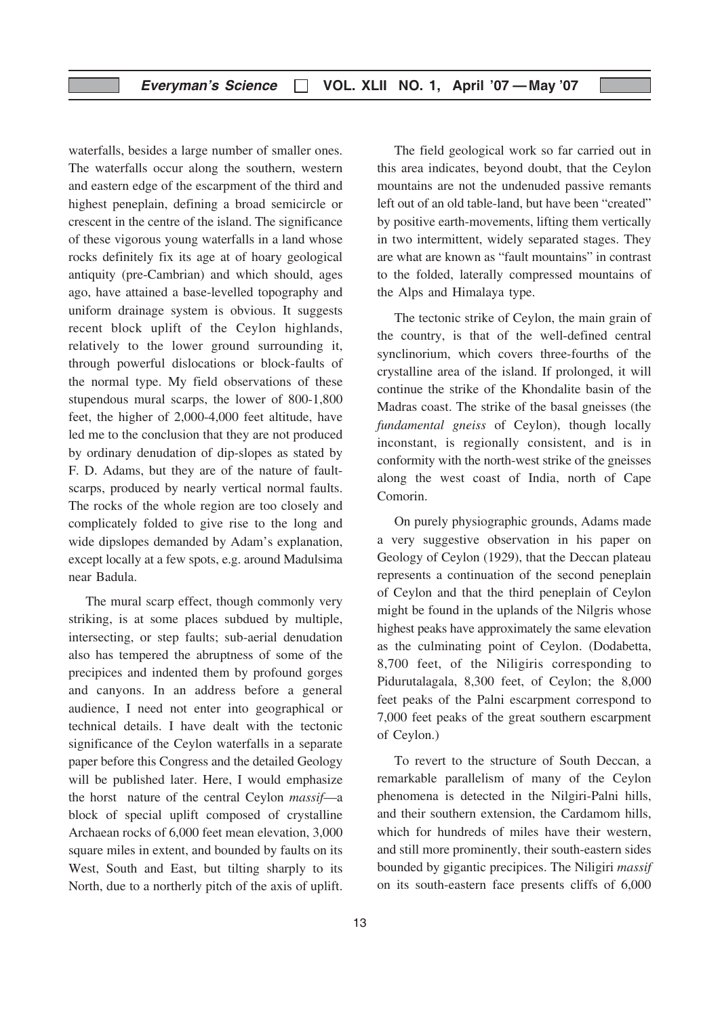waterfalls, besides a large number of smaller ones. The waterfalls occur along the southern, western and eastern edge of the escarpment of the third and highest peneplain, defining a broad semicircle or crescent in the centre of the island. The significance of these vigorous young waterfalls in a land whose rocks definitely fix its age at of hoary geological antiquity (pre-Cambrian) and which should, ages ago, have attained a base-levelled topography and uniform drainage system is obvious. It suggests recent block uplift of the Ceylon highlands, relatively to the lower ground surrounding it, through powerful dislocations or block-faults of the normal type. My field observations of these stupendous mural scarps, the lower of 800-1,800 feet, the higher of 2,000-4,000 feet altitude, have led me to the conclusion that they are not produced by ordinary denudation of dip-slopes as stated by F. D. Adams, but they are of the nature of faultscarps, produced by nearly vertical normal faults. The rocks of the whole region are too closely and complicately folded to give rise to the long and wide dipslopes demanded by Adam's explanation, except locally at a few spots, e.g. around Madulsima near Badula.

The mural scarp effect, though commonly very striking, is at some places subdued by multiple, intersecting, or step faults; sub-aerial denudation also has tempered the abruptness of some of the precipices and indented them by profound gorges and canyons. In an address before a general audience, I need not enter into geographical or technical details. I have dealt with the tectonic significance of the Ceylon waterfalls in a separate paper before this Congress and the detailed Geology will be published later. Here, I would emphasize the horst nature of the central Ceylon massif—a block of special uplift composed of crystalline Archaean rocks of 6,000 feet mean elevation, 3,000 square miles in extent, and bounded by faults on its West, South and East, but tilting sharply to its North, due to a northerly pitch of the axis of uplift.

13

The field geological work so far carried out in this area indicates, beyond doubt, that the Ceylon mountains are not the undenuded passive remants left out of an old table-land, but have been "created" by positive earth-movements, lifting them vertically in two intermittent, widely separated stages. They are what are known as "fault mountains" in contrast to the folded, laterally compressed mountains of the Alps and Himalaya type.

The tectonic strike of Ceylon, the main grain of the country, is that of the well-defined central synclinorium, which covers three-fourths of the crystalline area of the island. If prolonged, it will continue the strike of the Khondalite basin of the Madras coast. The strike of the basal gneisses (the fundamental gneiss of Ceylon), though locally inconstant, is regionally consistent, and is in conformity with the north-west strike of the gneisses along the west coast of India, north of Cape Comorin.

On purely physiographic grounds, Adams made a very suggestive observation in his paper on Geology of Ceylon (1929), that the Deccan plateau represents a continuation of the second peneplain of Ceylon and that the third peneplain of Ceylon might be found in the uplands of the Nilgris whose highest peaks have approximately the same elevation as the culminating point of Ceylon. (Dodabetta, 8,700 feet, of the Niligiris corresponding to Pidurutalagala, 8,300 feet, of Ceylon; the 8,000 feet peaks of the Palni escarpment correspond to 7,000 feet peaks of the great southern escarpment of Ceylon.)

To revert to the structure of South Deccan, a remarkable parallelism of many of the Ceylon phenomena is detected in the Nilgiri-Palni hills, and their southern extension, the Cardamom hills, which for hundreds of miles have their western, and still more prominently, their south-eastern sides bounded by gigantic precipices. The Niligiri massif on its south-eastern face presents cliffs of 6,000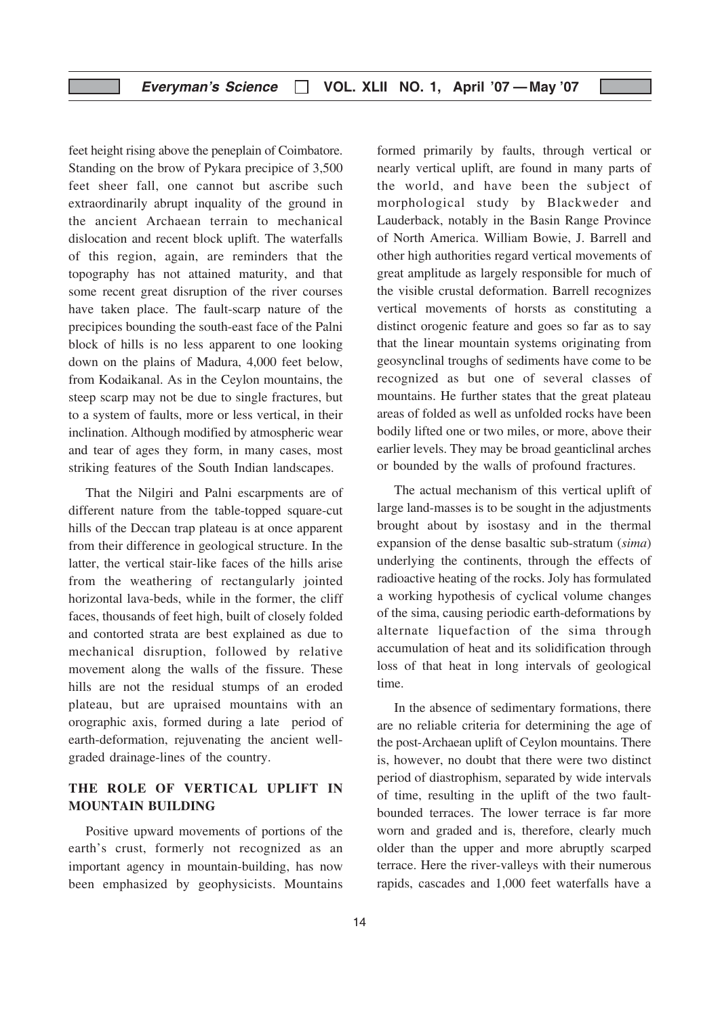#### Everyman's Science  $\Box$  VOL. XLII NO. 1, April '07 — May '07

feet height rising above the peneplain of Coimbatore. Standing on the brow of Pykara precipice of 3,500 feet sheer fall, one cannot but ascribe such extraordinarily abrupt inquality of the ground in the ancient Archaean terrain to mechanical dislocation and recent block uplift. The waterfalls of this region, again, are reminders that the topography has not attained maturity, and that some recent great disruption of the river courses have taken place. The fault-scarp nature of the precipices bounding the south-east face of the Palni block of hills is no less apparent to one looking down on the plains of Madura, 4,000 feet below, from Kodaikanal. As in the Ceylon mountains, the steep scarp may not be due to single fractures, but to a system of faults, more or less vertical, in their inclination. Although modified by atmospheric wear and tear of ages they form, in many cases, most striking features of the South Indian landscapes.

That the Nilgiri and Palni escarpments are of different nature from the table-topped square-cut hills of the Deccan trap plateau is at once apparent from their difference in geological structure. In the latter, the vertical stair-like faces of the hills arise from the weathering of rectangularly jointed horizontal lava-beds, while in the former, the cliff faces, thousands of feet high, built of closely folded and contorted strata are best explained as due to mechanical disruption, followed by relative movement along the walls of the fissure. These hills are not the residual stumps of an eroded plateau, but are upraised mountains with an orographic axis, formed during a late period of earth-deformation, rejuvenating the ancient wellgraded drainage-lines of the country.

#### THE ROLE OF VERTICAL UPLIFT IN MOUNTAIN BUILDING

Positive upward movements of portions of the earth's crust, formerly not recognized as an important agency in mountain-building, has now been emphasized by geophysicists. Mountains formed primarily by faults, through vertical or nearly vertical uplift, are found in many parts of the world, and have been the subject of morphological study by Blackweder and Lauderback, notably in the Basin Range Province of North America. William Bowie, J. Barrell and other high authorities regard vertical movements of great amplitude as largely responsible for much of the visible crustal deformation. Barrell recognizes vertical movements of horsts as constituting a distinct orogenic feature and goes so far as to say that the linear mountain systems originating from geosynclinal troughs of sediments have come to be recognized as but one of several classes of mountains. He further states that the great plateau areas of folded as well as unfolded rocks have been bodily lifted one or two miles, or more, above their earlier levels. They may be broad geanticlinal arches or bounded by the walls of profound fractures.

The actual mechanism of this vertical uplift of large land-masses is to be sought in the adjustments brought about by isostasy and in the thermal expansion of the dense basaltic sub-stratum (sima) underlying the continents, through the effects of radioactive heating of the rocks. Joly has formulated a working hypothesis of cyclical volume changes of the sima, causing periodic earth-deformations by alternate liquefaction of the sima through accumulation of heat and its solidification through loss of that heat in long intervals of geological time.

In the absence of sedimentary formations, there are no reliable criteria for determining the age of the post-Archaean uplift of Ceylon mountains. There is, however, no doubt that there were two distinct period of diastrophism, separated by wide intervals of time, resulting in the uplift of the two faultbounded terraces. The lower terrace is far more worn and graded and is, therefore, clearly much older than the upper and more abruptly scarped terrace. Here the river-valleys with their numerous rapids, cascades and 1,000 feet waterfalls have a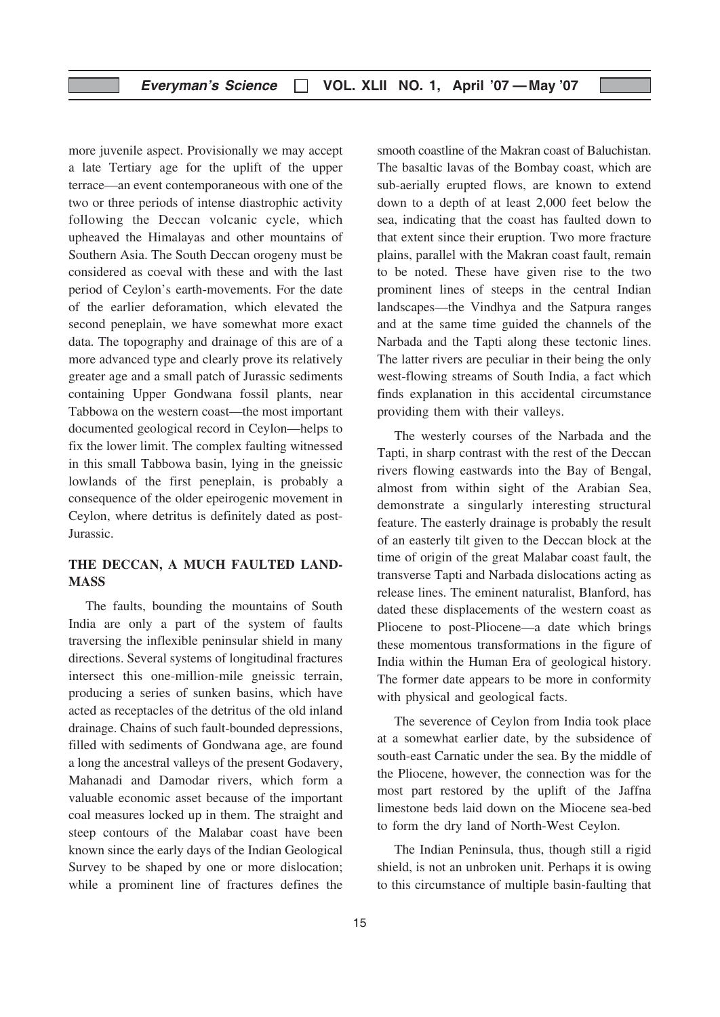more juvenile aspect. Provisionally we may accept a late Tertiary age for the uplift of the upper terrace—an event contemporaneous with one of the two or three periods of intense diastrophic activity following the Deccan volcanic cycle, which upheaved the Himalayas and other mountains of Southern Asia. The South Deccan orogeny must be considered as coeval with these and with the last period of Ceylon's earth-movements. For the date of the earlier deforamation, which elevated the second peneplain, we have somewhat more exact data. The topography and drainage of this are of a more advanced type and clearly prove its relatively greater age and a small patch of Jurassic sediments containing Upper Gondwana fossil plants, near Tabbowa on the western coast—the most important documented geological record in Ceylon—helps to fix the lower limit. The complex faulting witnessed in this small Tabbowa basin, lying in the gneissic lowlands of the first peneplain, is probably a consequence of the older epeirogenic movement in Ceylon, where detritus is definitely dated as post-Jurassic.

#### THE DECCAN, A MUCH FAULTED LAND-**MASS**

The faults, bounding the mountains of South India are only a part of the system of faults traversing the inflexible peninsular shield in many directions. Several systems of longitudinal fractures intersect this one-million-mile gneissic terrain, producing a series of sunken basins, which have acted as receptacles of the detritus of the old inland drainage. Chains of such fault-bounded depressions, filled with sediments of Gondwana age, are found a long the ancestral valleys of the present Godavery, Mahanadi and Damodar rivers, which form a valuable economic asset because of the important coal measures locked up in them. The straight and steep contours of the Malabar coast have been known since the early days of the Indian Geological Survey to be shaped by one or more dislocation; while a prominent line of fractures defines the

smooth coastline of the Makran coast of Baluchistan. The basaltic lavas of the Bombay coast, which are sub-aerially erupted flows, are known to extend down to a depth of at least 2,000 feet below the sea, indicating that the coast has faulted down to that extent since their eruption. Two more fracture plains, parallel with the Makran coast fault, remain to be noted. These have given rise to the two prominent lines of steeps in the central Indian landscapes—the Vindhya and the Satpura ranges and at the same time guided the channels of the Narbada and the Tapti along these tectonic lines. The latter rivers are peculiar in their being the only west-flowing streams of South India, a fact which finds explanation in this accidental circumstance providing them with their valleys.

The westerly courses of the Narbada and the Tapti, in sharp contrast with the rest of the Deccan rivers flowing eastwards into the Bay of Bengal, almost from within sight of the Arabian Sea, demonstrate a singularly interesting structural feature. The easterly drainage is probably the result of an easterly tilt given to the Deccan block at the time of origin of the great Malabar coast fault, the transverse Tapti and Narbada dislocations acting as release lines. The eminent naturalist, Blanford, has dated these displacements of the western coast as Pliocene to post-Pliocene—a date which brings these momentous transformations in the figure of India within the Human Era of geological history. The former date appears to be more in conformity with physical and geological facts.

The severence of Ceylon from India took place at a somewhat earlier date, by the subsidence of south-east Carnatic under the sea. By the middle of the Pliocene, however, the connection was for the most part restored by the uplift of the Jaffna limestone beds laid down on the Miocene sea-bed to form the dry land of North-West Ceylon.

The Indian Peninsula, thus, though still a rigid shield, is not an unbroken unit. Perhaps it is owing to this circumstance of multiple basin-faulting that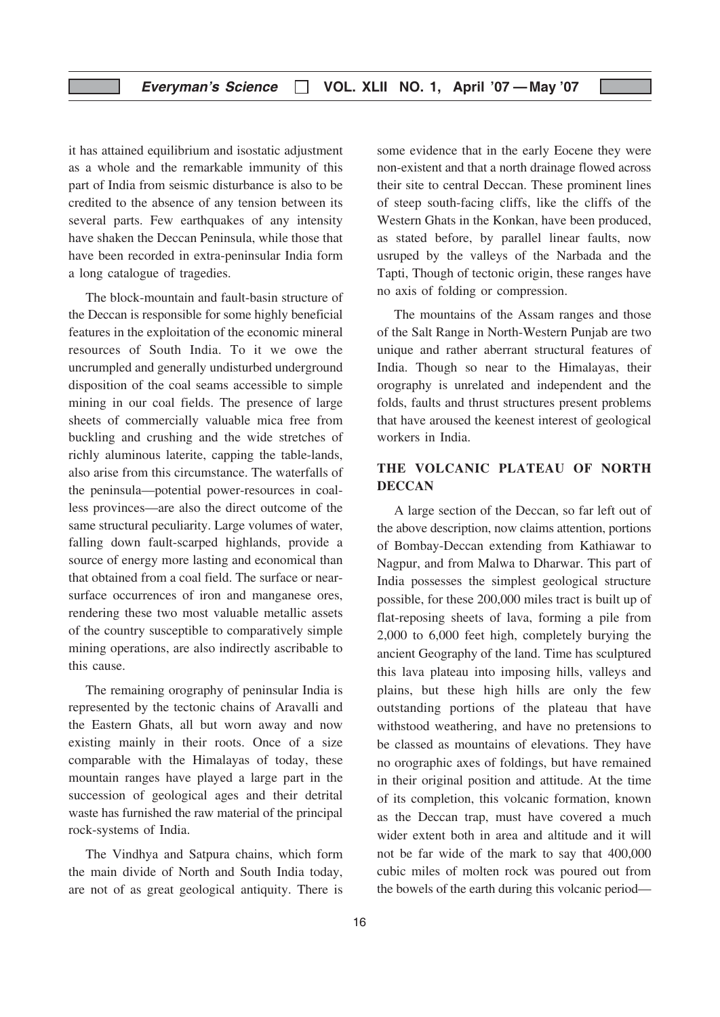it has attained equilibrium and isostatic adjustment as a whole and the remarkable immunity of this part of India from seismic disturbance is also to be credited to the absence of any tension between its several parts. Few earthquakes of any intensity have shaken the Deccan Peninsula, while those that have been recorded in extra-peninsular India form a long catalogue of tragedies.

The block-mountain and fault-basin structure of the Deccan is responsible for some highly beneficial features in the exploitation of the economic mineral resources of South India. To it we owe the uncrumpled and generally undisturbed underground disposition of the coal seams accessible to simple mining in our coal fields. The presence of large sheets of commercially valuable mica free from buckling and crushing and the wide stretches of richly aluminous laterite, capping the table-lands, also arise from this circumstance. The waterfalls of the peninsula—potential power-resources in coalless provinces—are also the direct outcome of the same structural peculiarity. Large volumes of water, falling down fault-scarped highlands, provide a source of energy more lasting and economical than that obtained from a coal field. The surface or nearsurface occurrences of iron and manganese ores, rendering these two most valuable metallic assets of the country susceptible to comparatively simple mining operations, are also indirectly ascribable to this cause.

The remaining orography of peninsular India is represented by the tectonic chains of Aravalli and the Eastern Ghats, all but worn away and now existing mainly in their roots. Once of a size comparable with the Himalayas of today, these mountain ranges have played a large part in the succession of geological ages and their detrital waste has furnished the raw material of the principal rock-systems of India.

The Vindhya and Satpura chains, which form the main divide of North and South India today, are not of as great geological antiquity. There is some evidence that in the early Eocene they were non-existent and that a north drainage flowed across their site to central Deccan. These prominent lines of steep south-facing cliffs, like the cliffs of the Western Ghats in the Konkan, have been produced, as stated before, by parallel linear faults, now usruped by the valleys of the Narbada and the Tapti, Though of tectonic origin, these ranges have no axis of folding or compression.

The mountains of the Assam ranges and those of the Salt Range in North-Western Punjab are two unique and rather aberrant structural features of India. Though so near to the Himalayas, their orography is unrelated and independent and the folds, faults and thrust structures present problems that have aroused the keenest interest of geological workers in India.

#### THE VOLCANIC PLATEAU OF NORTH **DECCAN**

A large section of the Deccan, so far left out of the above description, now claims attention, portions of Bombay-Deccan extending from Kathiawar to Nagpur, and from Malwa to Dharwar. This part of India possesses the simplest geological structure possible, for these 200,000 miles tract is built up of flat-reposing sheets of lava, forming a pile from 2,000 to 6,000 feet high, completely burying the ancient Geography of the land. Time has sculptured this lava plateau into imposing hills, valleys and plains, but these high hills are only the few outstanding portions of the plateau that have withstood weathering, and have no pretensions to be classed as mountains of elevations. They have no orographic axes of foldings, but have remained in their original position and attitude. At the time of its completion, this volcanic formation, known as the Deccan trap, must have covered a much wider extent both in area and altitude and it will not be far wide of the mark to say that 400,000 cubic miles of molten rock was poured out from the bowels of the earth during this volcanic period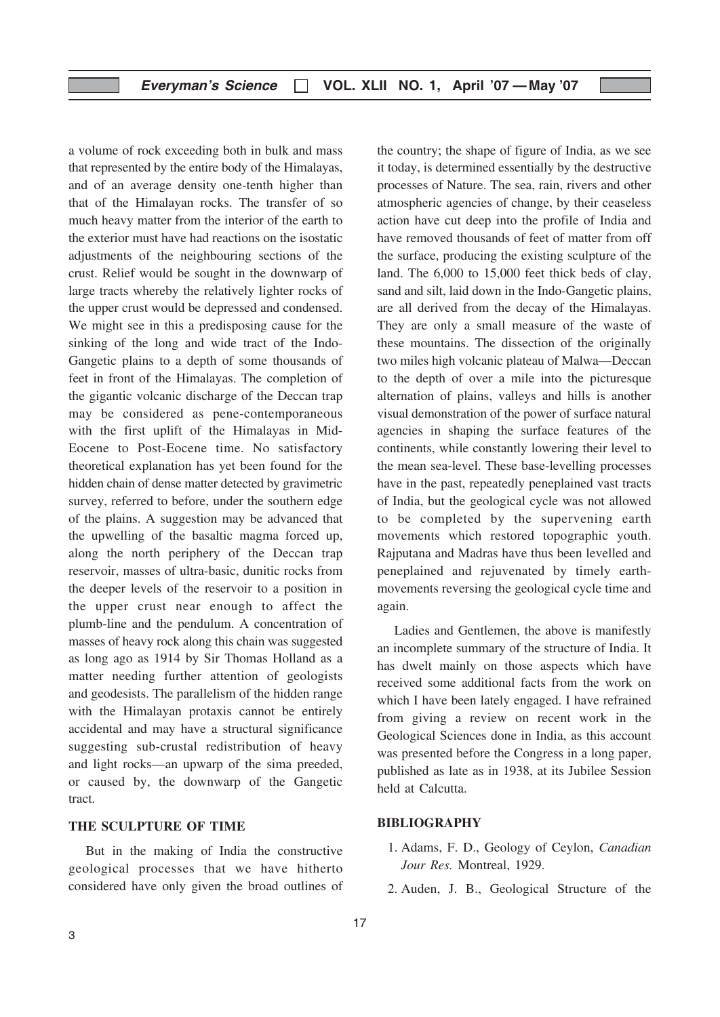a volume of rock exceeding both in bulk and mass that represented by the entire body of the Himalayas, and of an average density one-tenth higher than that of the Himalayan rocks. The transfer of so much heavy matter from the interior of the earth to the exterior must have had reactions on the isostatic adjustments of the neighbouring sections of the crust. Relief would be sought in the downwarp of large tracts whereby the relatively lighter rocks of the upper crust would be depressed and condensed. We might see in this a predisposing cause for the sinking of the long and wide tract of the Indo-Gangetic plains to a depth of some thousands of feet in front of the Himalayas. The completion of the gigantic volcanic discharge of the Deccan trap may be considered as pene-contemporaneous with the first uplift of the Himalayas in Mid-Eocene to Post-Eocene time. No satisfactory theoretical explanation has yet been found for the hidden chain of dense matter detected by gravimetric survey, referred to before, under the southern edge of the plains. A suggestion may be advanced that the upwelling of the basaltic magma forced up, along the north periphery of the Deccan trap reservoir, masses of ultra-basic, dunitic rocks from the deeper levels of the reservoir to a position in the upper crust near enough to affect the plumb-line and the pendulum. A concentration of masses of heavy rock along this chain was suggested as long ago as 1914 by Sir Thomas Holland as a matter needing further attention of geologists and geodesists. The parallelism of the hidden range with the Himalayan protaxis cannot be entirely accidental and may have a structural significance suggesting sub-crustal redistribution of heavy and light rocks—an upwarp of the sima preeded, or caused by, the downwarp of the Gangetic tract.

#### THE SCULPTURE OF TIME

But in the making of India the constructive geological processes that we have hitherto considered have only given the broad outlines of the country; the shape of figure of India, as we see it today, is determined essentially by the destructive processes of Nature. The sea, rain, rivers and other atmospheric agencies of change, by their ceaseless action have cut deep into the profile of India and have removed thousands of feet of matter from off the surface, producing the existing sculpture of the land. The 6,000 to 15,000 feet thick beds of clay, sand and silt, laid down in the Indo-Gangetic plains, are all derived from the decay of the Himalayas. They are only a small measure of the waste of these mountains. The dissection of the originally two miles high volcanic plateau of Malwa—Deccan to the depth of over a mile into the picturesque alternation of plains, valleys and hills is another visual demonstration of the power of surface natural agencies in shaping the surface features of the continents, while constantly lowering their level to the mean sea-level. These base-levelling processes have in the past, repeatedly peneplained vast tracts of India, but the geological cycle was not allowed to be completed by the supervening earth movements which restored topographic youth. Rajputana and Madras have thus been levelled and peneplained and rejuvenated by timely earthmovements reversing the geological cycle time and again.

Ladies and Gentlemen, the above is manifestly an incomplete summary of the structure of India. It has dwelt mainly on those aspects which have received some additional facts from the work on which I have been lately engaged. I have refrained from giving a review on recent work in the Geological Sciences done in India, as this account was presented before the Congress in a long paper, published as late as in 1938, at its Jubilee Session held at Calcutta.

#### BIBLIOGRAPHY

- 1. Adams, F. D., Geology of Ceylon, Canadian Jour Res. Montreal, 1929.
- 2. Auden, J. B., Geological Structure of the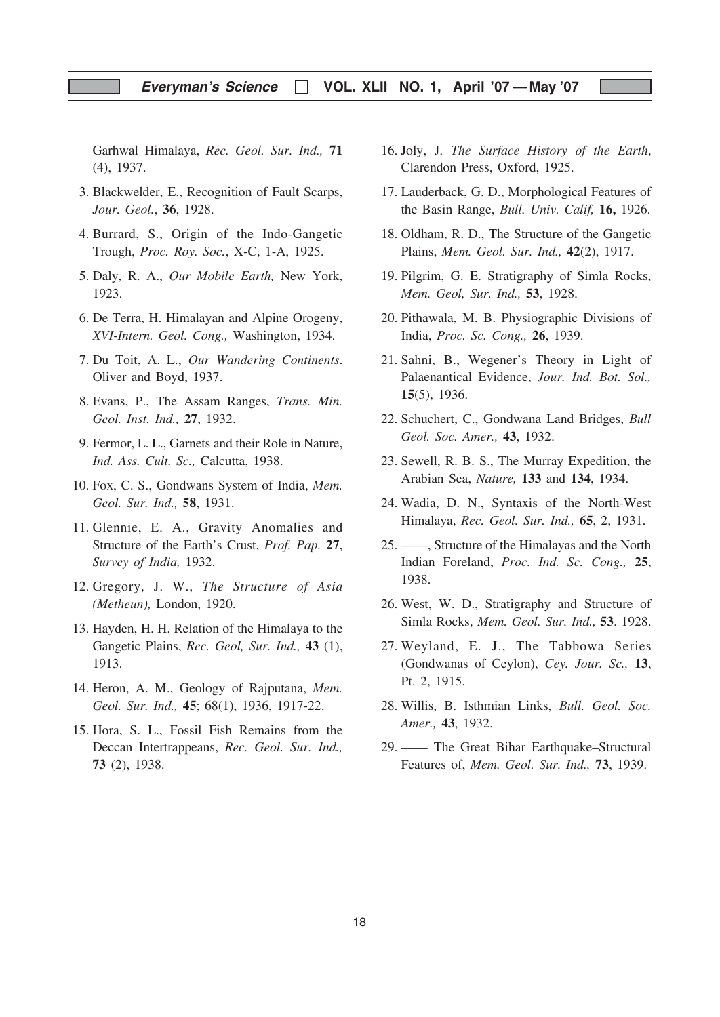#### Everyman's Science  $\Box$  VOL. XLII NO. 1, April '07 — May '07

Garhwal Himalaya, Rec. Geol. Sur. Ind., 71 (4), 1937.

- 3. Blackwelder, E., Recognition of Fault Scarps, Jour. Geol., 36, 1928.
- 4. Burrard, S., Origin of the Indo-Gangetic Trough, Proc. Roy. Soc., X-C, 1-A, 1925.
- 5. Daly, R. A., Our Mobile Earth, New York, 1923.
- 6. De Terra, H. Himalayan and Alpine Orogeny, XVI-Intern. Geol. Cong., Washington, 1934.
- 7. Du Toit, A. L., Our Wandering Continents. Oliver and Boyd, 1937.
- 8. Evans, P., The Assam Ranges, Trans. Min. Geol. Inst. Ind., 27, 1932.
- 9. Fermor, L. L., Garnets and their Role in Nature, Ind. Ass. Cult. Sc., Calcutta, 1938.
- 10. Fox, C. S., Gondwans System of India, Mem. Geol. Sur. Ind., 58, 1931.
- 11. Glennie, E. A., Gravity Anomalies and Structure of the Earth's Crust, Prof. Pap. 27, Survey of India, 1932.
- 12. Gregory, J. W., The Structure of Asia (Metheun), London, 1920.
- 13. Hayden, H. H. Relation of the Himalaya to the Gangetic Plains, Rec. Geol, Sur. Ind., 43 (1), 1913.
- 14. Heron, A. M., Geology of Rajputana, Mem. Geol. Sur. Ind., 45; 68(1), 1936, 1917-22.
- 15. Hora, S. L., Fossil Fish Remains from the Deccan Intertrappeans, Rec. Geol. Sur. Ind., 73 (2), 1938.
- 16. Joly, J. The Surface History of the Earth, Clarendon Press, Oxford, 1925.
- 17. Lauderback, G. D., Morphological Features of the Basin Range, Bull. Univ. Calif, 16, 1926.
- 18. Oldham, R. D., The Structure of the Gangetic Plains, Mem. Geol. Sur. Ind., 42(2), 1917.
- 19. Pilgrim, G. E. Stratigraphy of Simla Rocks, Mem. Geol, Sur. Ind., 53, 1928.
- 20. Pithawala, M. B. Physiographic Divisions of India, Proc. Sc. Cong., 26, 1939.
- 21. Sahni, B., Wegener's Theory in Light of Palaenantical Evidence, Jour. Ind. Bot. Sol., 15(5), 1936.
- 22. Schuchert, C., Gondwana Land Bridges, Bull Geol. Soc. Amer., 43, 1932.
- 23. Sewell, R. B. S., The Murray Expedition, the Arabian Sea, Nature, 133 and 134, 1934.
- 24. Wadia, D. N., Syntaxis of the North-West Himalaya, Rec. Geol. Sur. Ind., 65, 2, 1931.
- 25. ——, Structure of the Himalayas and the North Indian Foreland, Proc. Ind. Sc. Cong., 25, 1938.
- 26. West, W. D., Stratigraphy and Structure of Simla Rocks, Mem. Geol. Sur. Ind., 53. 1928.
- 27. Weyland, E. J., The Tabbowa Series (Gondwanas of Ceylon), Cey. Jour. Sc., 13, Pt. 2, 1915.
- 28. Willis, B. Isthmian Links, Bull. Geol. Soc. Amer., 43, 1932.
- 29. —— The Great Bihar Earthquake–Structural Features of, Mem. Geol. Sur. Ind., 73, 1939.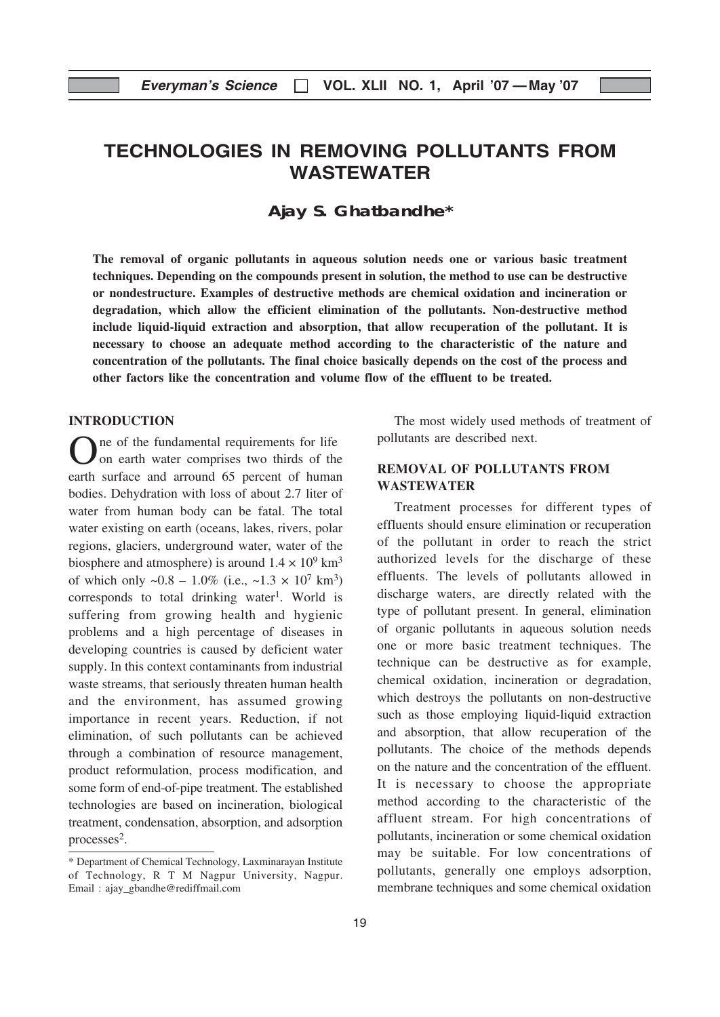# TECHNOLOGIES IN REMOVING POLLUTANTS FROM WASTEWATER

**Ajay S. Ghatbandhe\***

The removal of organic pollutants in aqueous solution needs one or various basic treatment techniques. Depending on the compounds present in solution, the method to use can be destructive or nondestructure. Examples of destructive methods are chemical oxidation and incineration or degradation, which allow the efficient elimination of the pollutants. Non-destructive method include liquid-liquid extraction and absorption, that allow recuperation of the pollutant. It is necessary to choose an adequate method according to the characteristic of the nature and concentration of the pollutants. The final choice basically depends on the cost of the process and other factors like the concentration and volume flow of the effluent to be treated.

#### INTRODUCTION

One of the fundamental requirements for life<br>
on earth water comprises two thirds of the earth surface and arround 65 percent of human bodies. Dehydration with loss of about 2.7 liter of water from human body can be fatal. The total water existing on earth (oceans, lakes, rivers, polar regions, glaciers, underground water, water of the biosphere and atmosphere) is around  $1.4 \times 10^9$  km<sup>3</sup> of which only  $\sim 0.8 - 1.0\%$  (i.e.,  $\sim 1.3 \times 10^7$  km<sup>3</sup>) corresponds to total drinking water<sup>1</sup>. World is suffering from growing health and hygienic problems and a high percentage of diseases in developing countries is caused by deficient water supply. In this context contaminants from industrial waste streams, that seriously threaten human health and the environment, has assumed growing importance in recent years. Reduction, if not elimination, of such pollutants can be achieved through a combination of resource management, product reformulation, process modification, and some form of end-of-pipe treatment. The established technologies are based on incineration, biological treatment, condensation, absorption, and adsorption processes<sup>2</sup>.

The most widely used methods of treatment of pollutants are described next.

#### REMOVAL OF POLLUTANTS FROM WASTEWATER

Treatment processes for different types of effluents should ensure elimination or recuperation of the pollutant in order to reach the strict authorized levels for the discharge of these effluents. The levels of pollutants allowed in discharge waters, are directly related with the type of pollutant present. In general, elimination of organic pollutants in aqueous solution needs one or more basic treatment techniques. The technique can be destructive as for example, chemical oxidation, incineration or degradation, which destroys the pollutants on non-destructive such as those employing liquid-liquid extraction and absorption, that allow recuperation of the pollutants. The choice of the methods depends on the nature and the concentration of the effluent. It is necessary to choose the appropriate method according to the characteristic of the affluent stream. For high concentrations of pollutants, incineration or some chemical oxidation may be suitable. For low concentrations of pollutants, generally one employs adsorption, membrane techniques and some chemical oxidation

<sup>\*</sup> Department of Chemical Technology, Laxminarayan Institute of Technology, R T M Nagpur University, Nagpur. Email : ajay\_gbandhe@rediffmail.com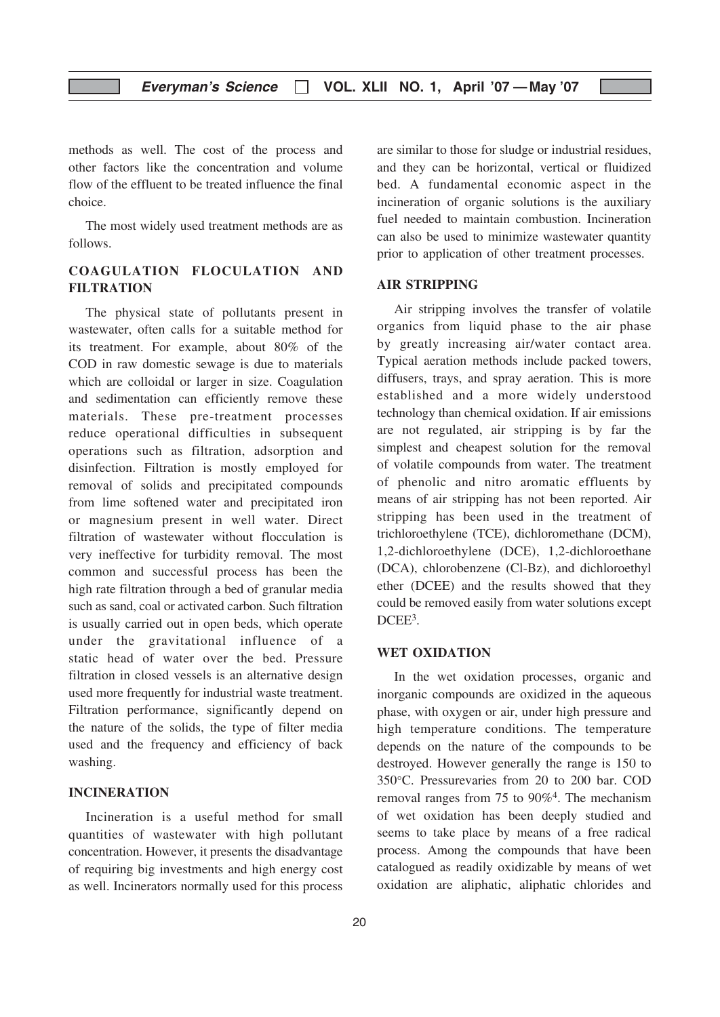methods as well. The cost of the process and other factors like the concentration and volume flow of the effluent to be treated influence the final choice.

The most widely used treatment methods are as follows.

#### COAGULATION FLOCULATION AND FILTRATION

The physical state of pollutants present in wastewater, often calls for a suitable method for its treatment. For example, about 80% of the COD in raw domestic sewage is due to materials which are colloidal or larger in size. Coagulation and sedimentation can efficiently remove these materials. These pre-treatment processes reduce operational difficulties in subsequent operations such as filtration, adsorption and disinfection. Filtration is mostly employed for removal of solids and precipitated compounds from lime softened water and precipitated iron or magnesium present in well water. Direct filtration of wastewater without flocculation is very ineffective for turbidity removal. The most common and successful process has been the high rate filtration through a bed of granular media such as sand, coal or activated carbon. Such filtration is usually carried out in open beds, which operate under the gravitational influence of a static head of water over the bed. Pressure filtration in closed vessels is an alternative design used more frequently for industrial waste treatment. Filtration performance, significantly depend on the nature of the solids, the type of filter media used and the frequency and efficiency of back washing.

#### INCINERATION

Incineration is a useful method for small quantities of wastewater with high pollutant concentration. However, it presents the disadvantage of requiring big investments and high energy cost as well. Incinerators normally used for this process are similar to those for sludge or industrial residues, and they can be horizontal, vertical or fluidized bed. A fundamental economic aspect in the incineration of organic solutions is the auxiliary fuel needed to maintain combustion. Incineration can also be used to minimize wastewater quantity prior to application of other treatment processes.

#### AIR STRIPPING

Air stripping involves the transfer of volatile organics from liquid phase to the air phase by greatly increasing air/water contact area. Typical aeration methods include packed towers, diffusers, trays, and spray aeration. This is more established and a more widely understood technology than chemical oxidation. If air emissions are not regulated, air stripping is by far the simplest and cheapest solution for the removal of volatile compounds from water. The treatment of phenolic and nitro aromatic effluents by means of air stripping has not been reported. Air stripping has been used in the treatment of trichloroethylene (TCE), dichloromethane (DCM), 1,2-dichloroethylene (DCE), 1,2-dichloroethane (DCA), chlorobenzene (Cl-Bz), and dichloroethyl ether (DCEE) and the results showed that they could be removed easily from water solutions except DCEE<sup>3</sup>.

#### WET OXIDATION

In the wet oxidation processes, organic and inorganic compounds are oxidized in the aqueous phase, with oxygen or air, under high pressure and high temperature conditions. The temperature depends on the nature of the compounds to be destroyed. However generally the range is 150 to 350°C. Pressurevaries from 20 to 200 bar. COD removal ranges from 75 to 90%4. The mechanism of wet oxidation has been deeply studied and seems to take place by means of a free radical process. Among the compounds that have been catalogued as readily oxidizable by means of wet oxidation are aliphatic, aliphatic chlorides and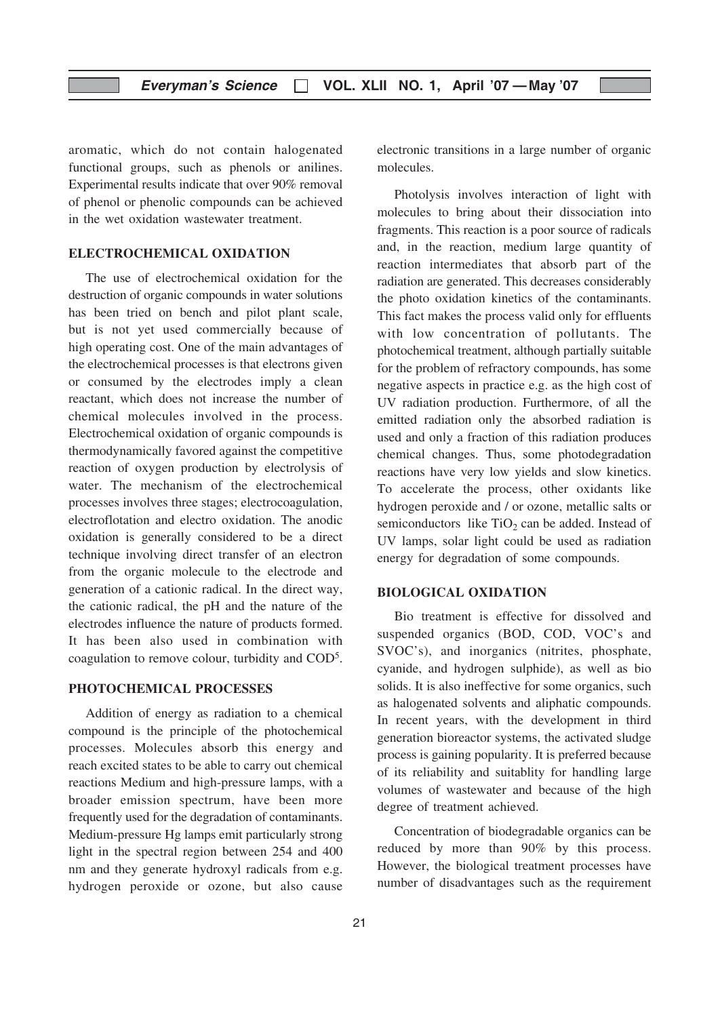aromatic, which do not contain halogenated functional groups, such as phenols or anilines. Experimental results indicate that over 90% removal of phenol or phenolic compounds can be achieved in the wet oxidation wastewater treatment.

#### ELECTROCHEMICAL OXIDATION

The use of electrochemical oxidation for the destruction of organic compounds in water solutions has been tried on bench and pilot plant scale, but is not yet used commercially because of high operating cost. One of the main advantages of the electrochemical processes is that electrons given or consumed by the electrodes imply a clean reactant, which does not increase the number of chemical molecules involved in the process. Electrochemical oxidation of organic compounds is thermodynamically favored against the competitive reaction of oxygen production by electrolysis of water. The mechanism of the electrochemical processes involves three stages; electrocoagulation, electroflotation and electro oxidation. The anodic oxidation is generally considered to be a direct technique involving direct transfer of an electron from the organic molecule to the electrode and generation of a cationic radical. In the direct way, the cationic radical, the pH and the nature of the electrodes influence the nature of products formed. It has been also used in combination with coagulation to remove colour, turbidity and COD5.

#### PHOTOCHEMICAL PROCESSES

Addition of energy as radiation to a chemical compound is the principle of the photochemical processes. Molecules absorb this energy and reach excited states to be able to carry out chemical reactions Medium and high-pressure lamps, with a broader emission spectrum, have been more frequently used for the degradation of contaminants. Medium-pressure Hg lamps emit particularly strong light in the spectral region between 254 and 400 nm and they generate hydroxyl radicals from e.g. hydrogen peroxide or ozone, but also cause

electronic transitions in a large number of organic molecules.

Photolysis involves interaction of light with molecules to bring about their dissociation into fragments. This reaction is a poor source of radicals and, in the reaction, medium large quantity of reaction intermediates that absorb part of the radiation are generated. This decreases considerably the photo oxidation kinetics of the contaminants. This fact makes the process valid only for effluents with low concentration of pollutants. The photochemical treatment, although partially suitable for the problem of refractory compounds, has some negative aspects in practice e.g. as the high cost of UV radiation production. Furthermore, of all the emitted radiation only the absorbed radiation is used and only a fraction of this radiation produces chemical changes. Thus, some photodegradation reactions have very low yields and slow kinetics. To accelerate the process, other oxidants like hydrogen peroxide and / or ozone, metallic salts or semiconductors like  $TiO<sub>2</sub>$  can be added. Instead of UV lamps, solar light could be used as radiation energy for degradation of some compounds.

#### BIOLOGICAL OXIDATION

Bio treatment is effective for dissolved and suspended organics (BOD, COD, VOC's and SVOC's), and inorganics (nitrites, phosphate, cyanide, and hydrogen sulphide), as well as bio solids. It is also ineffective for some organics, such as halogenated solvents and aliphatic compounds. In recent years, with the development in third generation bioreactor systems, the activated sludge process is gaining popularity. It is preferred because of its reliability and suitablity for handling large volumes of wastewater and because of the high degree of treatment achieved.

Concentration of biodegradable organics can be reduced by more than 90% by this process. However, the biological treatment processes have number of disadvantages such as the requirement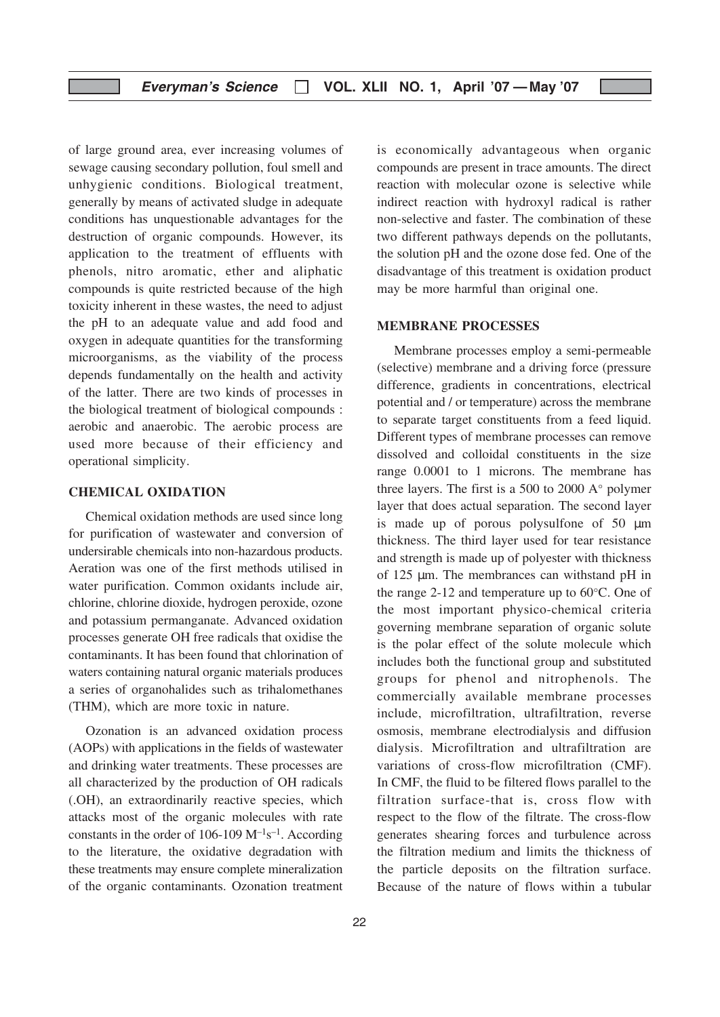of large ground area, ever increasing volumes of sewage causing secondary pollution, foul smell and unhygienic conditions. Biological treatment, generally by means of activated sludge in adequate conditions has unquestionable advantages for the destruction of organic compounds. However, its application to the treatment of effluents with phenols, nitro aromatic, ether and aliphatic compounds is quite restricted because of the high toxicity inherent in these wastes, the need to adjust the pH to an adequate value and add food and oxygen in adequate quantities for the transforming microorganisms, as the viability of the process depends fundamentally on the health and activity of the latter. There are two kinds of processes in the biological treatment of biological compounds : aerobic and anaerobic. The aerobic process are used more because of their efficiency and operational simplicity.

#### CHEMICAL OXIDATION

Chemical oxidation methods are used since long for purification of wastewater and conversion of undersirable chemicals into non-hazardous products. Aeration was one of the first methods utilised in water purification. Common oxidants include air, chlorine, chlorine dioxide, hydrogen peroxide, ozone and potassium permanganate. Advanced oxidation processes generate OH free radicals that oxidise the contaminants. It has been found that chlorination of waters containing natural organic materials produces a series of organohalides such as trihalomethanes (THM), which are more toxic in nature.

Ozonation is an advanced oxidation process (AOPs) with applications in the fields of wastewater and drinking water treatments. These processes are all characterized by the production of OH radicals (.OH), an extraordinarily reactive species, which attacks most of the organic molecules with rate constants in the order of 106-109  $M^{-1}s^{-1}$ . According to the literature, the oxidative degradation with these treatments may ensure complete mineralization of the organic contaminants. Ozonation treatment is economically advantageous when organic compounds are present in trace amounts. The direct reaction with molecular ozone is selective while indirect reaction with hydroxyl radical is rather non-selective and faster. The combination of these two different pathways depends on the pollutants, the solution pH and the ozone dose fed. One of the disadvantage of this treatment is oxidation product may be more harmful than original one.

#### MEMBRANE PROCESSES

Membrane processes employ a semi-permeable (selective) membrane and a driving force (pressure difference, gradients in concentrations, electrical potential and / or temperature) across the membrane to separate target constituents from a feed liquid. Different types of membrane processes can remove dissolved and colloidal constituents in the size range 0.0001 to 1 microns. The membrane has three layers. The first is a 500 to 2000 A° polymer layer that does actual separation. The second layer is made up of porous polysulfone of  $50 \mu m$ thickness. The third layer used for tear resistance and strength is made up of polyester with thickness of 125 µm. The membrances can withstand pH in the range 2-12 and temperature up to 60°C. One of the most important physico-chemical criteria governing membrane separation of organic solute is the polar effect of the solute molecule which includes both the functional group and substituted groups for phenol and nitrophenols. The commercially available membrane processes include, microfiltration, ultrafiltration, reverse osmosis, membrane electrodialysis and diffusion dialysis. Microfiltration and ultrafiltration are variations of cross-flow microfiltration (CMF). In CMF, the fluid to be filtered flows parallel to the filtration surface-that is, cross flow with respect to the flow of the filtrate. The cross-flow generates shearing forces and turbulence across the filtration medium and limits the thickness of the particle deposits on the filtration surface. Because of the nature of flows within a tubular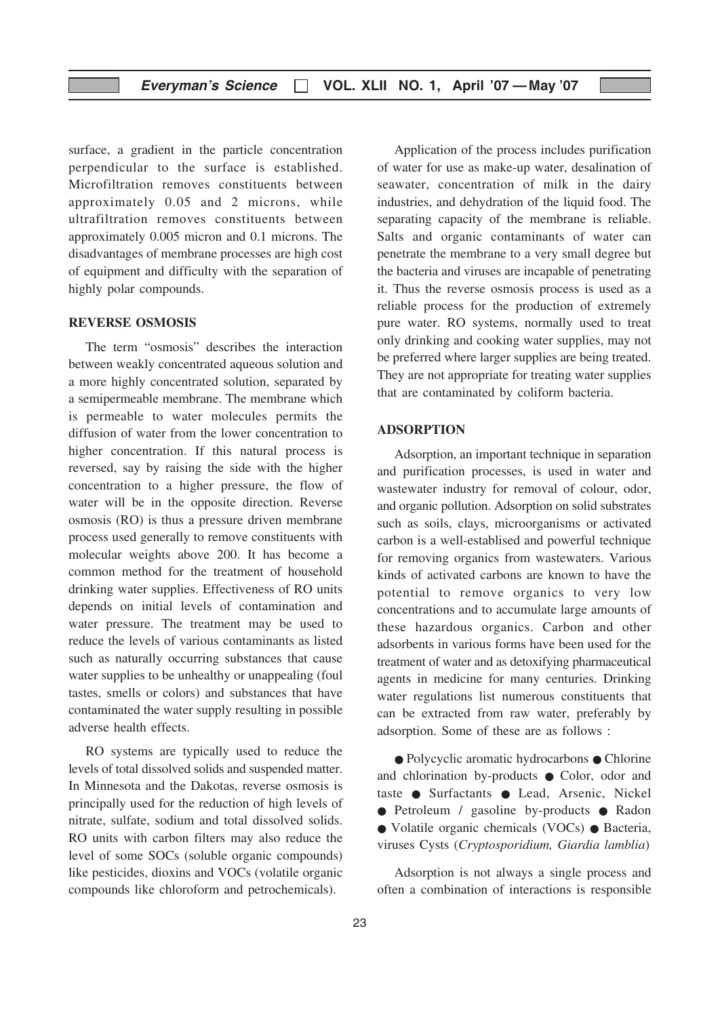surface, a gradient in the particle concentration perpendicular to the surface is established. Microfiltration removes constituents between approximately 0.05 and 2 microns, while ultrafiltration removes constituents between approximately 0.005 micron and 0.1 microns. The disadvantages of membrane processes are high cost of equipment and difficulty with the separation of highly polar compounds.

#### REVERSE OSMOSIS

The term "osmosis" describes the interaction between weakly concentrated aqueous solution and a more highly concentrated solution, separated by a semipermeable membrane. The membrane which is permeable to water molecules permits the diffusion of water from the lower concentration to higher concentration. If this natural process is reversed, say by raising the side with the higher concentration to a higher pressure, the flow of water will be in the opposite direction. Reverse osmosis (RO) is thus a pressure driven membrane process used generally to remove constituents with molecular weights above 200. It has become a common method for the treatment of household drinking water supplies. Effectiveness of RO units depends on initial levels of contamination and water pressure. The treatment may be used to reduce the levels of various contaminants as listed such as naturally occurring substances that cause water supplies to be unhealthy or unappealing (foul tastes, smells or colors) and substances that have contaminated the water supply resulting in possible adverse health effects.

RO systems are typically used to reduce the levels of total dissolved solids and suspended matter. In Minnesota and the Dakotas, reverse osmosis is principally used for the reduction of high levels of nitrate, sulfate, sodium and total dissolved solids. RO units with carbon filters may also reduce the level of some SOCs (soluble organic compounds) like pesticides, dioxins and VOCs (volatile organic compounds like chloroform and petrochemicals).

Application of the process includes purification of water for use as make-up water, desalination of seawater, concentration of milk in the dairy industries, and dehydration of the liquid food. The separating capacity of the membrane is reliable. Salts and organic contaminants of water can penetrate the membrane to a very small degree but the bacteria and viruses are incapable of penetrating it. Thus the reverse osmosis process is used as a reliable process for the production of extremely pure water. RO systems, normally used to treat only drinking and cooking water supplies, may not be preferred where larger supplies are being treated. They are not appropriate for treating water supplies that are contaminated by coliform bacteria.

#### ADSORPTION

Adsorption, an important technique in separation and purification processes, is used in water and wastewater industry for removal of colour, odor, and organic pollution. Adsorption on solid substrates such as soils, clays, microorganisms or activated carbon is a well-establised and powerful technique for removing organics from wastewaters. Various kinds of activated carbons are known to have the potential to remove organics to very low concentrations and to accumulate large amounts of these hazardous organics. Carbon and other adsorbents in various forms have been used for the treatment of water and as detoxifying pharmaceutical agents in medicine for many centuries. Drinking water regulations list numerous constituents that can be extracted from raw water, preferably by adsorption. Some of these are as follows :

● Polycyclic aromatic hydrocarbons ● Chlorine and chlorination by-products ● Color, odor and taste ● Surfactants ● Lead, Arsenic, Nickel ● Petroleum / gasoline by-products ● Radon ● Volatile organic chemicals (VOCs) ● Bacteria, viruses Cysts (Cryptosporidium, Giardia lamblia)

Adsorption is not always a single process and often a combination of interactions is responsible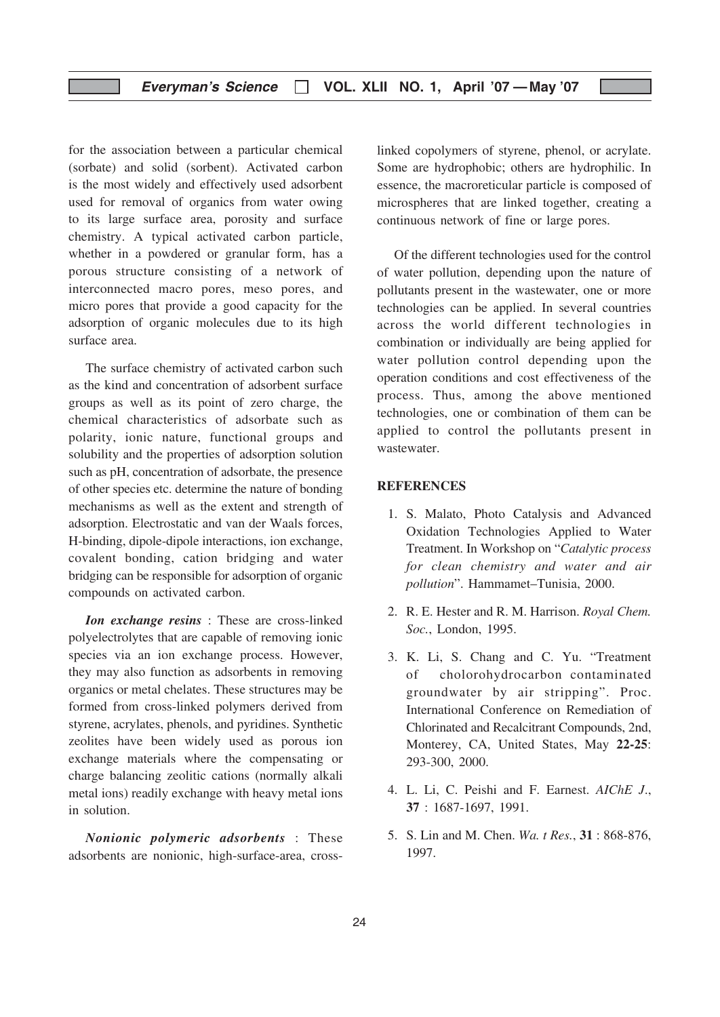#### Everyman's Science | VOL. XLII NO. 1, April '07 - May '07

for the association between a particular chemical (sorbate) and solid (sorbent). Activated carbon is the most widely and effectively used adsorbent used for removal of organics from water owing to its large surface area, porosity and surface chemistry. A typical activated carbon particle, whether in a powdered or granular form, has a porous structure consisting of a network of interconnected macro pores, meso pores, and micro pores that provide a good capacity for the adsorption of organic molecules due to its high surface area.

The surface chemistry of activated carbon such as the kind and concentration of adsorbent surface groups as well as its point of zero charge, the chemical characteristics of adsorbate such as polarity, ionic nature, functional groups and solubility and the properties of adsorption solution such as pH, concentration of adsorbate, the presence of other species etc. determine the nature of bonding mechanisms as well as the extent and strength of adsorption. Electrostatic and van der Waals forces, H-binding, dipole-dipole interactions, ion exchange, covalent bonding, cation bridging and water bridging can be responsible for adsorption of organic compounds on activated carbon.

Ion exchange resins : These are cross-linked polyelectrolytes that are capable of removing ionic species via an ion exchange process. However, they may also function as adsorbents in removing organics or metal chelates. These structures may be formed from cross-linked polymers derived from styrene, acrylates, phenols, and pyridines. Synthetic zeolites have been widely used as porous ion exchange materials where the compensating or charge balancing zeolitic cations (normally alkali metal ions) readily exchange with heavy metal ions in solution.

Nonionic polymeric adsorbents : These adsorbents are nonionic, high-surface-area, crosslinked copolymers of styrene, phenol, or acrylate. Some are hydrophobic; others are hydrophilic. In essence, the macroreticular particle is composed of microspheres that are linked together, creating a continuous network of fine or large pores.

Of the different technologies used for the control of water pollution, depending upon the nature of pollutants present in the wastewater, one or more technologies can be applied. In several countries across the world different technologies in combination or individually are being applied for water pollution control depending upon the operation conditions and cost effectiveness of the process. Thus, among the above mentioned technologies, one or combination of them can be applied to control the pollutants present in wastewater.

#### **REFERENCES**

- 1. S. Malato, Photo Catalysis and Advanced Oxidation Technologies Applied to Water Treatment. In Workshop on "Catalytic process for clean chemistry and water and air pollution". Hammamet–Tunisia, 2000.
- 2. R. E. Hester and R. M. Harrison. Royal Chem. Soc., London, 1995.
- 3. K. Li, S. Chang and C. Yu. "Treatment of cholorohydrocarbon contaminated groundwater by air stripping". Proc. International Conference on Remediation of Chlorinated and Recalcitrant Compounds, 2nd, Monterey, CA, United States, May 22-25: 293-300, 2000.
- 4. L. Li, C. Peishi and F. Earnest. AIChE J., 37 : 1687-1697, 1991.
- 5. S. Lin and M. Chen. Wa. t Res., 31 : 868-876, 1997.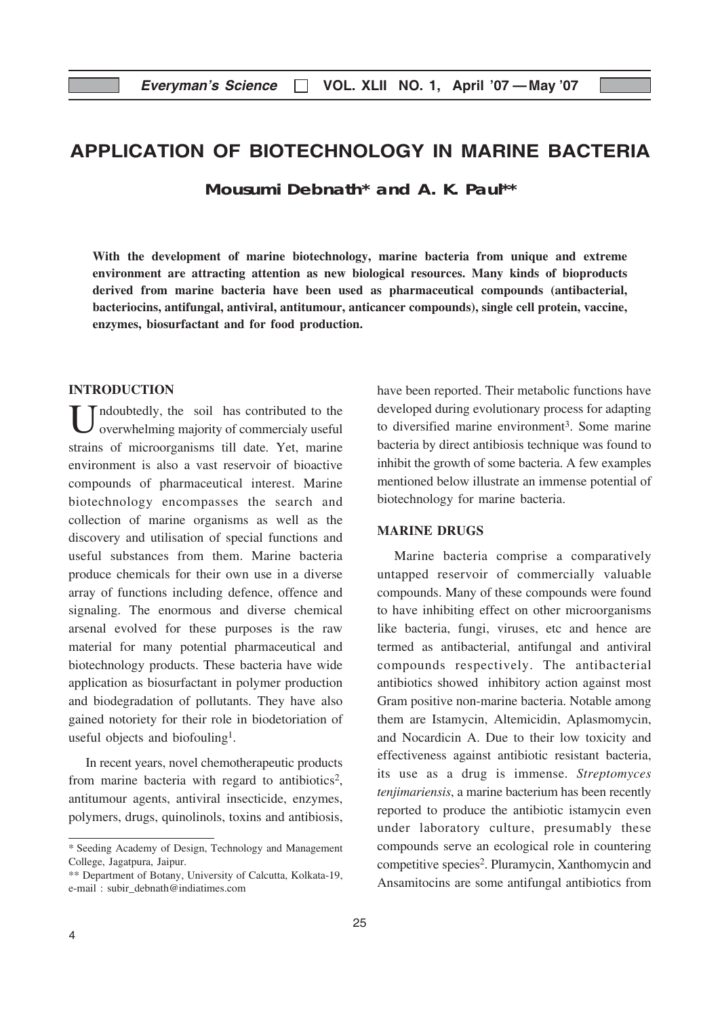## APPLICATION OF BIOTECHNOLOGY IN MARINE BACTERIA

**Mousumi Debnath\* and A. K. Paul\*\***

With the development of marine biotechnology, marine bacteria from unique and extreme environment are attracting attention as new biological resources. Many kinds of bioproducts derived from marine bacteria have been used as pharmaceutical compounds (antibacterial, bacteriocins, antifungal, antiviral, antitumour, anticancer compounds), single cell protein, vaccine, enzymes, biosurfactant and for food production.

#### **INTRODUCTION**

Indoubtedly, the soil has contributed to the overwhelming majority of commercialy useful strains of microorganisms till date. Yet, marine environment is also a vast reservoir of bioactive compounds of pharmaceutical interest. Marine biotechnology encompasses the search and collection of marine organisms as well as the discovery and utilisation of special functions and useful substances from them. Marine bacteria produce chemicals for their own use in a diverse array of functions including defence, offence and signaling. The enormous and diverse chemical arsenal evolved for these purposes is the raw material for many potential pharmaceutical and biotechnology products. These bacteria have wide application as biosurfactant in polymer production and biodegradation of pollutants. They have also gained notoriety for their role in biodetoriation of useful objects and biofouling<sup>1</sup>.

In recent years, novel chemotherapeutic products from marine bacteria with regard to antibiotics<sup>2</sup>, antitumour agents, antiviral insecticide, enzymes, polymers, drugs, quinolinols, toxins and antibiosis, have been reported. Their metabolic functions have developed during evolutionary process for adapting to diversified marine environment<sup>3</sup>. Some marine bacteria by direct antibiosis technique was found to inhibit the growth of some bacteria. A few examples mentioned below illustrate an immense potential of biotechnology for marine bacteria.

#### MARINE DRUGS

Marine bacteria comprise a comparatively untapped reservoir of commercially valuable compounds. Many of these compounds were found to have inhibiting effect on other microorganisms like bacteria, fungi, viruses, etc and hence are termed as antibacterial, antifungal and antiviral compounds respectively. The antibacterial antibiotics showed inhibitory action against most Gram positive non-marine bacteria. Notable among them are Istamycin, Altemicidin, Aplasmomycin, and Nocardicin A. Due to their low toxicity and effectiveness against antibiotic resistant bacteria, its use as a drug is immense. Streptomyces tenjimariensis, a marine bacterium has been recently reported to produce the antibiotic istamycin even under laboratory culture, presumably these compounds serve an ecological role in countering competitive species2. Pluramycin, Xanthomycin and Ansamitocins are some antifungal antibiotics from

<sup>\*</sup> Seeding Academy of Design, Technology and Management College, Jagatpura, Jaipur.

<sup>\*\*</sup> Department of Botany, University of Calcutta, Kolkata-19, e-mail : subir\_debnath@indiatimes.com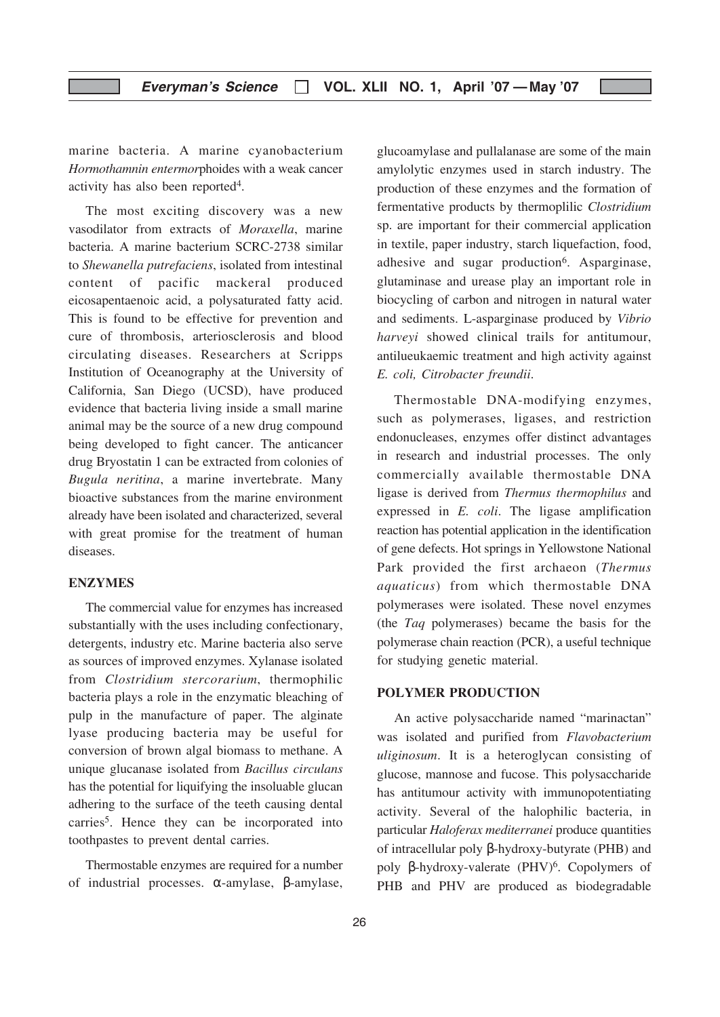marine bacteria. A marine cyanobacterium Hormothamnin entermorphoides with a weak cancer activity has also been reported4.

The most exciting discovery was a new vasodilator from extracts of Moraxella, marine bacteria. A marine bacterium SCRC-2738 similar to Shewanella putrefaciens, isolated from intestinal content of pacific mackeral produced eicosapentaenoic acid, a polysaturated fatty acid. This is found to be effective for prevention and cure of thrombosis, arteriosclerosis and blood circulating diseases. Researchers at Scripps Institution of Oceanography at the University of California, San Diego (UCSD), have produced evidence that bacteria living inside a small marine animal may be the source of a new drug compound being developed to fight cancer. The anticancer drug Bryostatin 1 can be extracted from colonies of Bugula neritina, a marine invertebrate. Many bioactive substances from the marine environment already have been isolated and characterized, several with great promise for the treatment of human diseases.

#### ENZYMES

The commercial value for enzymes has increased substantially with the uses including confectionary, detergents, industry etc. Marine bacteria also serve as sources of improved enzymes. Xylanase isolated from Clostridium stercorarium, thermophilic bacteria plays a role in the enzymatic bleaching of pulp in the manufacture of paper. The alginate lyase producing bacteria may be useful for conversion of brown algal biomass to methane. A unique glucanase isolated from Bacillus circulans has the potential for liquifying the insoluable glucan adhering to the surface of the teeth causing dental carries<sup>5</sup>. Hence they can be incorporated into toothpastes to prevent dental carries.

Thermostable enzymes are required for a number of industrial processes. α-amylase, β-amylase,

glucoamylase and pullalanase are some of the main amylolytic enzymes used in starch industry. The production of these enzymes and the formation of fermentative products by thermoplilic Clostridium sp. are important for their commercial application in textile, paper industry, starch liquefaction, food, adhesive and sugar production<sup>6</sup>. Asparginase, glutaminase and urease play an important role in biocycling of carbon and nitrogen in natural water and sediments. L-asparginase produced by Vibrio harveyi showed clinical trails for antitumour, antilueukaemic treatment and high activity against E. coli, Citrobacter freundii.

Thermostable DNA-modifying enzymes, such as polymerases, ligases, and restriction endonucleases, enzymes offer distinct advantages in research and industrial processes. The only commercially available thermostable DNA ligase is derived from Thermus thermophilus and expressed in E. coli. The ligase amplification reaction has potential application in the identification of gene defects. Hot springs in Yellowstone National Park provided the first archaeon (Thermus aquaticus) from which thermostable DNA polymerases were isolated. These novel enzymes (the Taq polymerases) became the basis for the polymerase chain reaction (PCR), a useful technique for studying genetic material.

#### POLYMER PRODUCTION

An active polysaccharide named "marinactan" was isolated and purified from Flavobacterium uliginosum. It is a heteroglycan consisting of glucose, mannose and fucose. This polysaccharide has antitumour activity with immunopotentiating activity. Several of the halophilic bacteria, in particular Haloferax mediterranei produce quantities of intracellular poly β-hydroxy-butyrate (PHB) and poly β-hydroxy-valerate (PHV)<sup>6</sup>. Copolymers of PHB and PHV are produced as biodegradable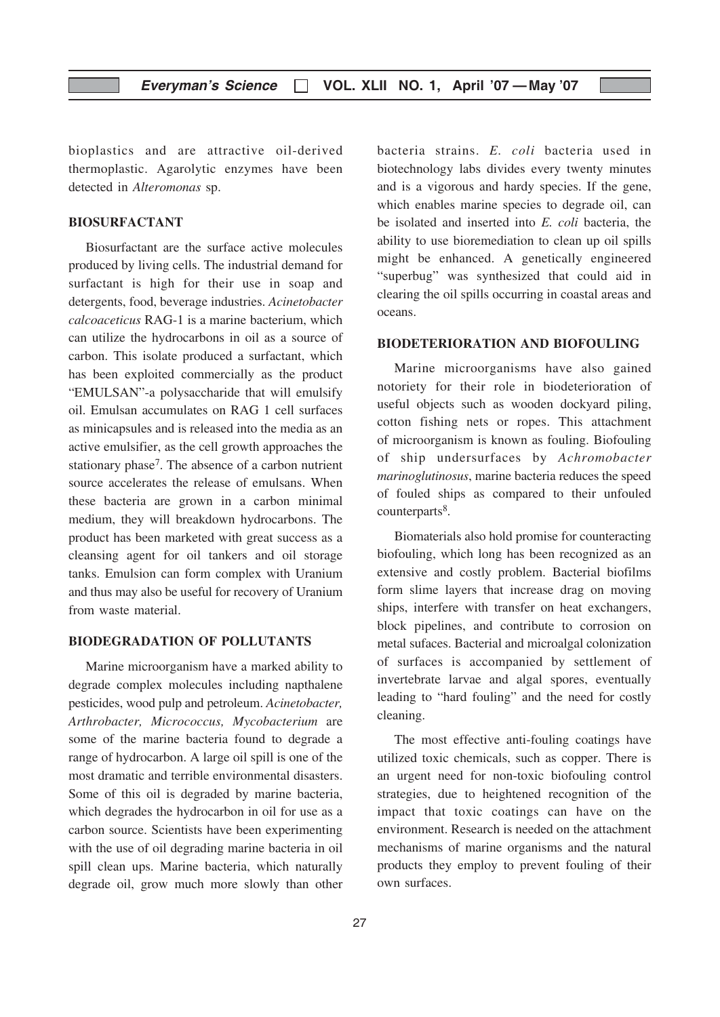bioplastics and are attractive oil-derived thermoplastic. Agarolytic enzymes have been detected in Alteromonas sp.

#### BIOSURFACTANT

Biosurfactant are the surface active molecules produced by living cells. The industrial demand for surfactant is high for their use in soap and detergents, food, beverage industries. Acinetobacter calcoaceticus RAG-1 is a marine bacterium, which can utilize the hydrocarbons in oil as a source of carbon. This isolate produced a surfactant, which has been exploited commercially as the product "EMULSAN"-a polysaccharide that will emulsify oil. Emulsan accumulates on RAG 1 cell surfaces as minicapsules and is released into the media as an active emulsifier, as the cell growth approaches the stationary phase<sup>7</sup>. The absence of a carbon nutrient source accelerates the release of emulsans. When these bacteria are grown in a carbon minimal medium, they will breakdown hydrocarbons. The product has been marketed with great success as a cleansing agent for oil tankers and oil storage tanks. Emulsion can form complex with Uranium and thus may also be useful for recovery of Uranium from waste material.

#### BIODEGRADATION OF POLLUTANTS

Marine microorganism have a marked ability to degrade complex molecules including napthalene pesticides, wood pulp and petroleum. Acinetobacter, Arthrobacter, Micrococcus, Mycobacterium are some of the marine bacteria found to degrade a range of hydrocarbon. A large oil spill is one of the most dramatic and terrible environmental disasters. Some of this oil is degraded by marine bacteria, which degrades the hydrocarbon in oil for use as a carbon source. Scientists have been experimenting with the use of oil degrading marine bacteria in oil spill clean ups. Marine bacteria, which naturally degrade oil, grow much more slowly than other bacteria strains. E. coli bacteria used in biotechnology labs divides every twenty minutes and is a vigorous and hardy species. If the gene, which enables marine species to degrade oil, can be isolated and inserted into E. coli bacteria, the ability to use bioremediation to clean up oil spills might be enhanced. A genetically engineered "superbug" was synthesized that could aid in clearing the oil spills occurring in coastal areas and oceans.

#### BIODETERIORATION AND BIOFOULING

Marine microorganisms have also gained notoriety for their role in biodeterioration of useful objects such as wooden dockyard piling, cotton fishing nets or ropes. This attachment of microorganism is known as fouling. Biofouling of ship undersurfaces by Achromobacter marinoglutinosus, marine bacteria reduces the speed of fouled ships as compared to their unfouled counterparts<sup>8</sup>.

Biomaterials also hold promise for counteracting biofouling, which long has been recognized as an extensive and costly problem. Bacterial biofilms form slime layers that increase drag on moving ships, interfere with transfer on heat exchangers, block pipelines, and contribute to corrosion on metal sufaces. Bacterial and microalgal colonization of surfaces is accompanied by settlement of invertebrate larvae and algal spores, eventually leading to "hard fouling" and the need for costly cleaning.

The most effective anti-fouling coatings have utilized toxic chemicals, such as copper. There is an urgent need for non-toxic biofouling control strategies, due to heightened recognition of the impact that toxic coatings can have on the environment. Research is needed on the attachment mechanisms of marine organisms and the natural products they employ to prevent fouling of their own surfaces.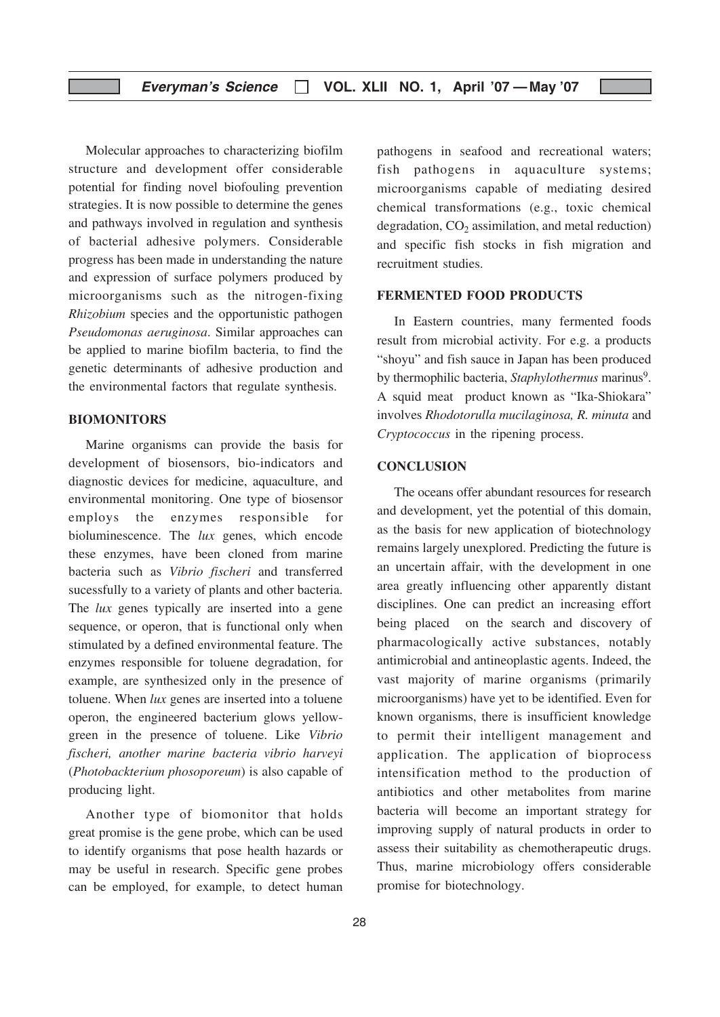Molecular approaches to characterizing biofilm structure and development offer considerable potential for finding novel biofouling prevention strategies. It is now possible to determine the genes and pathways involved in regulation and synthesis of bacterial adhesive polymers. Considerable progress has been made in understanding the nature and expression of surface polymers produced by microorganisms such as the nitrogen-fixing Rhizobium species and the opportunistic pathogen Pseudomonas aeruginosa. Similar approaches can be applied to marine biofilm bacteria, to find the genetic determinants of adhesive production and the environmental factors that regulate synthesis.

#### BIOMONITORS

Marine organisms can provide the basis for development of biosensors, bio-indicators and diagnostic devices for medicine, aquaculture, and environmental monitoring. One type of biosensor employs the enzymes responsible for bioluminescence. The *lux* genes, which encode these enzymes, have been cloned from marine bacteria such as Vibrio fischeri and transferred sucessfully to a variety of plants and other bacteria. The *lux* genes typically are inserted into a gene sequence, or operon, that is functional only when stimulated by a defined environmental feature. The enzymes responsible for toluene degradation, for example, are synthesized only in the presence of toluene. When lux genes are inserted into a toluene operon, the engineered bacterium glows yellowgreen in the presence of toluene. Like Vibrio fischeri, another marine bacteria vibrio harveyi (Photobackterium phosoporeum) is also capable of producing light.

Another type of biomonitor that holds great promise is the gene probe, which can be used to identify organisms that pose health hazards or may be useful in research. Specific gene probes can be employed, for example, to detect human pathogens in seafood and recreational waters; fish pathogens in aquaculture systems; microorganisms capable of mediating desired chemical transformations (e.g., toxic chemical degradation,  $CO<sub>2</sub>$  assimilation, and metal reduction) and specific fish stocks in fish migration and recruitment studies.

#### FERMENTED FOOD PRODUCTS

In Eastern countries, many fermented foods result from microbial activity. For e.g. a products "shoyu" and fish sauce in Japan has been produced by thermophilic bacteria, Staphylothermus marinus<sup>9</sup>. A squid meat product known as "Ika-Shiokara" involves Rhodotorulla mucilaginosa, R. minuta and Cryptococcus in the ripening process.

#### **CONCLUSION**

The oceans offer abundant resources for research and development, yet the potential of this domain, as the basis for new application of biotechnology remains largely unexplored. Predicting the future is an uncertain affair, with the development in one area greatly influencing other apparently distant disciplines. One can predict an increasing effort being placed on the search and discovery of pharmacologically active substances, notably antimicrobial and antineoplastic agents. Indeed, the vast majority of marine organisms (primarily microorganisms) have yet to be identified. Even for known organisms, there is insufficient knowledge to permit their intelligent management and application. The application of bioprocess intensification method to the production of antibiotics and other metabolites from marine bacteria will become an important strategy for improving supply of natural products in order to assess their suitability as chemotherapeutic drugs. Thus, marine microbiology offers considerable promise for biotechnology.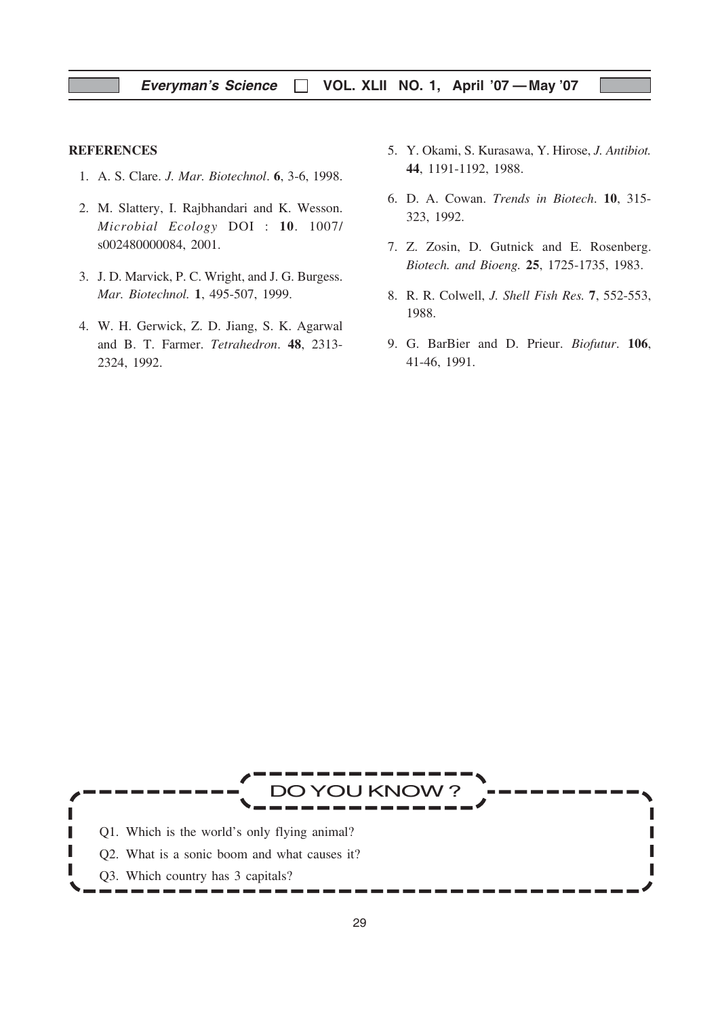#### **REFERENCES**

- 1. A. S. Clare. J. Mar. Biotechnol. 6, 3-6, 1998.
- 2. M. Slattery, I. Rajbhandari and K. Wesson. Microbial Ecology DOI : 10. 1007/ s002480000084, 2001.
- 3. J. D. Marvick, P. C. Wright, and J. G. Burgess. Mar. Biotechnol. 1, 495-507, 1999.
- 4. W. H. Gerwick, Z. D. Jiang, S. K. Agarwal and B. T. Farmer. Tetrahedron. 48, 2313- 2324, 1992.
- 5. Y. Okami, S. Kurasawa, Y. Hirose, J. Antibiot. 44, 1191-1192, 1988.
- 6. D. A. Cowan. Trends in Biotech. 10, 315- 323, 1992.
- 7. Z. Zosin, D. Gutnick and E. Rosenberg. Biotech. and Bioeng. 25, 1725-1735, 1983.
- 8. R. R. Colwell, J. Shell Fish Res. 7, 552-553, 1988.
- 9. G. BarBier and D. Prieur. Biofutur. 106, 41-46, 1991.

YOU KNOV Π Q1. Which is the world's only flying animal? П Q2. What is a sonic boom and what causes it? I Q3. Which country has 3 capitals?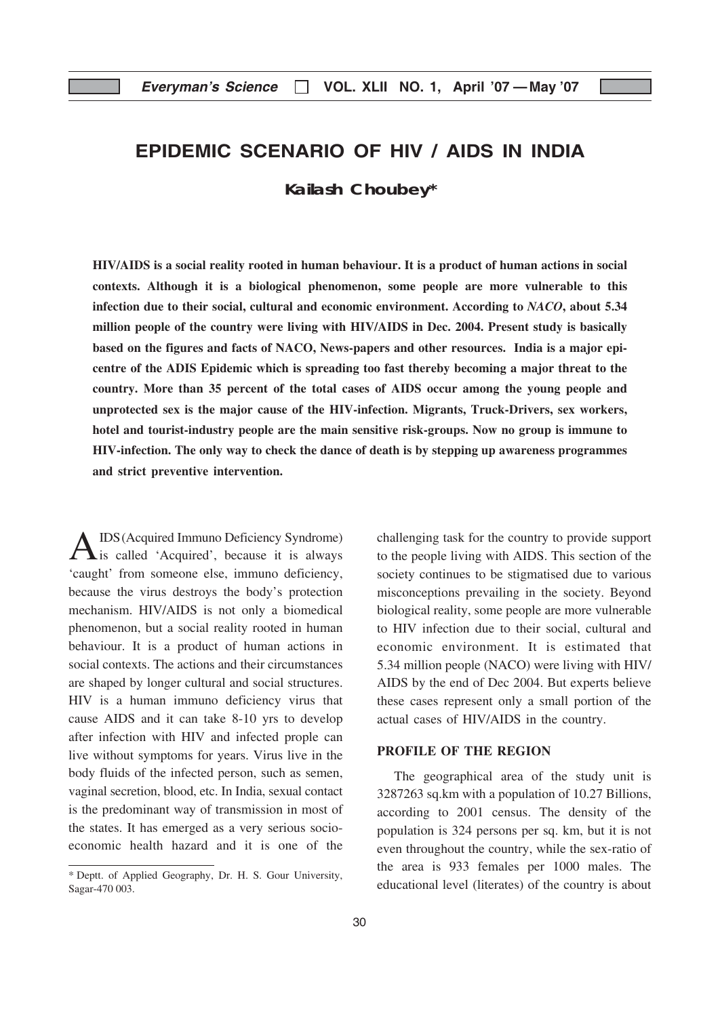# EPIDEMIC SCENARIO OF HIV / AIDS IN INDIA

**Kailash Choubey\***

HIV/AIDS is a social reality rooted in human behaviour. It is a product of human actions in social contexts. Although it is a biological phenomenon, some people are more vulnerable to this infection due to their social, cultural and economic environment. According to NACO, about 5.34 million people of the country were living with HIV/AIDS in Dec. 2004. Present study is basically based on the figures and facts of NACO, News-papers and other resources. India is a major epicentre of the ADIS Epidemic which is spreading too fast thereby becoming a major threat to the country. More than 35 percent of the total cases of AIDS occur among the young people and unprotected sex is the major cause of the HIV-infection. Migrants, Truck-Drivers, sex workers, hotel and tourist-industry people are the main sensitive risk-groups. Now no group is immune to HIV-infection. The only way to check the dance of death is by stepping up awareness programmes and strict preventive intervention.

A IDS (Acquired Immuno Deficiency Syndrome)<br>is called 'Acquired', because it is always 'caught' from someone else, immuno deficiency, because the virus destroys the body's protection mechanism. HIV/AIDS is not only a biomedical phenomenon, but a social reality rooted in human behaviour. It is a product of human actions in social contexts. The actions and their circumstances are shaped by longer cultural and social structures. HIV is a human immuno deficiency virus that cause AIDS and it can take 8-10 yrs to develop after infection with HIV and infected prople can live without symptoms for years. Virus live in the body fluids of the infected person, such as semen, vaginal secretion, blood, etc. In India, sexual contact is the predominant way of transmission in most of the states. It has emerged as a very serious socioeconomic health hazard and it is one of the

challenging task for the country to provide support to the people living with AIDS. This section of the society continues to be stigmatised due to various misconceptions prevailing in the society. Beyond biological reality, some people are more vulnerable to HIV infection due to their social, cultural and economic environment. It is estimated that 5.34 million people (NACO) were living with HIV/ AIDS by the end of Dec 2004. But experts believe these cases represent only a small portion of the actual cases of HIV/AIDS in the country.

#### PROFILE OF THE REGION

The geographical area of the study unit is 3287263 sq.km with a population of 10.27 Billions, according to 2001 census. The density of the population is 324 persons per sq. km, but it is not even throughout the country, while the sex-ratio of the area is 933 females per 1000 males. The educational level (literates) of the country is about

<sup>\*</sup> Deptt. of Applied Geography, Dr. H. S. Gour University, Sagar-470 003.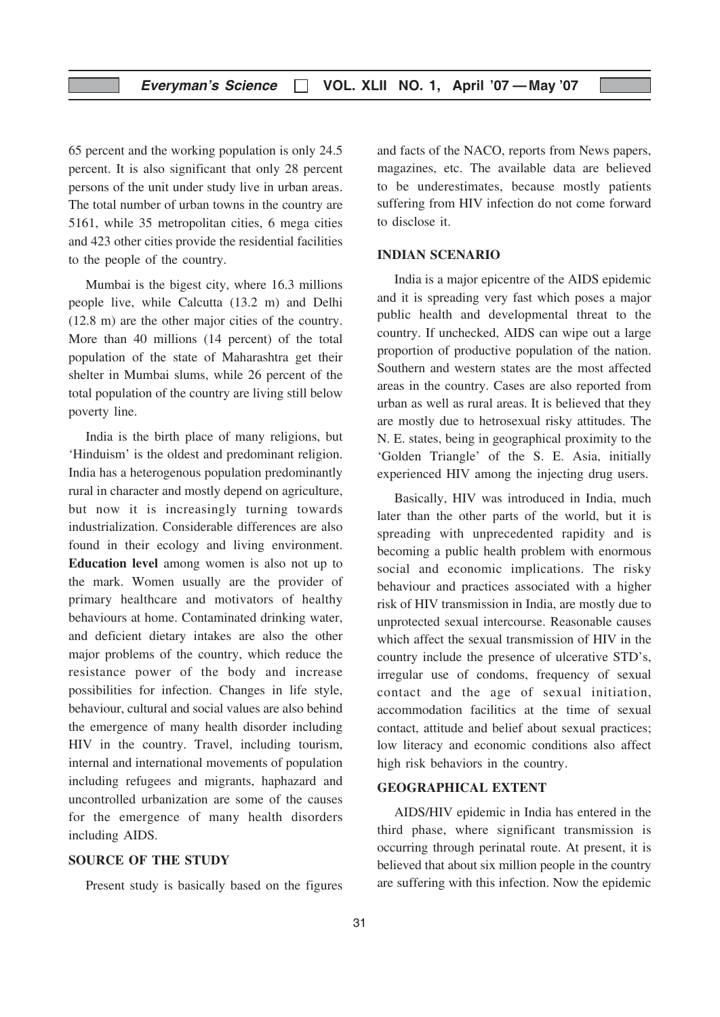65 percent and the working population is only 24.5 percent. It is also significant that only 28 percent persons of the unit under study live in urban areas. The total number of urban towns in the country are 5161, while 35 metropolitan cities, 6 mega cities and 423 other cities provide the residential facilities to the people of the country.

Mumbai is the bigest city, where 16.3 millions people live, while Calcutta (13.2 m) and Delhi (12.8 m) are the other major cities of the country. More than 40 millions (14 percent) of the total population of the state of Maharashtra get their shelter in Mumbai slums, while 26 percent of the total population of the country are living still below poverty line.

India is the birth place of many religions, but 'Hinduism' is the oldest and predominant religion. India has a heterogenous population predominantly rural in character and mostly depend on agriculture, but now it is increasingly turning towards industrialization. Considerable differences are also found in their ecology and living environment. Education level among women is also not up to the mark. Women usually are the provider of primary healthcare and motivators of healthy behaviours at home. Contaminated drinking water, and deficient dietary intakes are also the other major problems of the country, which reduce the resistance power of the body and increase possibilities for infection. Changes in life style, behaviour, cultural and social values are also behind the emergence of many health disorder including HIV in the country. Travel, including tourism, internal and international movements of population including refugees and migrants, haphazard and uncontrolled urbanization are some of the causes for the emergence of many health disorders including AIDS.

#### SOURCE OF THE STUDY

Present study is basically based on the figures

and facts of the NACO, reports from News papers, magazines, etc. The available data are believed to be underestimates, because mostly patients suffering from HIV infection do not come forward to disclose it.

#### INDIAN SCENARIO

India is a major epicentre of the AIDS epidemic and it is spreading very fast which poses a major public health and developmental threat to the country. If unchecked, AIDS can wipe out a large proportion of productive population of the nation. Southern and western states are the most affected areas in the country. Cases are also reported from urban as well as rural areas. It is believed that they are mostly due to hetrosexual risky attitudes. The N. E. states, being in geographical proximity to the 'Golden Triangle' of the S. E. Asia, initially experienced HIV among the injecting drug users.

Basically, HIV was introduced in India, much later than the other parts of the world, but it is spreading with unprecedented rapidity and is becoming a public health problem with enormous social and economic implications. The risky behaviour and practices associated with a higher risk of HIV transmission in India, are mostly due to unprotected sexual intercourse. Reasonable causes which affect the sexual transmission of HIV in the country include the presence of ulcerative STD's, irregular use of condoms, frequency of sexual contact and the age of sexual initiation, accommodation facilitics at the time of sexual contact, attitude and belief about sexual practices; low literacy and economic conditions also affect high risk behaviors in the country.

#### GEOGRAPHICAL EXTENT

AIDS/HIV epidemic in India has entered in the third phase, where significant transmission is occurring through perinatal route. At present, it is believed that about six million people in the country are suffering with this infection. Now the epidemic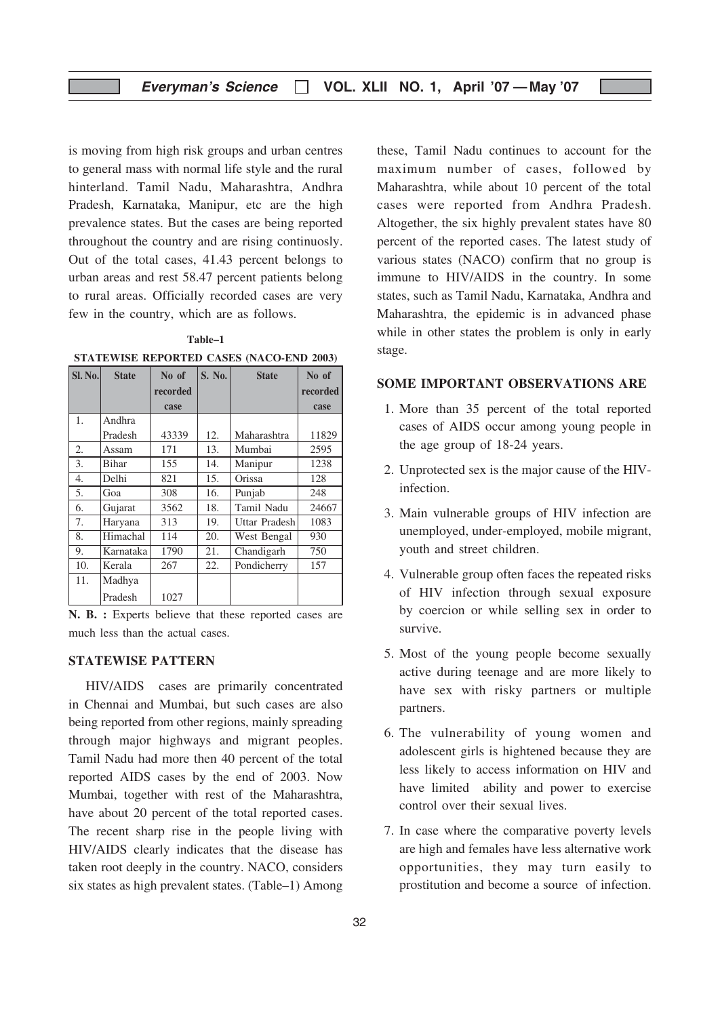is moving from high risk groups and urban centres to general mass with normal life style and the rural hinterland. Tamil Nadu, Maharashtra, Andhra Pradesh, Karnataka, Manipur, etc are the high prevalence states. But the cases are being reported throughout the country and are rising continuosly. Out of the total cases, 41.43 percent belongs to urban areas and rest 58.47 percent patients belong to rural areas. Officially recorded cases are very few in the country, which are as follows.

Table–1 STATEWISE REPORTED CASES (NACO-END 2003)

| Sl. No. | <b>State</b> | No of    | S. No. | <b>State</b>  | No of    |
|---------|--------------|----------|--------|---------------|----------|
|         |              | recorded |        |               | recorded |
|         |              | case     |        |               | case     |
| 1.      | Andhra       |          |        |               |          |
|         | Pradesh      | 43339    | 12.    | Maharashtra   | 11829    |
| 2.      | Assam        | 171      | 13.    | Mumbai        | 2595     |
| 3.      | <b>Bihar</b> | 155      | 14.    | Manipur       | 1238     |
| 4.      | Delhi        | 821      | 15.    | Orissa        | 128      |
| 5.      | Goa          | 308      | 16.    | Punjab        | 248      |
| 6.      | Gujarat      | 3562     | 18.    | Tamil Nadu    | 24667    |
| 7.      | Haryana      | 313      | 19.    | Uttar Pradesh | 1083     |
| 8.      | Himachal     | 114      | 20.    | West Bengal   | 930      |
| 9.      | Karnataka    | 1790     | 21.    | Chandigarh    | 750      |
| 10.     | Kerala       | 267      | 22.    | Pondicherry   | 157      |
| 11.     | Madhya       |          |        |               |          |
|         | Pradesh      | 1027     |        |               |          |

N. B. : Experts believe that these reported cases are much less than the actual cases.

#### STATEWISE PATTERN

HIV/AIDS cases are primarily concentrated in Chennai and Mumbai, but such cases are also being reported from other regions, mainly spreading through major highways and migrant peoples. Tamil Nadu had more then 40 percent of the total reported AIDS cases by the end of 2003. Now Mumbai, together with rest of the Maharashtra, have about 20 percent of the total reported cases. The recent sharp rise in the people living with HIV/AIDS clearly indicates that the disease has taken root deeply in the country. NACO, considers six states as high prevalent states. (Table–1) Among

these, Tamil Nadu continues to account for the maximum number of cases, followed by Maharashtra, while about 10 percent of the total cases were reported from Andhra Pradesh. Altogether, the six highly prevalent states have 80 percent of the reported cases. The latest study of various states (NACO) confirm that no group is immune to HIV/AIDS in the country. In some states, such as Tamil Nadu, Karnataka, Andhra and Maharashtra, the epidemic is in advanced phase while in other states the problem is only in early stage.

#### SOME IMPORTANT OBSERVATIONS ARE

- 1. More than 35 percent of the total reported cases of AIDS occur among young people in the age group of 18-24 years.
- 2. Unprotected sex is the major cause of the HIVinfection.
- 3. Main vulnerable groups of HIV infection are unemployed, under-employed, mobile migrant, youth and street children.
- 4. Vulnerable group often faces the repeated risks of HIV infection through sexual exposure by coercion or while selling sex in order to survive.
- 5. Most of the young people become sexually active during teenage and are more likely to have sex with risky partners or multiple partners.
- 6. The vulnerability of young women and adolescent girls is hightened because they are less likely to access information on HIV and have limited ability and power to exercise control over their sexual lives.
- 7. In case where the comparative poverty levels are high and females have less alternative work opportunities, they may turn easily to prostitution and become a source of infection.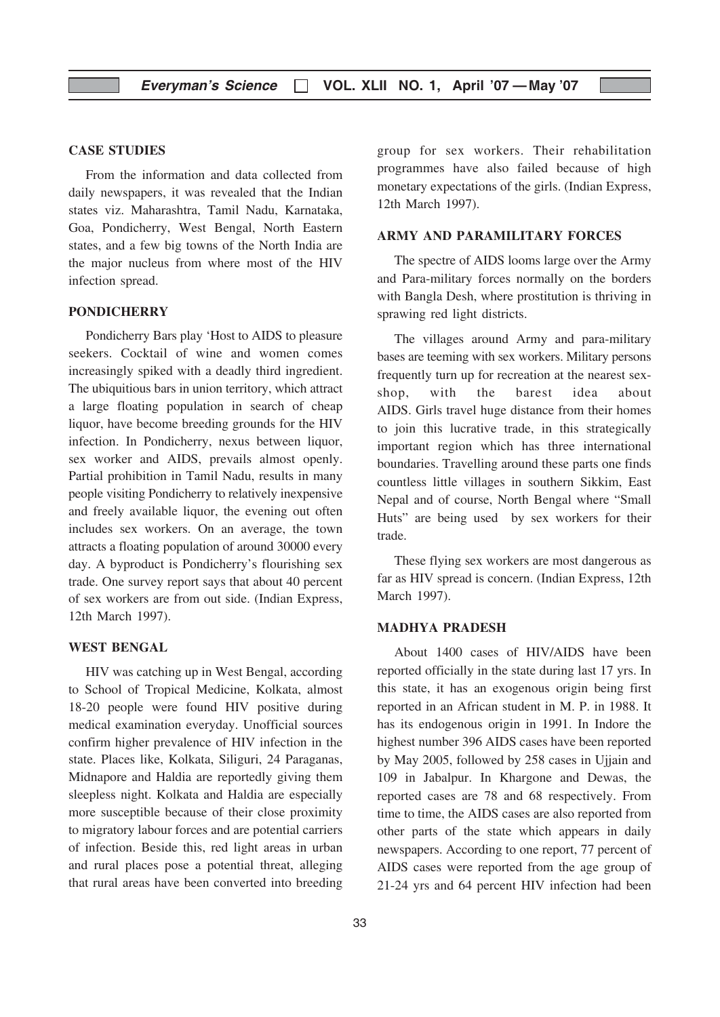#### CASE STUDIES

From the information and data collected from daily newspapers, it was revealed that the Indian states viz. Maharashtra, Tamil Nadu, Karnataka, Goa, Pondicherry, West Bengal, North Eastern states, and a few big towns of the North India are the major nucleus from where most of the HIV infection spread.

#### **PONDICHERRY**

Pondicherry Bars play 'Host to AIDS to pleasure seekers. Cocktail of wine and women comes increasingly spiked with a deadly third ingredient. The ubiquitious bars in union territory, which attract a large floating population in search of cheap liquor, have become breeding grounds for the HIV infection. In Pondicherry, nexus between liquor, sex worker and AIDS, prevails almost openly. Partial prohibition in Tamil Nadu, results in many people visiting Pondicherry to relatively inexpensive and freely available liquor, the evening out often includes sex workers. On an average, the town attracts a floating population of around 30000 every day. A byproduct is Pondicherry's flourishing sex trade. One survey report says that about 40 percent of sex workers are from out side. (Indian Express, 12th March 1997).

#### WEST BENGAL

HIV was catching up in West Bengal, according to School of Tropical Medicine, Kolkata, almost 18-20 people were found HIV positive during medical examination everyday. Unofficial sources confirm higher prevalence of HIV infection in the state. Places like, Kolkata, Siliguri, 24 Paraganas, Midnapore and Haldia are reportedly giving them sleepless night. Kolkata and Haldia are especially more susceptible because of their close proximity to migratory labour forces and are potential carriers of infection. Beside this, red light areas in urban and rural places pose a potential threat, alleging that rural areas have been converted into breeding

33

group for sex workers. Their rehabilitation programmes have also failed because of high monetary expectations of the girls. (Indian Express, 12th March 1997).

#### ARMY AND PARAMILITARY FORCES

The spectre of AIDS looms large over the Army and Para-military forces normally on the borders with Bangla Desh, where prostitution is thriving in sprawing red light districts.

The villages around Army and para-military bases are teeming with sex workers. Military persons frequently turn up for recreation at the nearest sexshop, with the barest idea about AIDS. Girls travel huge distance from their homes to join this lucrative trade, in this strategically important region which has three international boundaries. Travelling around these parts one finds countless little villages in southern Sikkim, East Nepal and of course, North Bengal where "Small Huts" are being used by sex workers for their trade.

These flying sex workers are most dangerous as far as HIV spread is concern. (Indian Express, 12th March 1997).

#### MADHYA PRADESH

About 1400 cases of HIV/AIDS have been reported officially in the state during last 17 yrs. In this state, it has an exogenous origin being first reported in an African student in M. P. in 1988. It has its endogenous origin in 1991. In Indore the highest number 396 AIDS cases have been reported by May 2005, followed by 258 cases in Ujjain and 109 in Jabalpur. In Khargone and Dewas, the reported cases are 78 and 68 respectively. From time to time, the AIDS cases are also reported from other parts of the state which appears in daily newspapers. According to one report, 77 percent of AIDS cases were reported from the age group of 21-24 yrs and 64 percent HIV infection had been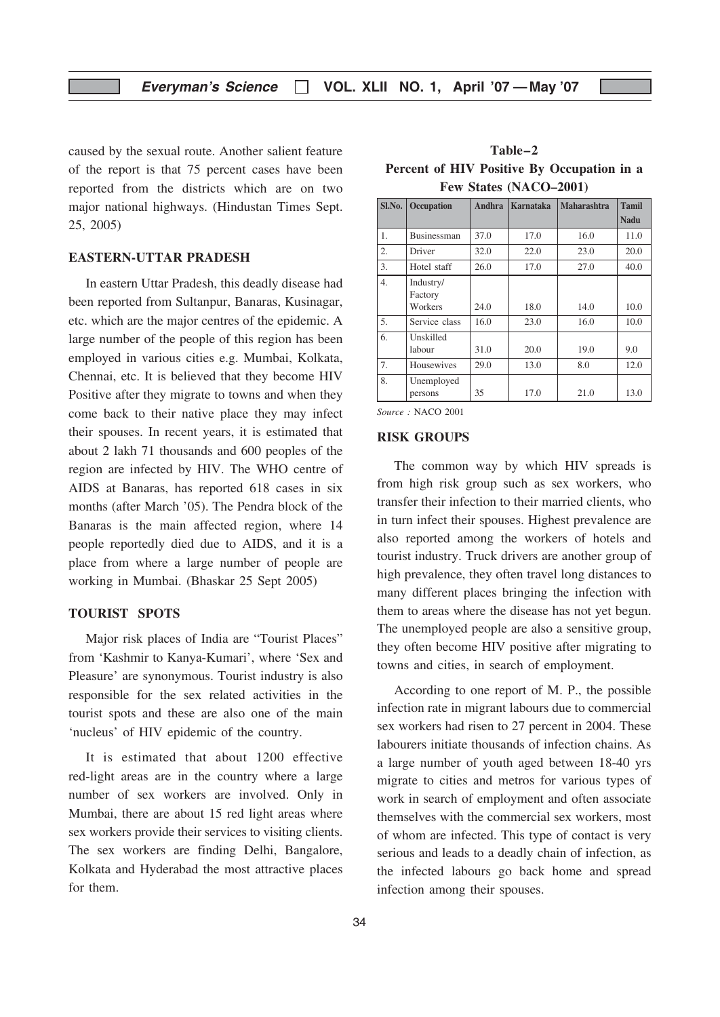caused by the sexual route. Another salient feature of the report is that 75 percent cases have been reported from the districts which are on two major national highways. (Hindustan Times Sept. 25, 2005)

#### EASTERN-UTTAR PRADESH

In eastern Uttar Pradesh, this deadly disease had been reported from Sultanpur, Banaras, Kusinagar, etc. which are the major centres of the epidemic. A large number of the people of this region has been employed in various cities e.g. Mumbai, Kolkata, Chennai, etc. It is believed that they become HIV Positive after they migrate to towns and when they come back to their native place they may infect their spouses. In recent years, it is estimated that about 2 lakh 71 thousands and 600 peoples of the region are infected by HIV. The WHO centre of AIDS at Banaras, has reported 618 cases in six months (after March '05). The Pendra block of the Banaras is the main affected region, where 14 people reportedly died due to AIDS, and it is a place from where a large number of people are working in Mumbai. (Bhaskar 25 Sept 2005)

#### TOURIST SPOTS

Major risk places of India are "Tourist Places" from 'Kashmir to Kanya-Kumari', where 'Sex and Pleasure' are synonymous. Tourist industry is also responsible for the sex related activities in the tourist spots and these are also one of the main 'nucleus' of HIV epidemic of the country.

It is estimated that about 1200 effective red-light areas are in the country where a large number of sex workers are involved. Only in Mumbai, there are about 15 red light areas where sex workers provide their services to visiting clients. The sex workers are finding Delhi, Bangalore, Kolkata and Hyderabad the most attractive places for them.

Table–2 Percent of HIV Positive By Occupation in a Few States (NACO–2001)

| Sl.No. | Occupation            | <b>Andhra</b> | Karnataka | <b>Maharashtra</b> | <b>Tamil</b> |
|--------|-----------------------|---------------|-----------|--------------------|--------------|
|        |                       |               |           |                    | <b>Nadu</b>  |
| 1.     | <b>Businessman</b>    | 37.0          | 17.0      | 16.0               | 11.0         |
| 2.     | Driver                | 32.0          | 22.0      | 23.0               | 20.0         |
| 3.     | Hotel staff           | 26.0          | 17.0      | 27.0               | 40.0         |
| 4.     | Industry/<br>Factory  |               |           |                    |              |
|        | Workers               | 24.0          | 18.0      | 14.0               | 10.0         |
| 5.     | Service class         | 16.0          | 23.0      | 16.0               | 10.0         |
| 6.     | Unskilled             |               |           |                    |              |
|        | labour                | 31.0          | 20.0      | 19.0               | 9.0          |
| 7.     | Housewives            | 29.0          | 13.0      | 8.0                | 12.0         |
| 8.     | Unemployed<br>persons | 35            | 17.0      | 21.0               | 13.0         |

Source: NACO 2001

#### RISK GROUPS

The common way by which HIV spreads is from high risk group such as sex workers, who transfer their infection to their married clients, who in turn infect their spouses. Highest prevalence are also reported among the workers of hotels and tourist industry. Truck drivers are another group of high prevalence, they often travel long distances to many different places bringing the infection with them to areas where the disease has not yet begun. The unemployed people are also a sensitive group, they often become HIV positive after migrating to towns and cities, in search of employment.

According to one report of M. P., the possible infection rate in migrant labours due to commercial sex workers had risen to 27 percent in 2004. These labourers initiate thousands of infection chains. As a large number of youth aged between 18-40 yrs migrate to cities and metros for various types of work in search of employment and often associate themselves with the commercial sex workers, most of whom are infected. This type of contact is very serious and leads to a deadly chain of infection, as the infected labours go back home and spread infection among their spouses.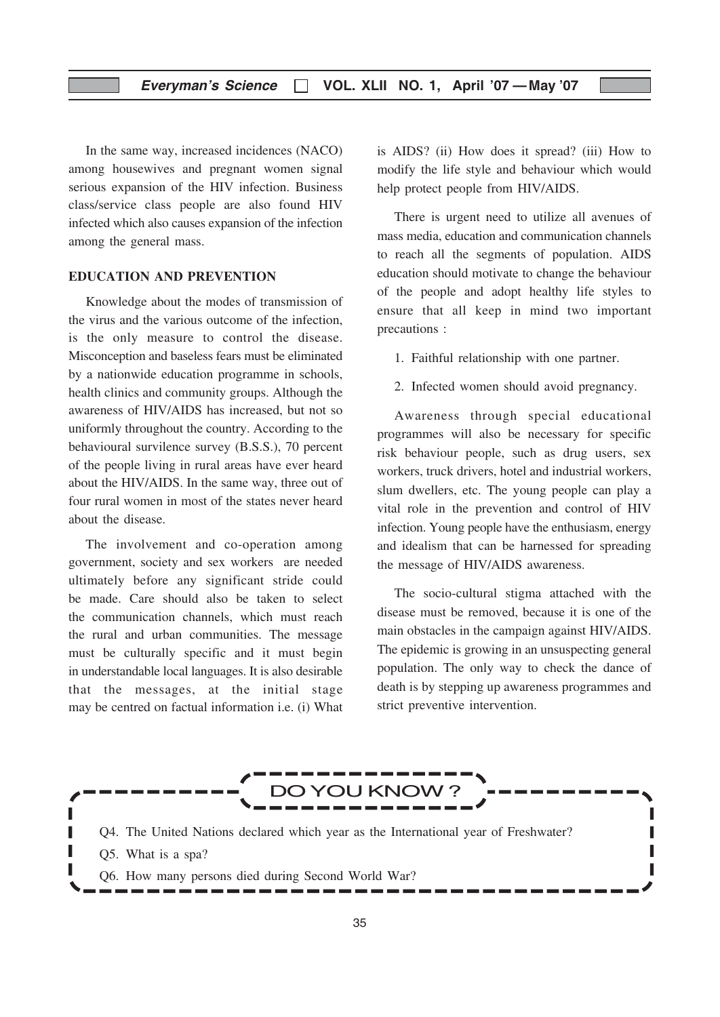In the same way, increased incidences (NACO) among housewives and pregnant women signal serious expansion of the HIV infection. Business class/service class people are also found HIV infected which also causes expansion of the infection among the general mass.

#### EDUCATION AND PREVENTION

Knowledge about the modes of transmission of the virus and the various outcome of the infection, is the only measure to control the disease. Misconception and baseless fears must be eliminated by a nationwide education programme in schools, health clinics and community groups. Although the awareness of HIV/AIDS has increased, but not so uniformly throughout the country. According to the behavioural survilence survey (B.S.S.), 70 percent of the people living in rural areas have ever heard about the HIV/AIDS. In the same way, three out of four rural women in most of the states never heard about the disease.

The involvement and co-operation among government, society and sex workers are needed ultimately before any significant stride could be made. Care should also be taken to select the communication channels, which must reach the rural and urban communities. The message must be culturally specific and it must begin in understandable local languages. It is also desirable that the messages, at the initial stage may be centred on factual information i.e. (i) What

is AIDS? (ii) How does it spread? (iii) How to modify the life style and behaviour which would help protect people from HIV/AIDS.

There is urgent need to utilize all avenues of mass media, education and communication channels to reach all the segments of population. AIDS education should motivate to change the behaviour of the people and adopt healthy life styles to ensure that all keep in mind two important precautions :

1. Faithful relationship with one partner.

2. Infected women should avoid pregnancy.

Awareness through special educational programmes will also be necessary for specific risk behaviour people, such as drug users, sex workers, truck drivers, hotel and industrial workers, slum dwellers, etc. The young people can play a vital role in the prevention and control of HIV infection. Young people have the enthusiasm, energy and idealism that can be harnessed for spreading the message of HIV/AIDS awareness.

The socio-cultural stigma attached with the disease must be removed, because it is one of the main obstacles in the campaign against HIV/AIDS. The epidemic is growing in an unsuspecting general population. The only way to check the dance of death is by stepping up awareness programmes and strict preventive intervention.

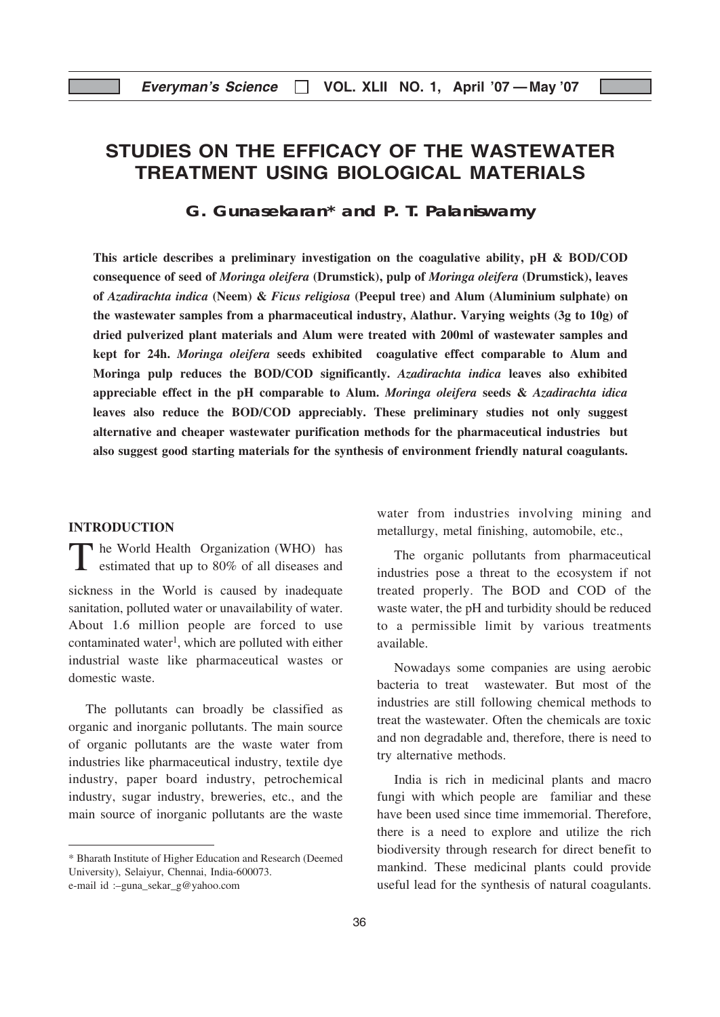# STUDIES ON THE EFFICACY OF THE WASTEWATER TREATMENT USING BIOLOGICAL MATERIALS

**G. Gunasekaran\* and P. T. Palaniswamy**

This article describes a preliminary investigation on the coagulative ability, pH & BOD/COD consequence of seed of Moringa oleifera (Drumstick), pulp of Moringa oleifera (Drumstick), leaves of Azadirachta indica (Neem) & Ficus religiosa (Peepul tree) and Alum (Aluminium sulphate) on the wastewater samples from a pharmaceutical industry, Alathur. Varying weights (3g to 10g) of dried pulverized plant materials and Alum were treated with 200ml of wastewater samples and kept for 24h. Moringa oleifera seeds exhibited coagulative effect comparable to Alum and Moringa pulp reduces the BOD/COD significantly. Azadirachta indica leaves also exhibited appreciable effect in the pH comparable to Alum. Moringa oleifera seeds  $\&$  Azadirachta idica leaves also reduce the BOD/COD appreciably. These preliminary studies not only suggest alternative and cheaper wastewater purification methods for the pharmaceutical industries but also suggest good starting materials for the synthesis of environment friendly natural coagulants.

#### INTRODUCTION

The World Health Organization (WHO) has estimated that up to 80% of all diseases and sickness in the World is caused by inadequate sanitation, polluted water or unavailability of water. About 1.6 million people are forced to use contaminated water<sup>1</sup>, which are polluted with either industrial waste like pharmaceutical wastes or domestic waste.

The pollutants can broadly be classified as organic and inorganic pollutants. The main source of organic pollutants are the waste water from industries like pharmaceutical industry, textile dye industry, paper board industry, petrochemical industry, sugar industry, breweries, etc., and the main source of inorganic pollutants are the waste

water from industries involving mining and metallurgy, metal finishing, automobile, etc.,

The organic pollutants from pharmaceutical industries pose a threat to the ecosystem if not treated properly. The BOD and COD of the waste water, the pH and turbidity should be reduced to a permissible limit by various treatments available.

Nowadays some companies are using aerobic bacteria to treat wastewater. But most of the industries are still following chemical methods to treat the wastewater. Often the chemicals are toxic and non degradable and, therefore, there is need to try alternative methods.

India is rich in medicinal plants and macro fungi with which people are familiar and these have been used since time immemorial. Therefore, there is a need to explore and utilize the rich biodiversity through research for direct benefit to mankind. These medicinal plants could provide useful lead for the synthesis of natural coagulants.

<sup>\*</sup> Bharath Institute of Higher Education and Research (Deemed University), Selaiyur, Chennai, India-600073. e-mail id :–guna\_sekar\_g@yahoo.com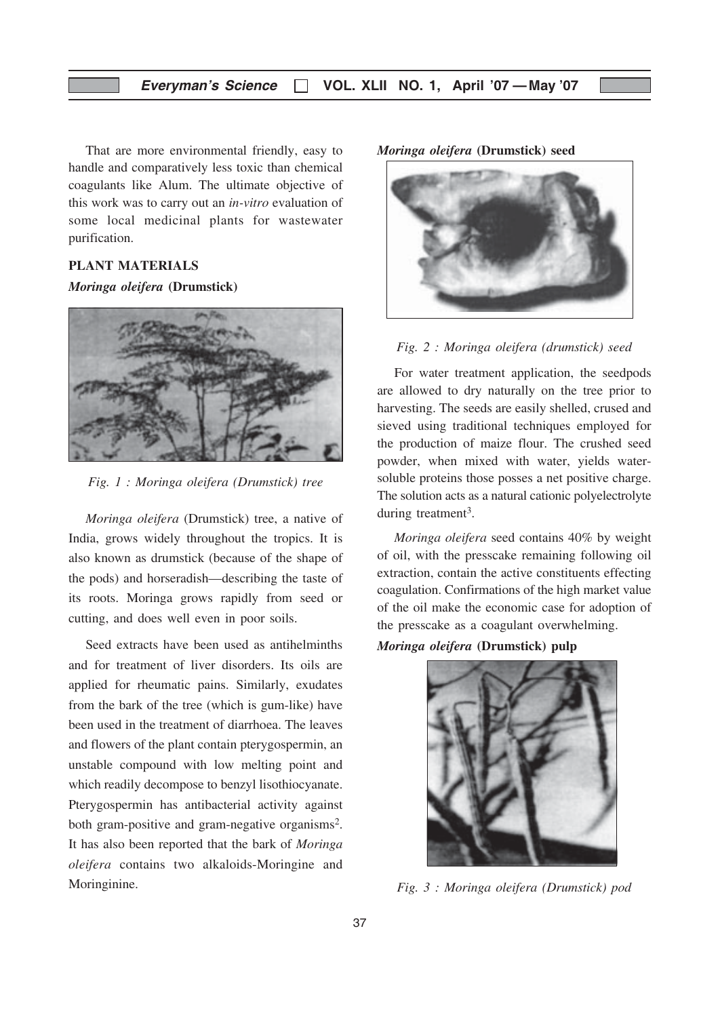That are more environmental friendly, easy to handle and comparatively less toxic than chemical coagulants like Alum. The ultimate objective of this work was to carry out an in-vitro evaluation of some local medicinal plants for wastewater purification.

#### PLANT MATERIALS

#### Moringa oleifera (Drumstick)



Fig. 1 : Moringa oleifera (Drumstick) tree

Moringa oleifera (Drumstick) tree, a native of India, grows widely throughout the tropics. It is also known as drumstick (because of the shape of the pods) and horseradish—describing the taste of its roots. Moringa grows rapidly from seed or cutting, and does well even in poor soils.

Seed extracts have been used as antihelminths and for treatment of liver disorders. Its oils are applied for rheumatic pains. Similarly, exudates from the bark of the tree (which is gum-like) have been used in the treatment of diarrhoea. The leaves and flowers of the plant contain pterygospermin, an unstable compound with low melting point and which readily decompose to benzyl lisothiocyanate. Pterygospermin has antibacterial activity against both gram-positive and gram-negative organisms<sup>2</sup>. It has also been reported that the bark of Moringa oleifera contains two alkaloids-Moringine and Moringinine.

#### Moringa oleifera (Drumstick) seed



#### Fig. 2 : Moringa oleifera (drumstick) seed

For water treatment application, the seedpods are allowed to dry naturally on the tree prior to harvesting. The seeds are easily shelled, crused and sieved using traditional techniques employed for the production of maize flour. The crushed seed powder, when mixed with water, yields watersoluble proteins those posses a net positive charge. The solution acts as a natural cationic polyelectrolyte during treatment<sup>3</sup>.

Moringa oleifera seed contains 40% by weight of oil, with the presscake remaining following oil extraction, contain the active constituents effecting coagulation. Confirmations of the high market value of the oil make the economic case for adoption of the presscake as a coagulant overwhelming.

#### Moringa oleifera (Drumstick) pulp



Fig. 3 : Moringa oleifera (Drumstick) pod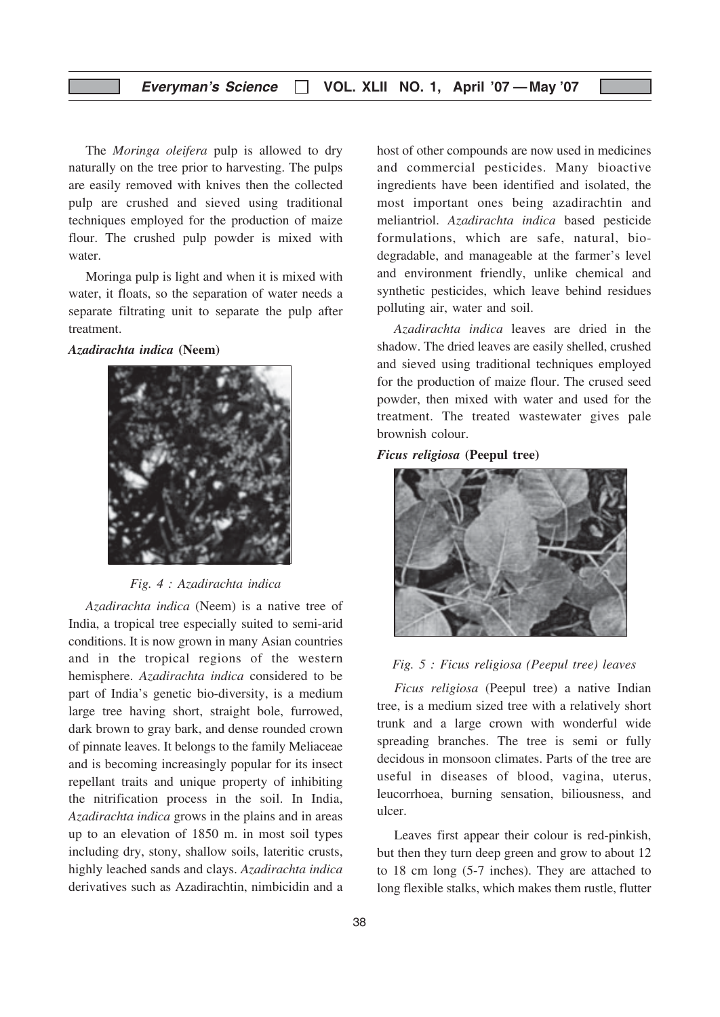The *Moringa oleifera* pulp is allowed to dry naturally on the tree prior to harvesting. The pulps are easily removed with knives then the collected pulp are crushed and sieved using traditional techniques employed for the production of maize flour. The crushed pulp powder is mixed with water.

Moringa pulp is light and when it is mixed with water, it floats, so the separation of water needs a separate filtrating unit to separate the pulp after treatment.

Azadirachta indica (Neem)



Fig. 4 : Azadirachta indica

Azadirachta indica (Neem) is a native tree of India, a tropical tree especially suited to semi-arid conditions. It is now grown in many Asian countries and in the tropical regions of the western hemisphere. Azadirachta indica considered to be part of India's genetic bio-diversity, is a medium large tree having short, straight bole, furrowed, dark brown to gray bark, and dense rounded crown of pinnate leaves. It belongs to the family Meliaceae and is becoming increasingly popular for its insect repellant traits and unique property of inhibiting the nitrification process in the soil. In India, Azadirachta indica grows in the plains and in areas up to an elevation of 1850 m. in most soil types including dry, stony, shallow soils, lateritic crusts, highly leached sands and clays. Azadirachta indica derivatives such as Azadirachtin, nimbicidin and a host of other compounds are now used in medicines and commercial pesticides. Many bioactive ingredients have been identified and isolated, the most important ones being azadirachtin and meliantriol. Azadirachta indica based pesticide formulations, which are safe, natural, biodegradable, and manageable at the farmer's level and environment friendly, unlike chemical and synthetic pesticides, which leave behind residues polluting air, water and soil.

Azadirachta indica leaves are dried in the shadow. The dried leaves are easily shelled, crushed and sieved using traditional techniques employed for the production of maize flour. The crused seed powder, then mixed with water and used for the treatment. The treated wastewater gives pale brownish colour.

#### Ficus religiosa (Peepul tree)



#### Fig. 5 : Ficus religiosa (Peepul tree) leaves

Ficus religiosa (Peepul tree) a native Indian tree, is a medium sized tree with a relatively short trunk and a large crown with wonderful wide spreading branches. The tree is semi or fully decidous in monsoon climates. Parts of the tree are useful in diseases of blood, vagina, uterus, leucorrhoea, burning sensation, biliousness, and ulcer.

Leaves first appear their colour is red-pinkish, but then they turn deep green and grow to about 12 to 18 cm long (5-7 inches). They are attached to long flexible stalks, which makes them rustle, flutter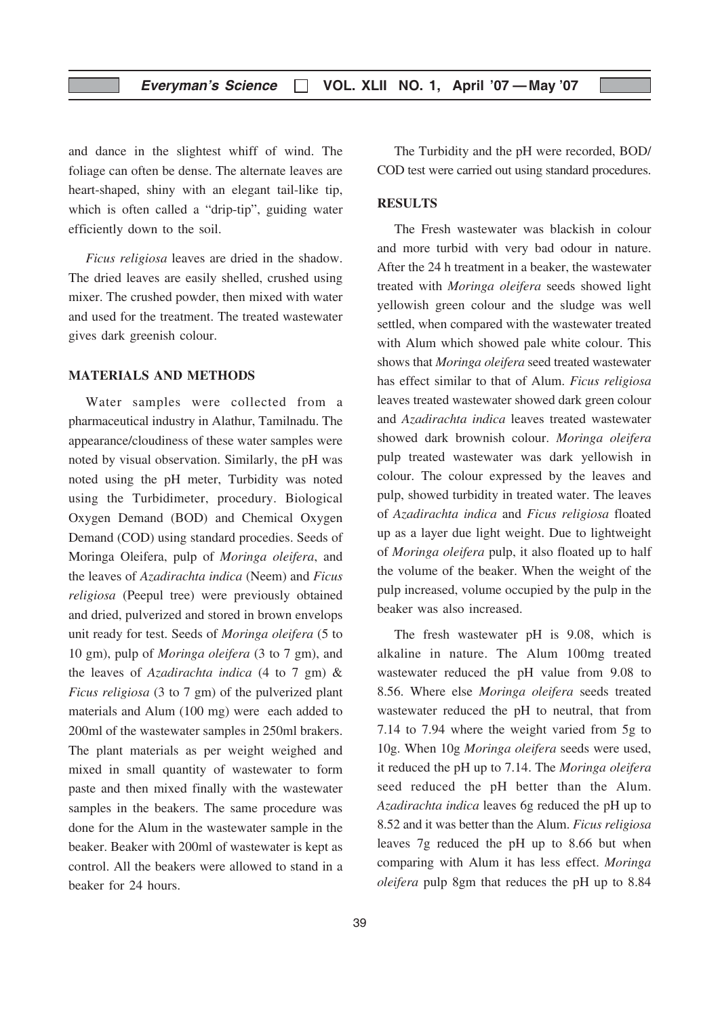and dance in the slightest whiff of wind. The foliage can often be dense. The alternate leaves are heart-shaped, shiny with an elegant tail-like tip, which is often called a "drip-tip", guiding water efficiently down to the soil.

Ficus religiosa leaves are dried in the shadow. The dried leaves are easily shelled, crushed using mixer. The crushed powder, then mixed with water and used for the treatment. The treated wastewater gives dark greenish colour.

#### MATERIALS AND METHODS

Water samples were collected from a pharmaceutical industry in Alathur, Tamilnadu. The appearance/cloudiness of these water samples were noted by visual observation. Similarly, the pH was noted using the pH meter, Turbidity was noted using the Turbidimeter, procedury. Biological Oxygen Demand (BOD) and Chemical Oxygen Demand (COD) using standard procedies. Seeds of Moringa Oleifera, pulp of Moringa oleifera, and the leaves of Azadirachta indica (Neem) and Ficus religiosa (Peepul tree) were previously obtained and dried, pulverized and stored in brown envelops unit ready for test. Seeds of Moringa oleifera (5 to 10 gm), pulp of Moringa oleifera (3 to 7 gm), and the leaves of Azadirachta indica (4 to 7 gm) & Ficus religiosa (3 to 7 gm) of the pulverized plant materials and Alum (100 mg) were each added to 200ml of the wastewater samples in 250ml brakers. The plant materials as per weight weighed and mixed in small quantity of wastewater to form paste and then mixed finally with the wastewater samples in the beakers. The same procedure was done for the Alum in the wastewater sample in the beaker. Beaker with 200ml of wastewater is kept as control. All the beakers were allowed to stand in a beaker for 24 hours.

The Turbidity and the pH were recorded, BOD/ COD test were carried out using standard procedures.

#### RESULTS

The Fresh wastewater was blackish in colour and more turbid with very bad odour in nature. After the 24 h treatment in a beaker, the wastewater treated with Moringa oleifera seeds showed light yellowish green colour and the sludge was well settled, when compared with the wastewater treated with Alum which showed pale white colour. This shows that Moringa oleifera seed treated wastewater has effect similar to that of Alum. Ficus religiosa leaves treated wastewater showed dark green colour and Azadirachta indica leaves treated wastewater showed dark brownish colour. Moringa oleifera pulp treated wastewater was dark yellowish in colour. The colour expressed by the leaves and pulp, showed turbidity in treated water. The leaves of Azadirachta indica and Ficus religiosa floated up as a layer due light weight. Due to lightweight of Moringa oleifera pulp, it also floated up to half the volume of the beaker. When the weight of the pulp increased, volume occupied by the pulp in the beaker was also increased.

The fresh wastewater pH is 9.08, which is alkaline in nature. The Alum 100mg treated wastewater reduced the pH value from 9.08 to 8.56. Where else Moringa oleifera seeds treated wastewater reduced the pH to neutral, that from 7.14 to 7.94 where the weight varied from 5g to 10g. When 10g Moringa oleifera seeds were used, it reduced the pH up to 7.14. The Moringa oleifera seed reduced the pH better than the Alum. Azadirachta indica leaves 6g reduced the pH up to 8.52 and it was better than the Alum. Ficus religiosa leaves 7g reduced the pH up to 8.66 but when comparing with Alum it has less effect. Moringa oleifera pulp 8gm that reduces the pH up to 8.84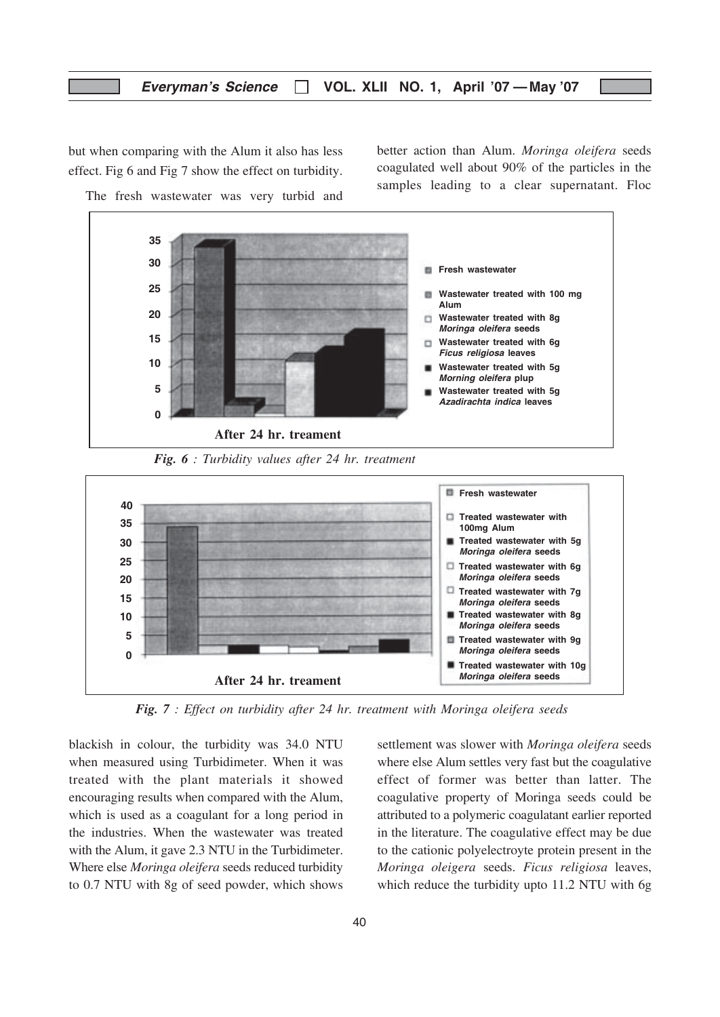#### Everyman's Science  $\Box$  VOL. XLII NO. 1, April '07 — May '07

but when comparing with the Alum it also has less effect. Fig 6 and Fig 7 show the effect on turbidity.

The fresh wastewater was very turbid and

better action than Alum. Moringa oleifera seeds coagulated well about 90% of the particles in the samples leading to a clear supernatant. Floc



Fig. 6 : Turbidity values after 24 hr. treatment



Fig. 7 : Effect on turbidity after 24 hr. treatment with Moringa oleifera seeds

blackish in colour, the turbidity was 34.0 NTU when measured using Turbidimeter. When it was treated with the plant materials it showed encouraging results when compared with the Alum, which is used as a coagulant for a long period in the industries. When the wastewater was treated with the Alum, it gave 2.3 NTU in the Turbidimeter. Where else Moringa oleifera seeds reduced turbidity to 0.7 NTU with 8g of seed powder, which shows

settlement was slower with Moringa oleifera seeds where else Alum settles very fast but the coagulative effect of former was better than latter. The coagulative property of Moringa seeds could be attributed to a polymeric coagulatant earlier reported in the literature. The coagulative effect may be due to the cationic polyelectroyte protein present in the Moringa oleigera seeds. Ficus religiosa leaves, which reduce the turbidity upto 11.2 NTU with 6g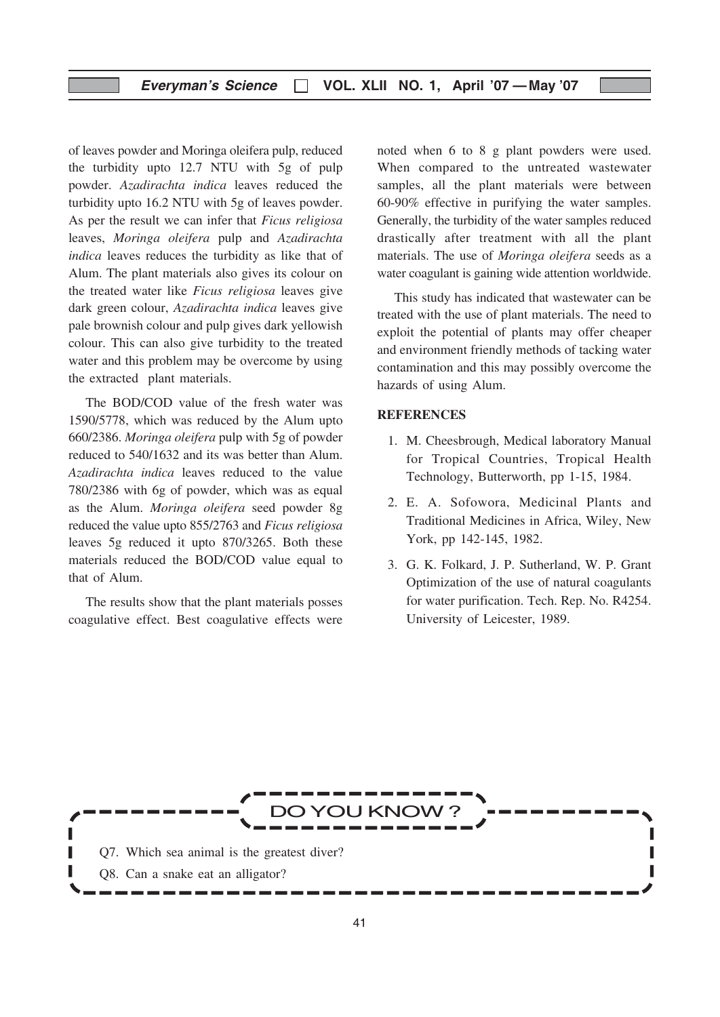of leaves powder and Moringa oleifera pulp, reduced the turbidity upto 12.7 NTU with 5g of pulp powder. Azadirachta indica leaves reduced the turbidity upto 16.2 NTU with 5g of leaves powder. As per the result we can infer that Ficus religiosa leaves, Moringa oleifera pulp and Azadirachta indica leaves reduces the turbidity as like that of Alum. The plant materials also gives its colour on the treated water like Ficus religiosa leaves give dark green colour, Azadirachta indica leaves give pale brownish colour and pulp gives dark yellowish colour. This can also give turbidity to the treated water and this problem may be overcome by using the extracted plant materials.

The BOD/COD value of the fresh water was 1590/5778, which was reduced by the Alum upto 660/2386. Moringa oleifera pulp with 5g of powder reduced to 540/1632 and its was better than Alum. Azadirachta indica leaves reduced to the value 780/2386 with 6g of powder, which was as equal as the Alum. Moringa oleifera seed powder 8g reduced the value upto 855/2763 and Ficus religiosa leaves 5g reduced it upto 870/3265. Both these materials reduced the BOD/COD value equal to that of Alum.

The results show that the plant materials posses coagulative effect. Best coagulative effects were noted when 6 to 8 g plant powders were used. When compared to the untreated wastewater samples, all the plant materials were between 60-90% effective in purifying the water samples. Generally, the turbidity of the water samples reduced drastically after treatment with all the plant materials. The use of Moringa oleifera seeds as a water coagulant is gaining wide attention worldwide.

This study has indicated that wastewater can be treated with the use of plant materials. The need to exploit the potential of plants may offer cheaper and environment friendly methods of tacking water contamination and this may possibly overcome the hazards of using Alum.

#### **REFERENCES**

- 1. M. Cheesbrough, Medical laboratory Manual for Tropical Countries, Tropical Health Technology, Butterworth, pp 1-15, 1984.
- 2. E. A. Sofowora, Medicinal Plants and Traditional Medicines in Africa, Wiley, New York, pp 142-145, 1982.
- 3. G. K. Folkard, J. P. Sutherland, W. P. Grant Optimization of the use of natural coagulants for water purification. Tech. Rep. No. R4254. University of Leicester, 1989.

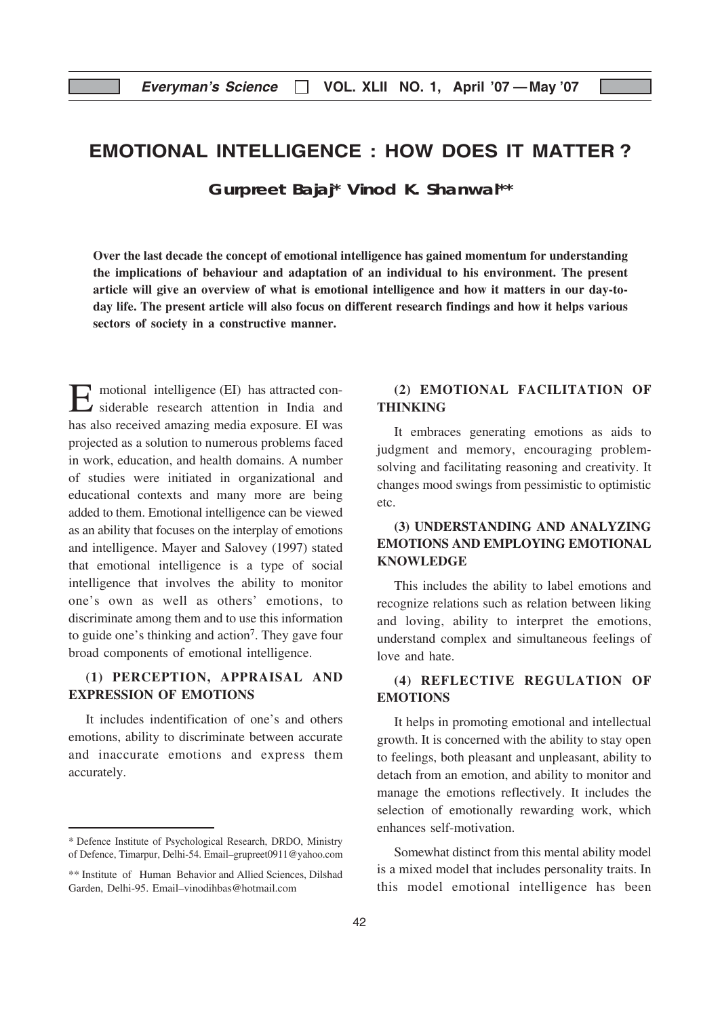# EMOTIONAL INTELLIGENCE : HOW DOES IT MATTER ?

**Gurpreet Bajaj\* Vinod K. Shanwal\*\***

Over the last decade the concept of emotional intelligence has gained momentum for understanding the implications of behaviour and adaptation of an individual to his environment. The present article will give an overview of what is emotional intelligence and how it matters in our day-today life. The present article will also focus on different research findings and how it helps various sectors of society in a constructive manner.

E motional intelligence (EI) has attracted considerable research attention in India and has also received amazing media exposure. EI was projected as a solution to numerous problems faced in work, education, and health domains. A number of studies were initiated in organizational and educational contexts and many more are being added to them. Emotional intelligence can be viewed as an ability that focuses on the interplay of emotions and intelligence. Mayer and Salovey (1997) stated that emotional intelligence is a type of social intelligence that involves the ability to monitor one's own as well as others' emotions, to discriminate among them and to use this information to guide one's thinking and action7. They gave four broad components of emotional intelligence.

#### (1) PERCEPTION, APPRAISAL AND EXPRESSION OF EMOTIONS

It includes indentification of one's and others emotions, ability to discriminate between accurate and inaccurate emotions and express them accurately.

#### (2) EMOTIONAL FACILITATION OF THINKING

It embraces generating emotions as aids to judgment and memory, encouraging problemsolving and facilitating reasoning and creativity. It changes mood swings from pessimistic to optimistic etc.

#### (3) UNDERSTANDING AND ANALYZING EMOTIONS AND EMPLOYING EMOTIONAL **KNOWLEDGE**

This includes the ability to label emotions and recognize relations such as relation between liking and loving, ability to interpret the emotions, understand complex and simultaneous feelings of love and hate.

#### (4) REFLECTIVE REGULATION OF EMOTIONS

It helps in promoting emotional and intellectual growth. It is concerned with the ability to stay open to feelings, both pleasant and unpleasant, ability to detach from an emotion, and ability to monitor and manage the emotions reflectively. It includes the selection of emotionally rewarding work, which enhances self-motivation.

Somewhat distinct from this mental ability model is a mixed model that includes personality traits. In this model emotional intelligence has been

<sup>\*</sup> Defence Institute of Psychological Research, DRDO, Ministry of Defence, Timarpur, Delhi-54. Email–grupreet0911@yahoo.com

<sup>\*\*</sup> Institute of Human Behavior and Allied Sciences, Dilshad Garden, Delhi-95. Email–vinodihbas@hotmail.com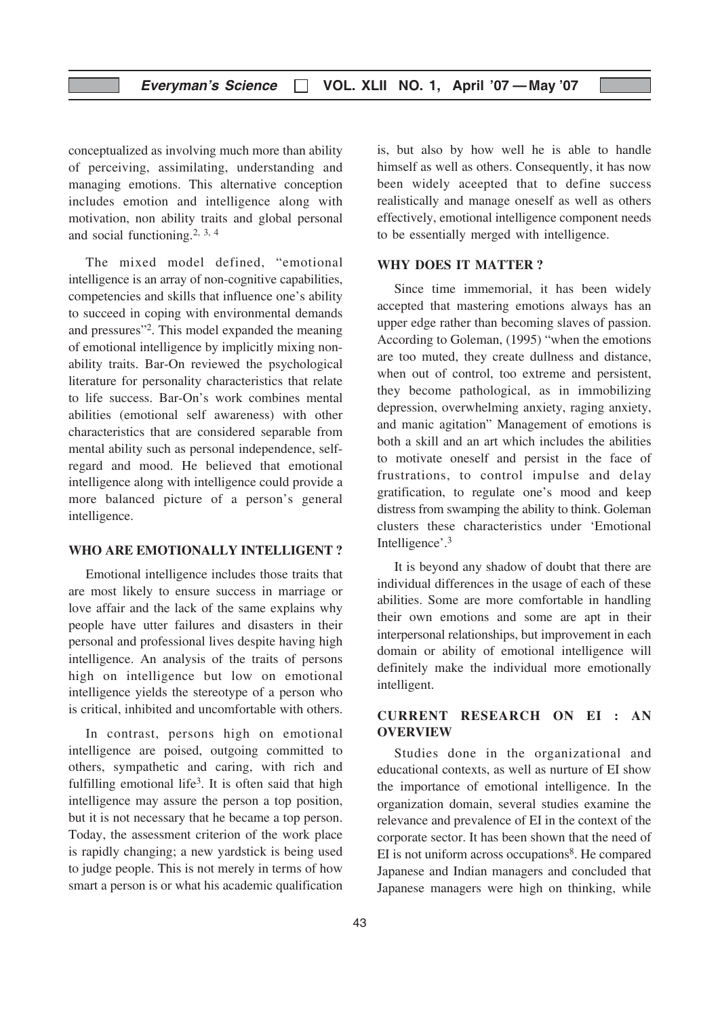conceptualized as involving much more than ability of perceiving, assimilating, understanding and managing emotions. This alternative conception includes emotion and intelligence along with motivation, non ability traits and global personal and social functioning.2, 3, 4

The mixed model defined, "emotional intelligence is an array of non-cognitive capabilities, competencies and skills that influence one's ability to succeed in coping with environmental demands and pressures"2. This model expanded the meaning of emotional intelligence by implicitly mixing nonability traits. Bar-On reviewed the psychological literature for personality characteristics that relate to life success. Bar-On's work combines mental abilities (emotional self awareness) with other characteristics that are considered separable from mental ability such as personal independence, selfregard and mood. He believed that emotional intelligence along with intelligence could provide a more balanced picture of a person's general intelligence.

#### WHO ARE EMOTIONALLY INTELLIGENT ?

Emotional intelligence includes those traits that are most likely to ensure success in marriage or love affair and the lack of the same explains why people have utter failures and disasters in their personal and professional lives despite having high intelligence. An analysis of the traits of persons high on intelligence but low on emotional intelligence yields the stereotype of a person who is critical, inhibited and uncomfortable with others.

In contrast, persons high on emotional intelligence are poised, outgoing committed to others, sympathetic and caring, with rich and fulfilling emotional life<sup>3</sup>. It is often said that high intelligence may assure the person a top position, but it is not necessary that he became a top person. Today, the assessment criterion of the work place is rapidly changing; a new yardstick is being used to judge people. This is not merely in terms of how smart a person is or what his academic qualification

is, but also by how well he is able to handle himself as well as others. Consequently, it has now been widely aceepted that to define success realistically and manage oneself as well as others effectively, emotional intelligence component needs to be essentially merged with intelligence.

#### WHY DOES IT MATTER ?

Since time immemorial, it has been widely accepted that mastering emotions always has an upper edge rather than becoming slaves of passion. According to Goleman, (1995) "when the emotions are too muted, they create dullness and distance, when out of control, too extreme and persistent, they become pathological, as in immobilizing depression, overwhelming anxiety, raging anxiety, and manic agitation" Management of emotions is both a skill and an art which includes the abilities to motivate oneself and persist in the face of frustrations, to control impulse and delay gratification, to regulate one's mood and keep distress from swamping the ability to think. Goleman clusters these characteristics under 'Emotional Intelligence'.3

It is beyond any shadow of doubt that there are individual differences in the usage of each of these abilities. Some are more comfortable in handling their own emotions and some are apt in their interpersonal relationships, but improvement in each domain or ability of emotional intelligence will definitely make the individual more emotionally intelligent.

#### CURRENT RESEARCH ON EI : AN OVERVIEW

Studies done in the organizational and educational contexts, as well as nurture of EI show the importance of emotional intelligence. In the organization domain, several studies examine the relevance and prevalence of EI in the context of the corporate sector. It has been shown that the need of EI is not uniform across occupations<sup>8</sup>. He compared Japanese and Indian managers and concluded that Japanese managers were high on thinking, while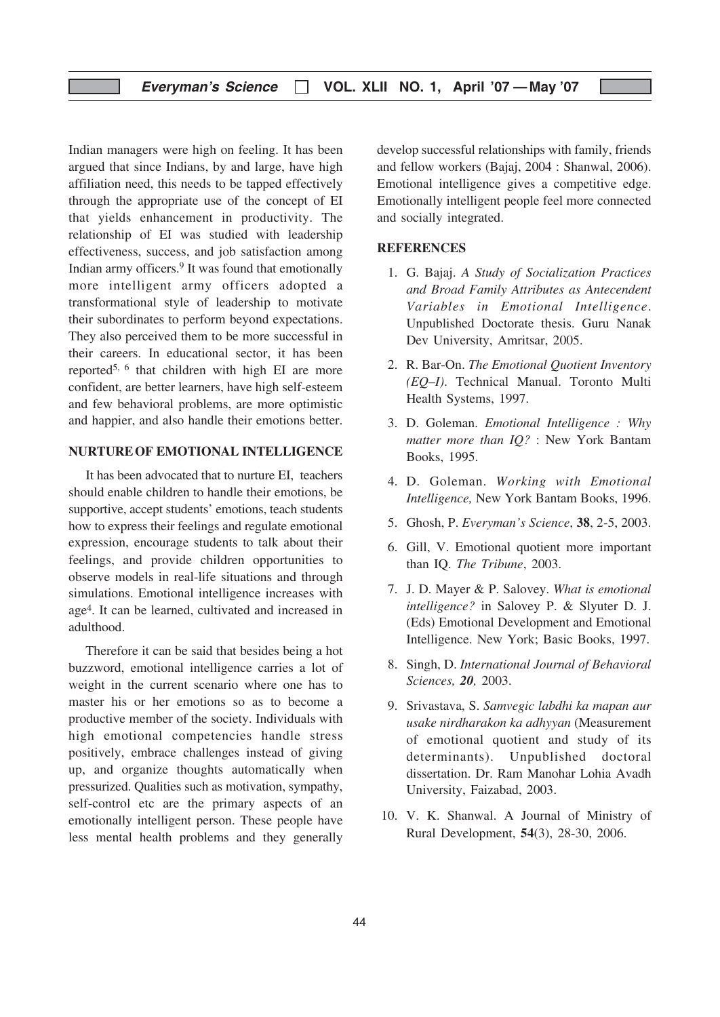Indian managers were high on feeling. It has been argued that since Indians, by and large, have high affiliation need, this needs to be tapped effectively through the appropriate use of the concept of EI that yields enhancement in productivity. The relationship of EI was studied with leadership effectiveness, success, and job satisfaction among Indian army officers.9 It was found that emotionally more intelligent army officers adopted a transformational style of leadership to motivate their subordinates to perform beyond expectations. They also perceived them to be more successful in their careers. In educational sector, it has been reported5, 6 that children with high EI are more confident, are better learners, have high self-esteem and few behavioral problems, are more optimistic and happier, and also handle their emotions better.

#### NURTUREOF EMOTIONAL INTELLIGENCE

It has been advocated that to nurture EI, teachers should enable children to handle their emotions, be supportive, accept students' emotions, teach students how to express their feelings and regulate emotional expression, encourage students to talk about their feelings, and provide children opportunities to observe models in real-life situations and through simulations. Emotional intelligence increases with age4. It can be learned, cultivated and increased in adulthood.

Therefore it can be said that besides being a hot buzzword, emotional intelligence carries a lot of weight in the current scenario where one has to master his or her emotions so as to become a productive member of the society. Individuals with high emotional competencies handle stress positively, embrace challenges instead of giving up, and organize thoughts automatically when pressurized. Qualities such as motivation, sympathy, self-control etc are the primary aspects of an emotionally intelligent person. These people have less mental health problems and they generally

develop successful relationships with family, friends and fellow workers (Bajaj, 2004 : Shanwal, 2006). Emotional intelligence gives a competitive edge. Emotionally intelligent people feel more connected and socially integrated.

#### **REFERENCES**

- 1. G. Bajaj. A Study of Socialization Practices and Broad Family Attributes as Antecendent Variables in Emotional Intelligence. Unpublished Doctorate thesis. Guru Nanak Dev University, Amritsar, 2005.
- 2. R. Bar-On. The Emotional Quotient Inventory (EQ–I). Technical Manual. Toronto Multi Health Systems, 1997.
- 3. D. Goleman. Emotional Intelligence : Why matter more than IQ? : New York Bantam Books, 1995.
- 4. D. Goleman. Working with Emotional Intelligence, New York Bantam Books, 1996.
- 5. Ghosh, P. Everyman's Science, 38, 2-5, 2003.
- 6. Gill, V. Emotional quotient more important than IQ. The Tribune, 2003.
- 7. J. D. Mayer & P. Salovey. What is emotional intelligence? in Salovey P. & Slyuter D. J. (Eds) Emotional Development and Emotional Intelligence. New York; Basic Books, 1997.
- 8. Singh, D. International Journal of Behavioral Sciences, 20, 2003.
- 9. Srivastava, S. Samvegic labdhi ka mapan aur usake nirdharakon ka adhyyan (Measurement of emotional quotient and study of its determinants). Unpublished doctoral dissertation. Dr. Ram Manohar Lohia Avadh University, Faizabad, 2003.
- 10. V. K. Shanwal. A Journal of Ministry of Rural Development, 54(3), 28-30, 2006.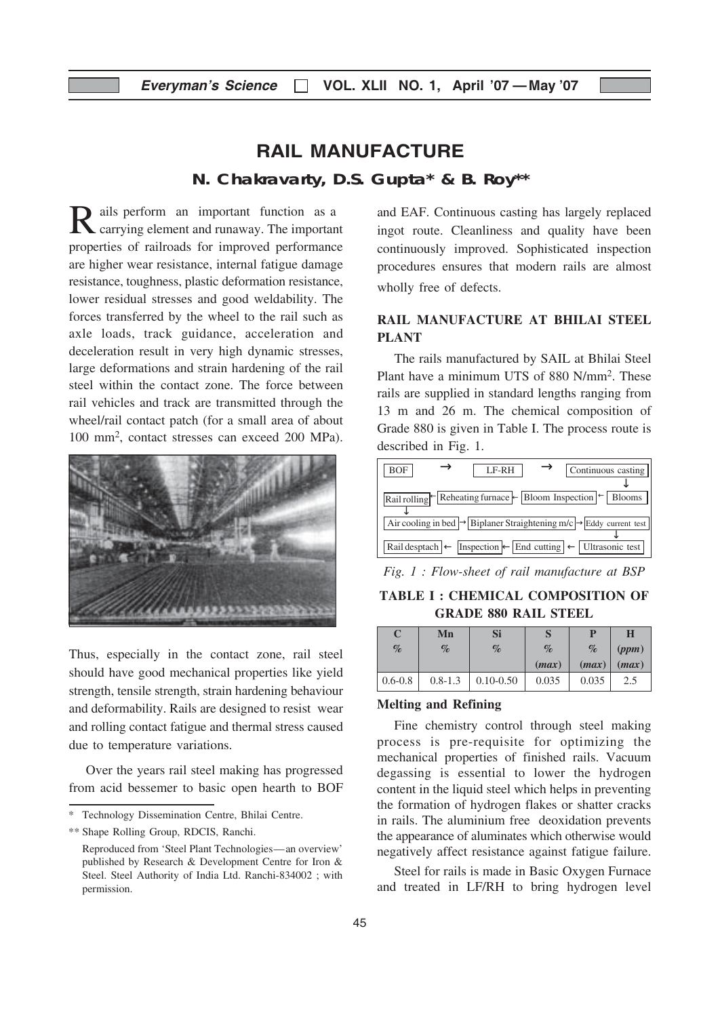# RAIL MANUFACTURE

**N. Chakravarty, D.S. Gupta\* & B. Roy\*\***

Rails perform an important function as a carrying element and runaway. The important properties of railroads for improved performance are higher wear resistance, internal fatigue damage resistance, toughness, plastic deformation resistance, lower residual stresses and good weldability. The forces transferred by the wheel to the rail such as axle loads, track guidance, acceleration and deceleration result in very high dynamic stresses, large deformations and strain hardening of the rail steel within the contact zone. The force between rail vehicles and track are transmitted through the wheel/rail contact patch (for a small area of about 100 mm2, contact stresses can exceed 200 MPa).



Thus, especially in the contact zone, rail steel should have good mechanical properties like yield strength, tensile strength, strain hardening behaviour and deformability. Rails are designed to resist wear and rolling contact fatigue and thermal stress caused due to temperature variations.

Over the years rail steel making has progressed from acid bessemer to basic open hearth to BOF

\*\* Shape Rolling Group, RDCIS, Ranchi.

and EAF. Continuous casting has largely replaced ingot route. Cleanliness and quality have been continuously improved. Sophisticated inspection procedures ensures that modern rails are almost wholly free of defects.

#### RAIL MANUFACTURE AT BHILAI STEEL PLANT

The rails manufactured by SAIL at Bhilai Steel Plant have a minimum UTS of 880 N/mm2. These rails are supplied in standard lengths ranging from 13 m and 26 m. The chemical composition of Grade 880 is given in Table I. The process route is described in Fig. 1.



Fig. 1 : Flow-sheet of rail manufacture at BSP

TABLE I : CHEMICAL COMPOSITION OF GRADE 880 RAIL STEEL

| C    | Mn   | Si   |       |       | Н     |
|------|------|------|-------|-------|-------|
| $\%$ | $\%$ | $\%$ | $\%$  | $\%$  | (ppm) |
|      |      |      | (max) | (max) | (max) |
|      |      |      |       |       |       |

#### Melting and Refining

Fine chemistry control through steel making process is pre-requisite for optimizing the mechanical properties of finished rails. Vacuum degassing is essential to lower the hydrogen content in the liquid steel which helps in preventing the formation of hydrogen flakes or shatter cracks in rails. The aluminium free deoxidation prevents the appearance of aluminates which otherwise would negatively affect resistance against fatigue failure.

Steel for rails is made in Basic Oxygen Furnace and treated in LF/RH to bring hydrogen level

Technology Dissemination Centre, Bhilai Centre.

Reproduced from 'Steel Plant Technologies—an overview' published by Research & Development Centre for Iron & Steel. Steel Authority of India Ltd. Ranchi-834002 ; with permission.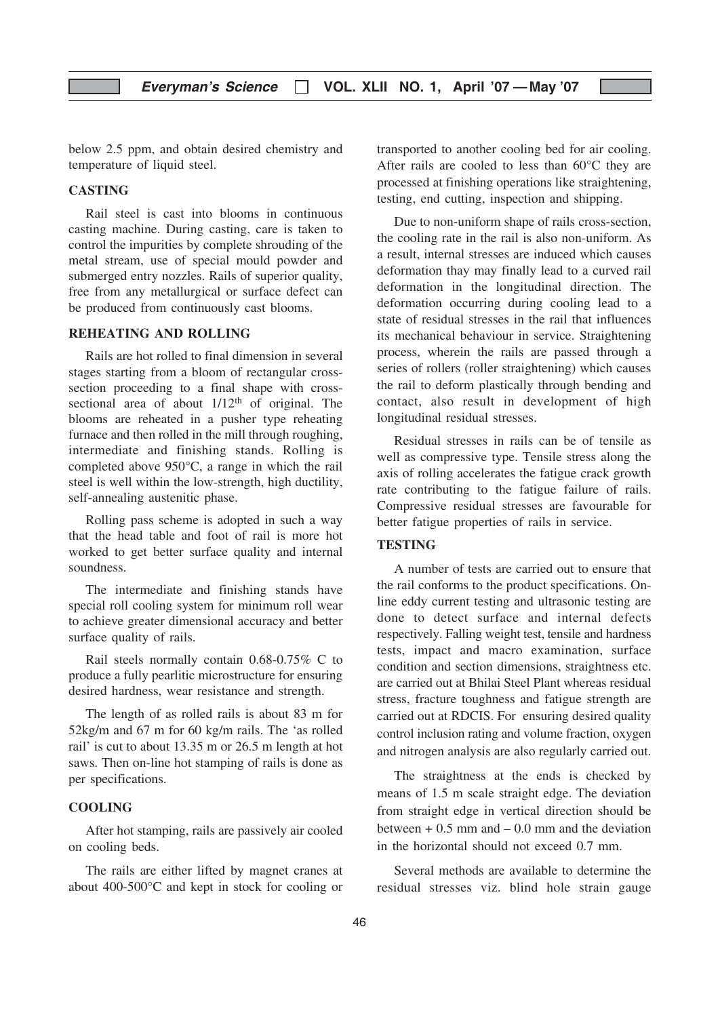below 2.5 ppm, and obtain desired chemistry and temperature of liquid steel.

#### CASTING

Rail steel is cast into blooms in continuous casting machine. During casting, care is taken to control the impurities by complete shrouding of the metal stream, use of special mould powder and submerged entry nozzles. Rails of superior quality, free from any metallurgical or surface defect can be produced from continuously cast blooms.

#### REHEATING AND ROLLING

Rails are hot rolled to final dimension in several stages starting from a bloom of rectangular crosssection proceeding to a final shape with crosssectional area of about  $1/12<sup>th</sup>$  of original. The blooms are reheated in a pusher type reheating furnace and then rolled in the mill through roughing, intermediate and finishing stands. Rolling is completed above 950°C, a range in which the rail steel is well within the low-strength, high ductility, self-annealing austenitic phase.

Rolling pass scheme is adopted in such a way that the head table and foot of rail is more hot worked to get better surface quality and internal soundness.

The intermediate and finishing stands have special roll cooling system for minimum roll wear to achieve greater dimensional accuracy and better surface quality of rails.

Rail steels normally contain 0.68-0.75% C to produce a fully pearlitic microstructure for ensuring desired hardness, wear resistance and strength.

The length of as rolled rails is about 83 m for 52kg/m and 67 m for 60 kg/m rails. The 'as rolled rail' is cut to about 13.35 m or 26.5 m length at hot saws. Then on-line hot stamping of rails is done as per specifications.

#### COOLING

After hot stamping, rails are passively air cooled on cooling beds.

The rails are either lifted by magnet cranes at about 400-500°C and kept in stock for cooling or

transported to another cooling bed for air cooling. After rails are cooled to less than 60°C they are processed at finishing operations like straightening, testing, end cutting, inspection and shipping.

Due to non-uniform shape of rails cross-section, the cooling rate in the rail is also non-uniform. As a result, internal stresses are induced which causes deformation thay may finally lead to a curved rail deformation in the longitudinal direction. The deformation occurring during cooling lead to a state of residual stresses in the rail that influences its mechanical behaviour in service. Straightening process, wherein the rails are passed through a series of rollers (roller straightening) which causes the rail to deform plastically through bending and contact, also result in development of high longitudinal residual stresses.

Residual stresses in rails can be of tensile as well as compressive type. Tensile stress along the axis of rolling accelerates the fatigue crack growth rate contributing to the fatigue failure of rails. Compressive residual stresses are favourable for better fatigue properties of rails in service.

#### TESTING

A number of tests are carried out to ensure that the rail conforms to the product specifications. Online eddy current testing and ultrasonic testing are done to detect surface and internal defects respectively. Falling weight test, tensile and hardness tests, impact and macro examination, surface condition and section dimensions, straightness etc. are carried out at Bhilai Steel Plant whereas residual stress, fracture toughness and fatigue strength are carried out at RDCIS. For ensuring desired quality control inclusion rating and volume fraction, oxygen and nitrogen analysis are also regularly carried out.

The straightness at the ends is checked by means of 1.5 m scale straight edge. The deviation from straight edge in vertical direction should be between  $+ 0.5$  mm and  $- 0.0$  mm and the deviation in the horizontal should not exceed 0.7 mm.

Several methods are available to determine the residual stresses viz. blind hole strain gauge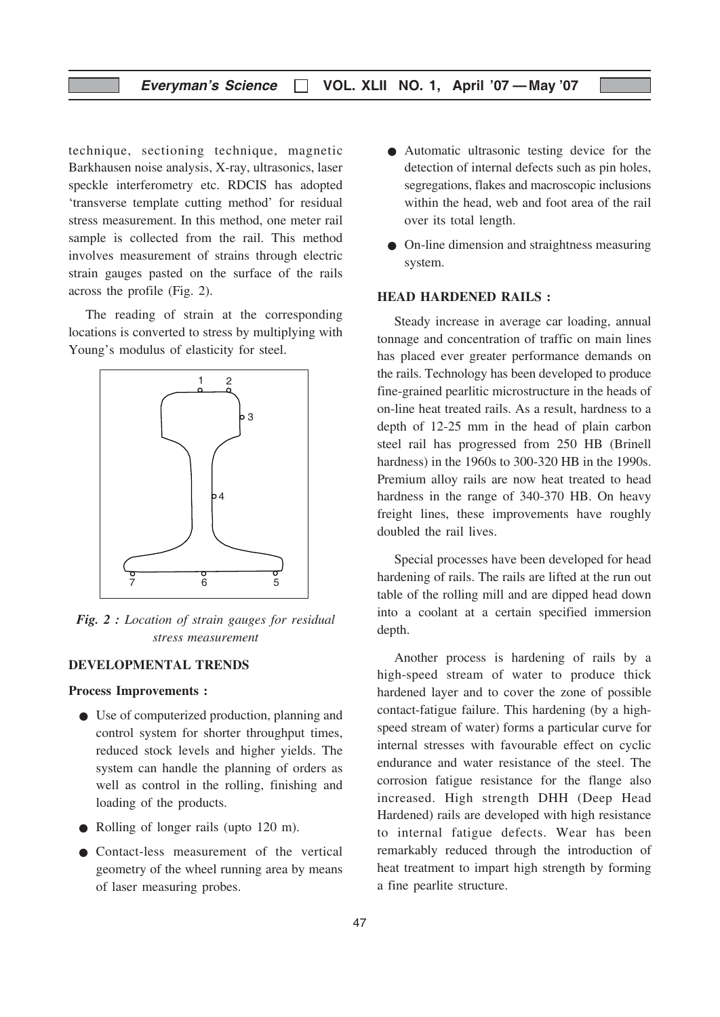technique, sectioning technique, magnetic Barkhausen noise analysis, X-ray, ultrasonics, laser speckle interferometry etc. RDCIS has adopted 'transverse template cutting method' for residual stress measurement. In this method, one meter rail sample is collected from the rail. This method involves measurement of strains through electric strain gauges pasted on the surface of the rails across the profile (Fig. 2).

The reading of strain at the corresponding locations is converted to stress by multiplying with Young's modulus of elasticity for steel.



Fig. 2 : Location of strain gauges for residual stress measurement

#### DEVELOPMENTAL TRENDS

#### Process Improvements :

- Use of computerized production, planning and control system for shorter throughput times, reduced stock levels and higher yields. The system can handle the planning of orders as well as control in the rolling, finishing and loading of the products.
- Rolling of longer rails (upto 120 m).
- Contact-less measurement of the vertical geometry of the wheel running area by means of laser measuring probes.
- Automatic ultrasonic testing device for the detection of internal defects such as pin holes, segregations, flakes and macroscopic inclusions within the head, web and foot area of the rail over its total length.
- On-line dimension and straightness measuring system.

#### HEAD HARDENED RAILS :

Steady increase in average car loading, annual tonnage and concentration of traffic on main lines has placed ever greater performance demands on the rails. Technology has been developed to produce fine-grained pearlitic microstructure in the heads of on-line heat treated rails. As a result, hardness to a depth of 12-25 mm in the head of plain carbon steel rail has progressed from 250 HB (Brinell hardness) in the 1960s to 300-320 HB in the 1990s. Premium alloy rails are now heat treated to head hardness in the range of 340-370 HB. On heavy freight lines, these improvements have roughly doubled the rail lives.

Special processes have been developed for head hardening of rails. The rails are lifted at the run out table of the rolling mill and are dipped head down into a coolant at a certain specified immersion depth.

Another process is hardening of rails by a high-speed stream of water to produce thick hardened layer and to cover the zone of possible contact-fatigue failure. This hardening (by a highspeed stream of water) forms a particular curve for internal stresses with favourable effect on cyclic endurance and water resistance of the steel. The corrosion fatigue resistance for the flange also increased. High strength DHH (Deep Head Hardened) rails are developed with high resistance to internal fatigue defects. Wear has been remarkably reduced through the introduction of heat treatment to impart high strength by forming a fine pearlite structure.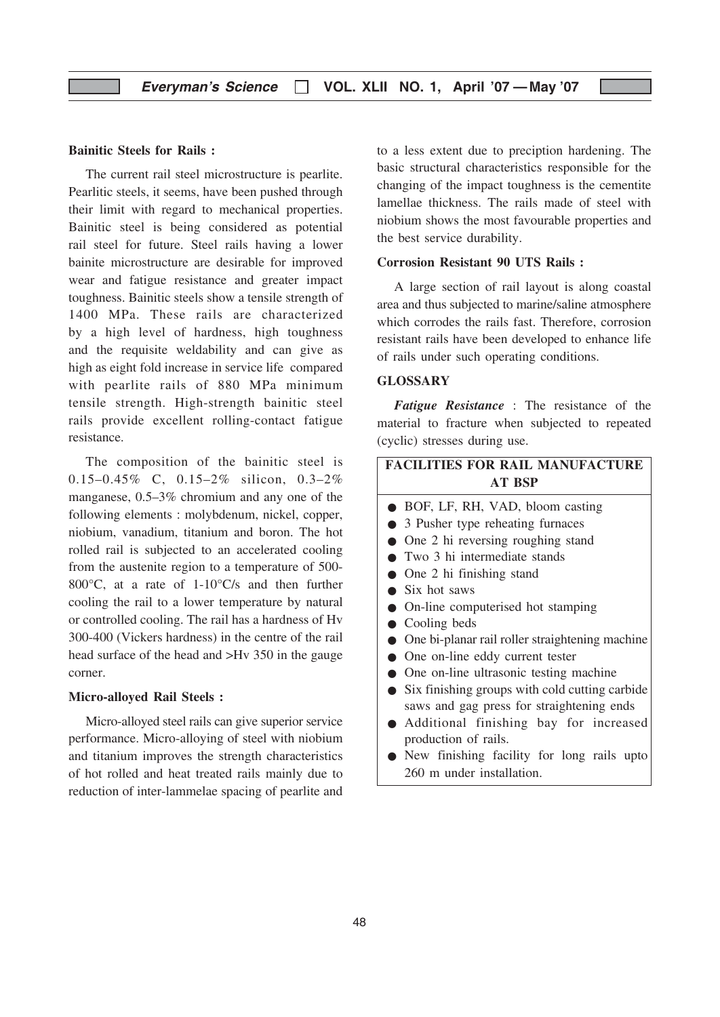#### Bainitic Steels for Rails :

The current rail steel microstructure is pearlite. Pearlitic steels, it seems, have been pushed through their limit with regard to mechanical properties. Bainitic steel is being considered as potential rail steel for future. Steel rails having a lower bainite microstructure are desirable for improved wear and fatigue resistance and greater impact toughness. Bainitic steels show a tensile strength of 1400 MPa. These rails are characterized by a high level of hardness, high toughness and the requisite weldability and can give as high as eight fold increase in service life compared with pearlite rails of 880 MPa minimum tensile strength. High-strength bainitic steel rails provide excellent rolling-contact fatigue resistance.

The composition of the bainitic steel is 0.15–0.45% C, 0.15–2% silicon, 0.3–2% manganese, 0.5–3% chromium and any one of the following elements : molybdenum, nickel, copper, niobium, vanadium, titanium and boron. The hot rolled rail is subjected to an accelerated cooling from the austenite region to a temperature of 500- 800°C, at a rate of 1-10°C/s and then further cooling the rail to a lower temperature by natural or controlled cooling. The rail has a hardness of Hv 300-400 (Vickers hardness) in the centre of the rail head surface of the head and >Hv 350 in the gauge corner.

#### Micro-alloyed Rail Steels :

Micro-alloyed steel rails can give superior service performance. Micro-alloying of steel with niobium and titanium improves the strength characteristics of hot rolled and heat treated rails mainly due to reduction of inter-lammelae spacing of pearlite and to a less extent due to preciption hardening. The basic structural characteristics responsible for the changing of the impact toughness is the cementite lamellae thickness. The rails made of steel with niobium shows the most favourable properties and the best service durability.

#### Corrosion Resistant 90 UTS Rails :

A large section of rail layout is along coastal area and thus subjected to marine/saline atmosphere which corrodes the rails fast. Therefore, corrosion resistant rails have been developed to enhance life of rails under such operating conditions.

#### GLOSSARY

Fatigue Resistance : The resistance of the material to fracture when subjected to repeated (cyclic) stresses during use.

## FACILITIES FOR RAIL MANUFACTURE AT BSP ● BOF, LF, RH, VAD, bloom casting ● 3 Pusher type reheating furnaces ● One 2 hi reversing roughing stand ● Two 3 hi intermediate stands

- One 2 hi finishing stand
- Six hot saws
- On-line computerised hot stamping
- Cooling beds
- One bi-planar rail roller straightening machine
- One on-line eddy current tester
- One on-line ultrasonic testing machine
- Six finishing groups with cold cutting carbide saws and gag press for straightening ends
- Additional finishing bay for increased production of rails.
- New finishing facility for long rails upto 260 m under installation.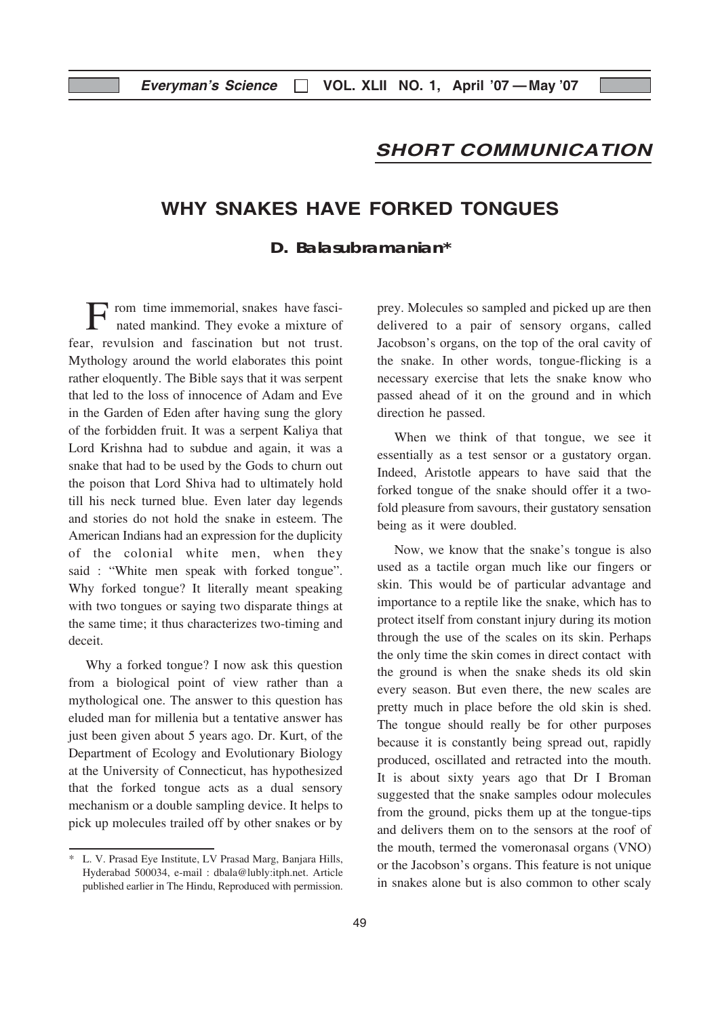### SHORT COMMUNICATION

# WHY SNAKES HAVE FORKED TONGUES

#### **D. Balasubramanian\***

rom time immemorial, snakes have fascinated mankind. They evoke a mixture of fear, revulsion and fascination but not trust. Mythology around the world elaborates this point rather eloquently. The Bible says that it was serpent that led to the loss of innocence of Adam and Eve in the Garden of Eden after having sung the glory of the forbidden fruit. It was a serpent Kaliya that Lord Krishna had to subdue and again, it was a snake that had to be used by the Gods to churn out the poison that Lord Shiva had to ultimately hold till his neck turned blue. Even later day legends and stories do not hold the snake in esteem. The American Indians had an expression for the duplicity of the colonial white men, when they said : "White men speak with forked tongue". Why forked tongue? It literally meant speaking with two tongues or saying two disparate things at the same time; it thus characterizes two-timing and deceit.

Why a forked tongue? I now ask this question from a biological point of view rather than a mythological one. The answer to this question has eluded man for millenia but a tentative answer has just been given about 5 years ago. Dr. Kurt, of the Department of Ecology and Evolutionary Biology at the University of Connecticut, has hypothesized that the forked tongue acts as a dual sensory mechanism or a double sampling device. It helps to pick up molecules trailed off by other snakes or by

prey. Molecules so sampled and picked up are then delivered to a pair of sensory organs, called Jacobson's organs, on the top of the oral cavity of the snake. In other words, tongue-flicking is a necessary exercise that lets the snake know who passed ahead of it on the ground and in which direction he passed.

When we think of that tongue, we see it essentially as a test sensor or a gustatory organ. Indeed, Aristotle appears to have said that the forked tongue of the snake should offer it a twofold pleasure from savours, their gustatory sensation being as it were doubled.

Now, we know that the snake's tongue is also used as a tactile organ much like our fingers or skin. This would be of particular advantage and importance to a reptile like the snake, which has to protect itself from constant injury during its motion through the use of the scales on its skin. Perhaps the only time the skin comes in direct contact with the ground is when the snake sheds its old skin every season. But even there, the new scales are pretty much in place before the old skin is shed. The tongue should really be for other purposes because it is constantly being spread out, rapidly produced, oscillated and retracted into the mouth. It is about sixty years ago that Dr I Broman suggested that the snake samples odour molecules from the ground, picks them up at the tongue-tips and delivers them on to the sensors at the roof of the mouth, termed the vomeronasal organs (VNO) or the Jacobson's organs. This feature is not unique in snakes alone but is also common to other scaly

<sup>\*</sup> L. V. Prasad Eye Institute, LV Prasad Marg, Banjara Hills, Hyderabad 500034, e-mail : dbala@lubly:itph.net. Article published earlier in The Hindu, Reproduced with permission.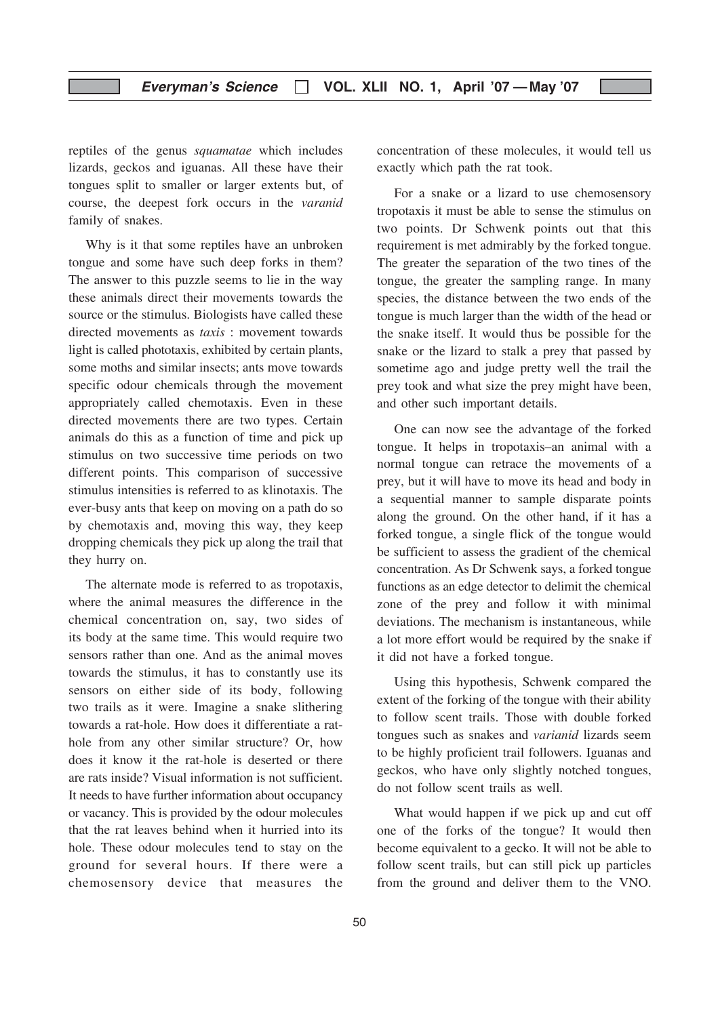reptiles of the genus squamatae which includes lizards, geckos and iguanas. All these have their tongues split to smaller or larger extents but, of course, the deepest fork occurs in the varanid family of snakes.

Why is it that some reptiles have an unbroken tongue and some have such deep forks in them? The answer to this puzzle seems to lie in the way these animals direct their movements towards the source or the stimulus. Biologists have called these directed movements as taxis : movement towards light is called phototaxis, exhibited by certain plants, some moths and similar insects; ants move towards specific odour chemicals through the movement appropriately called chemotaxis. Even in these directed movements there are two types. Certain animals do this as a function of time and pick up stimulus on two successive time periods on two different points. This comparison of successive stimulus intensities is referred to as klinotaxis. The ever-busy ants that keep on moving on a path do so by chemotaxis and, moving this way, they keep dropping chemicals they pick up along the trail that they hurry on.

The alternate mode is referred to as tropotaxis, where the animal measures the difference in the chemical concentration on, say, two sides of its body at the same time. This would require two sensors rather than one. And as the animal moves towards the stimulus, it has to constantly use its sensors on either side of its body, following two trails as it were. Imagine a snake slithering towards a rat-hole. How does it differentiate a rathole from any other similar structure? Or, how does it know it the rat-hole is deserted or there are rats inside? Visual information is not sufficient. It needs to have further information about occupancy or vacancy. This is provided by the odour molecules that the rat leaves behind when it hurried into its hole. These odour molecules tend to stay on the ground for several hours. If there were a chemosensory device that measures the

concentration of these molecules, it would tell us exactly which path the rat took.

For a snake or a lizard to use chemosensory tropotaxis it must be able to sense the stimulus on two points. Dr Schwenk points out that this requirement is met admirably by the forked tongue. The greater the separation of the two tines of the tongue, the greater the sampling range. In many species, the distance between the two ends of the tongue is much larger than the width of the head or the snake itself. It would thus be possible for the snake or the lizard to stalk a prey that passed by sometime ago and judge pretty well the trail the prey took and what size the prey might have been, and other such important details.

One can now see the advantage of the forked tongue. It helps in tropotaxis–an animal with a normal tongue can retrace the movements of a prey, but it will have to move its head and body in a sequential manner to sample disparate points along the ground. On the other hand, if it has a forked tongue, a single flick of the tongue would be sufficient to assess the gradient of the chemical concentration. As Dr Schwenk says, a forked tongue functions as an edge detector to delimit the chemical zone of the prey and follow it with minimal deviations. The mechanism is instantaneous, while a lot more effort would be required by the snake if it did not have a forked tongue.

Using this hypothesis, Schwenk compared the extent of the forking of the tongue with their ability to follow scent trails. Those with double forked tongues such as snakes and varianid lizards seem to be highly proficient trail followers. Iguanas and geckos, who have only slightly notched tongues, do not follow scent trails as well.

What would happen if we pick up and cut off one of the forks of the tongue? It would then become equivalent to a gecko. It will not be able to follow scent trails, but can still pick up particles from the ground and deliver them to the VNO.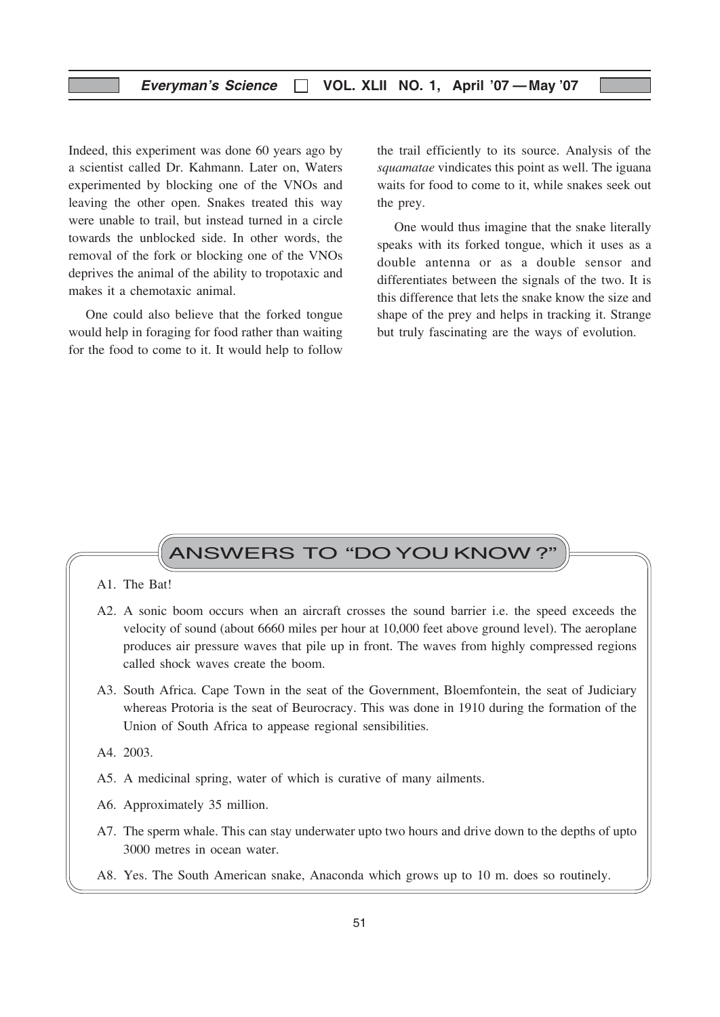Indeed, this experiment was done 60 years ago by a scientist called Dr. Kahmann. Later on, Waters experimented by blocking one of the VNOs and leaving the other open. Snakes treated this way were unable to trail, but instead turned in a circle towards the unblocked side. In other words, the removal of the fork or blocking one of the VNOs deprives the animal of the ability to tropotaxic and makes it a chemotaxic animal.

One could also believe that the forked tongue would help in foraging for food rather than waiting for the food to come to it. It would help to follow the trail efficiently to its source. Analysis of the squamatae vindicates this point as well. The iguana waits for food to come to it, while snakes seek out the prey.

One would thus imagine that the snake literally speaks with its forked tongue, which it uses as a double antenna or as a double sensor and differentiates between the signals of the two. It is this difference that lets the snake know the size and shape of the prey and helps in tracking it. Strange but truly fascinating are the ways of evolution.

# ANSWERS TO "DOYOU KNOW ?"

#### A1. The Bat!

- A2. A sonic boom occurs when an aircraft crosses the sound barrier i.e. the speed exceeds the velocity of sound (about 6660 miles per hour at 10,000 feet above ground level). The aeroplane produces air pressure waves that pile up in front. The waves from highly compressed regions called shock waves create the boom.
- A3. South Africa. Cape Town in the seat of the Government, Bloemfontein, the seat of Judiciary whereas Protoria is the seat of Beurocracy. This was done in 1910 during the formation of the Union of South Africa to appease regional sensibilities.

A4. 2003.

- A5. A medicinal spring, water of which is curative of many ailments.
- A6. Approximately 35 million.
- A7. The sperm whale. This can stay underwater upto two hours and drive down to the depths of upto 3000 metres in ocean water.
- A8. Yes. The South American snake, Anaconda which grows up to 10 m. does so routinely.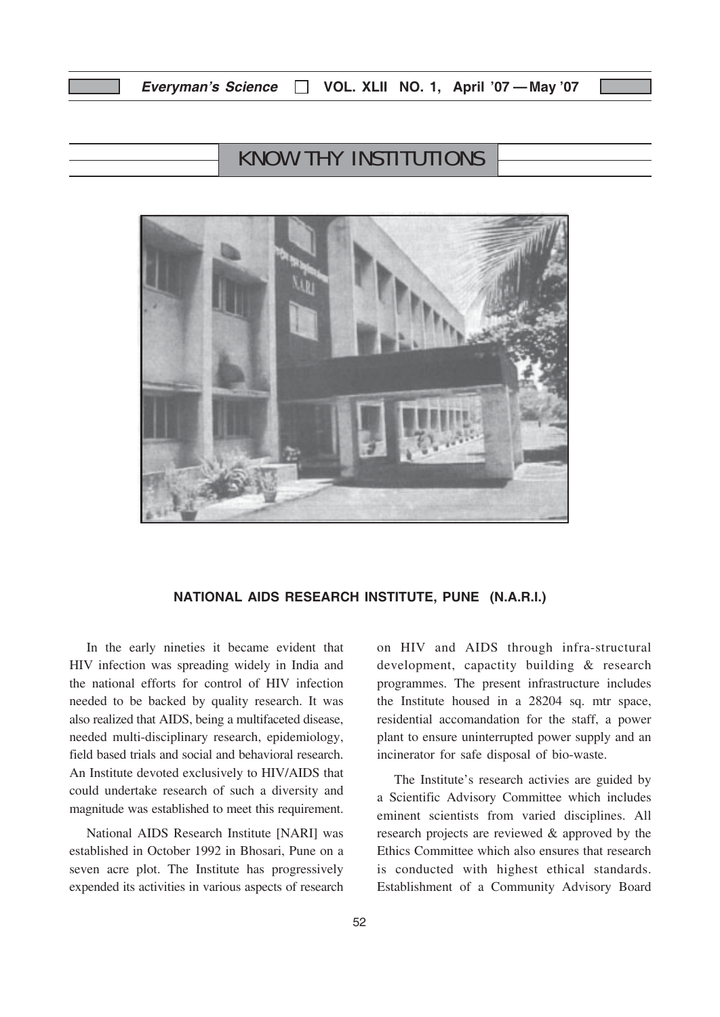# KNOW THY INSTITUTIONS



#### NATIONAL AIDS RESEARCH INSTITUTE, PUNE (N.A.R.I.)

In the early nineties it became evident that HIV infection was spreading widely in India and the national efforts for control of HIV infection needed to be backed by quality research. It was also realized that AIDS, being a multifaceted disease, needed multi-disciplinary research, epidemiology, field based trials and social and behavioral research. An Institute devoted exclusively to HIV/AIDS that could undertake research of such a diversity and magnitude was established to meet this requirement.

National AIDS Research Institute [NARI] was established in October 1992 in Bhosari, Pune on a seven acre plot. The Institute has progressively expended its activities in various aspects of research on HIV and AIDS through infra-structural development, capactity building & research programmes. The present infrastructure includes the Institute housed in a 28204 sq. mtr space, residential accomandation for the staff, a power plant to ensure uninterrupted power supply and an incinerator for safe disposal of bio-waste.

The Institute's research activies are guided by a Scientific Advisory Committee which includes eminent scientists from varied disciplines. All research projects are reviewed & approved by the Ethics Committee which also ensures that research is conducted with highest ethical standards. Establishment of a Community Advisory Board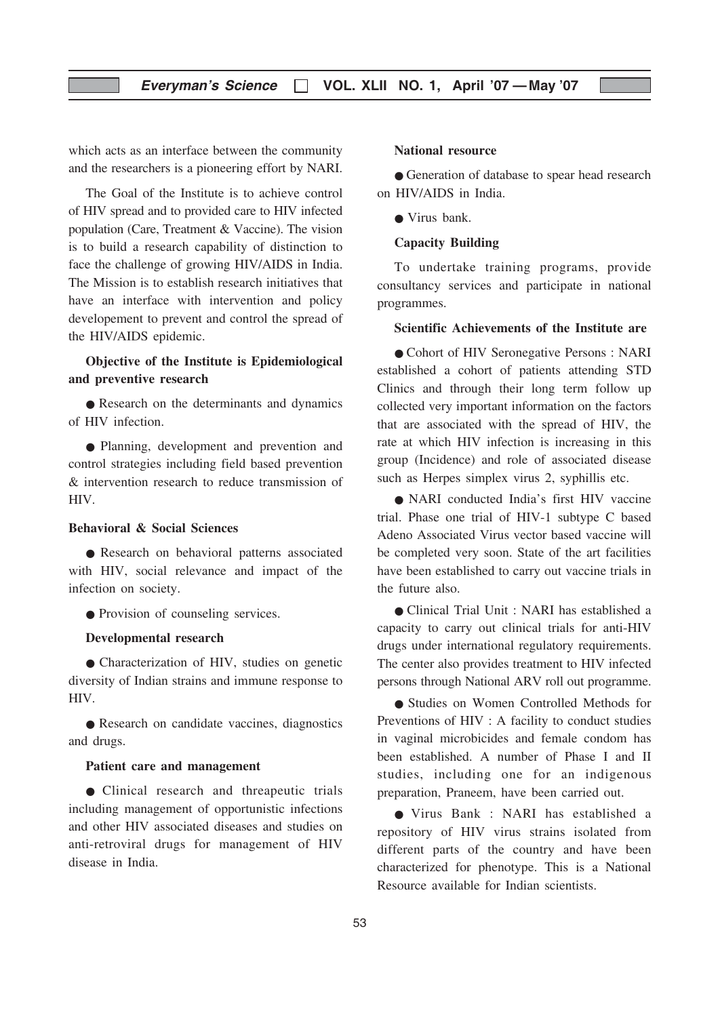which acts as an interface between the community and the researchers is a pioneering effort by NARI.

The Goal of the Institute is to achieve control of HIV spread and to provided care to HIV infected population (Care, Treatment & Vaccine). The vision is to build a research capability of distinction to face the challenge of growing HIV/AIDS in India. The Mission is to establish research initiatives that have an interface with intervention and policy developement to prevent and control the spread of the HIV/AIDS epidemic.

#### Objective of the Institute is Epidemiological and preventive research

• Research on the determinants and dynamics of HIV infection.

● Planning, development and prevention and control strategies including field based prevention & intervention research to reduce transmission of HIV.

#### Behavioral & Social Sciences

● Research on behavioral patterns associated with HIV, social relevance and impact of the infection on society.

● Provision of counseling services.

#### Developmental research

● Characterization of HIV, studies on genetic diversity of Indian strains and immune response to HIV.

● Research on candidate vaccines, diagnostics and drugs.

#### Patient care and management

● Clinical research and threapeutic trials including management of opportunistic infections and other HIV associated diseases and studies on anti-retroviral drugs for management of HIV disease in India.

#### National resource

● Generation of database to spear head research on HIV/AIDS in India.

● Virus bank.

#### Capacity Building

To undertake training programs, provide consultancy services and participate in national programmes.

#### Scientific Achievements of the Institute are

● Cohort of HIV Seronegative Persons : NARI established a cohort of patients attending STD Clinics and through their long term follow up collected very important information on the factors that are associated with the spread of HIV, the rate at which HIV infection is increasing in this group (Incidence) and role of associated disease such as Herpes simplex virus 2, syphillis etc.

● NARI conducted India's first HIV vaccine trial. Phase one trial of HIV-1 subtype C based Adeno Associated Virus vector based vaccine will be completed very soon. State of the art facilities have been established to carry out vaccine trials in the future also.

● Clinical Trial Unit : NARI has established a capacity to carry out clinical trials for anti-HIV drugs under international regulatory requirements. The center also provides treatment to HIV infected persons through National ARV roll out programme.

● Studies on Women Controlled Methods for Preventions of HIV : A facility to conduct studies in vaginal microbicides and female condom has been established. A number of Phase I and II studies, including one for an indigenous preparation, Praneem, have been carried out.

● Virus Bank : NARI has established a repository of HIV virus strains isolated from different parts of the country and have been characterized for phenotype. This is a National Resource available for Indian scientists.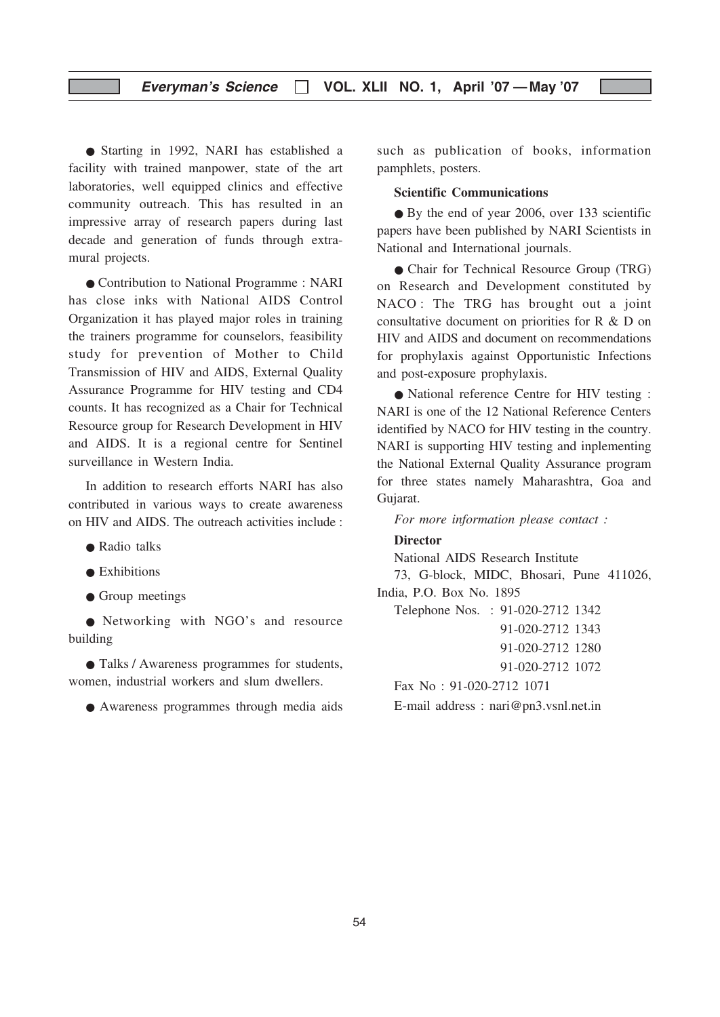#### Everyman's Science  $\Box$  VOL. XLII NO. 1, April '07 — May '07

● Starting in 1992, NARI has established a facility with trained manpower, state of the art laboratories, well equipped clinics and effective community outreach. This has resulted in an impressive array of research papers during last decade and generation of funds through extramural projects.

● Contribution to National Programme : NARI has close inks with National AIDS Control Organization it has played major roles in training the trainers programme for counselors, feasibility study for prevention of Mother to Child Transmission of HIV and AIDS, External Quality Assurance Programme for HIV testing and CD4 counts. It has recognized as a Chair for Technical Resource group for Research Development in HIV and AIDS. It is a regional centre for Sentinel surveillance in Western India.

In addition to research efforts NARI has also contributed in various ways to create awareness on HIV and AIDS. The outreach activities include :

- Radio talks
- $\bullet$  Exhibitions
- Group meetings

● Networking with NGO's and resource building

● Talks / Awareness programmes for students, women, industrial workers and slum dwellers.

● Awareness programmes through media aids

such as publication of books, information pamphlets, posters.

#### Scientific Communications

● By the end of year 2006, over 133 scientific papers have been published by NARI Scientists in National and International journals.

● Chair for Technical Resource Group (TRG) on Research and Development constituted by NACO : The TRG has brought out a joint consultative document on priorities for R & D on HIV and AIDS and document on recommendations for prophylaxis against Opportunistic Infections and post-exposure prophylaxis.

● National reference Centre for HIV testing : NARI is one of the 12 National Reference Centers identified by NACO for HIV testing in the country. NARI is supporting HIV testing and inplementing the National External Quality Assurance program for three states namely Maharashtra, Goa and Gujarat.

For more information please contact :

#### **Director**

National AIDS Research Institute

73, G-block, MIDC, Bhosari, Pune 411026, India, P.O. Box No. 1895

Telephone Nos. : 91-020-2712 1342 91-020-2712 1343

91-020-2712 1280

91-020-2712 1072

Fax No : 91-020-2712 1071

E-mail address : nari@pn3.vsnl.net.in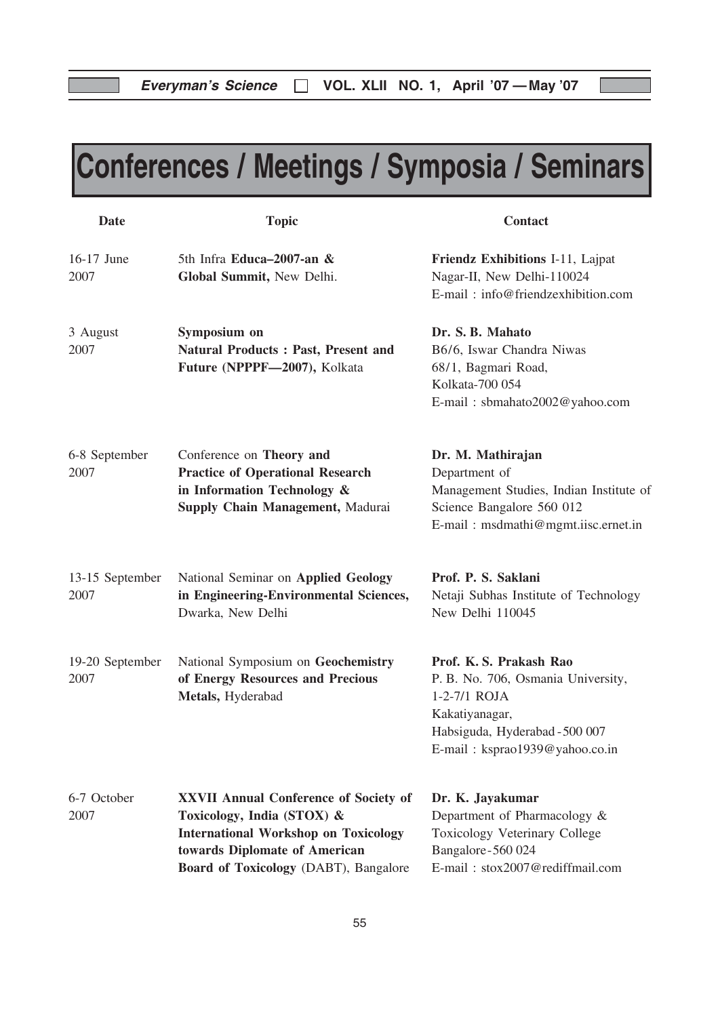# Conferences / Meetings / Symposia / Seminars

| <b>Date</b>             | <b>Topic</b>                                                                                                                                                                                        | <b>Contact</b>                                                                                                                                                      |
|-------------------------|-----------------------------------------------------------------------------------------------------------------------------------------------------------------------------------------------------|---------------------------------------------------------------------------------------------------------------------------------------------------------------------|
| 16-17 June<br>2007      | 5th Infra Educa-2007-an &<br>Global Summit, New Delhi.                                                                                                                                              | Friendz Exhibitions I-11, Lajpat<br>Nagar-II, New Delhi-110024<br>E-mail: info@friendzexhibition.com                                                                |
| 3 August<br>2007        | Symposium on<br><b>Natural Products: Past, Present and</b><br>Future (NPPPF-2007), Kolkata                                                                                                          | Dr. S. B. Mahato<br>B6/6, Iswar Chandra Niwas<br>68/1, Bagmari Road,<br>Kolkata-700 054<br>E-mail: sbmahato2002@yahoo.com                                           |
| 6-8 September<br>2007   | Conference on Theory and<br><b>Practice of Operational Research</b><br>in Information Technology &<br>Supply Chain Management, Madurai                                                              | Dr. M. Mathirajan<br>Department of<br>Management Studies, Indian Institute of<br>Science Bangalore 560 012<br>E-mail: msdmathi@mgmt.iisc.ernet.in                   |
| 13-15 September<br>2007 | National Seminar on Applied Geology<br>in Engineering-Environmental Sciences,<br>Dwarka, New Delhi                                                                                                  | Prof. P. S. Saklani<br>Netaji Subhas Institute of Technology<br>New Delhi 110045                                                                                    |
| 19-20 September<br>2007 | National Symposium on Geochemistry<br>of Energy Resources and Precious<br>Metals, Hyderabad                                                                                                         | Prof. K. S. Prakash Rao<br>P. B. No. 706, Osmania University,<br>1-2-7/1 ROJA<br>Kakatiyanagar,<br>Habsiguda, Hyderabad - 500 007<br>E-mail: ksprao1939@yahoo.co.in |
| 6-7 October<br>2007     | <b>XXVII Annual Conference of Society of</b><br>Toxicology, India (STOX) &<br><b>International Workshop on Toxicology</b><br>towards Diplomate of American<br>Board of Toxicology (DABT), Bangalore | Dr. K. Jayakumar<br>Department of Pharmacology &<br>Toxicology Veterinary College<br>Bangalore-560 024<br>E-mail: stox2007@rediffmail.com                           |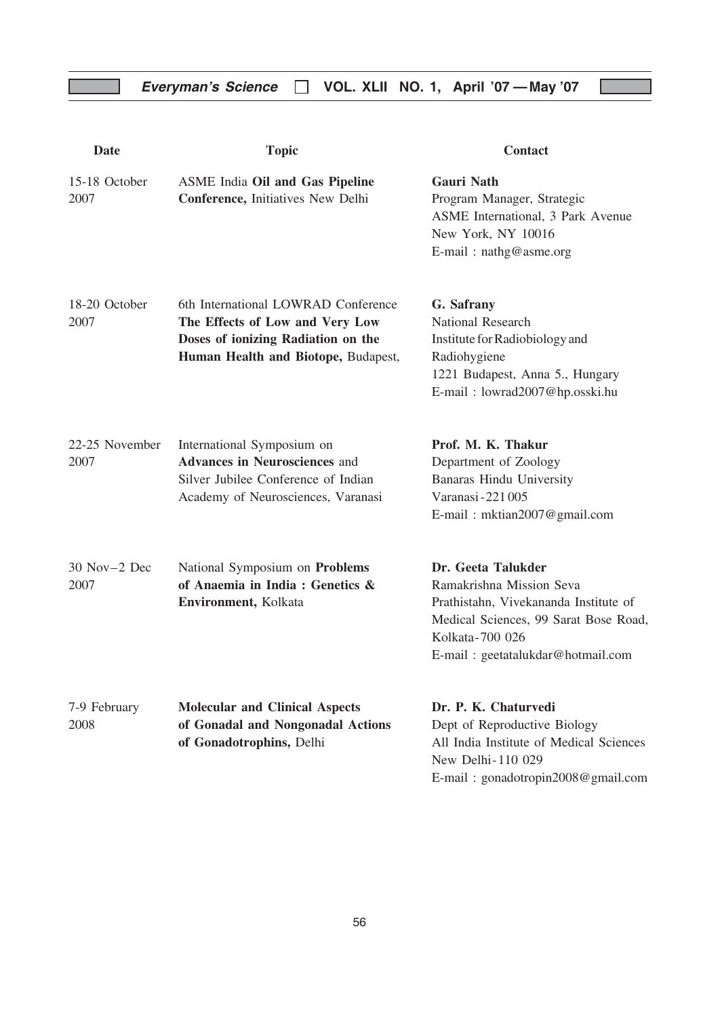| <b>Date</b>               | <b>Topic</b>                                                                                                                                        | <b>Contact</b>                                                                                                                                                                           |
|---------------------------|-----------------------------------------------------------------------------------------------------------------------------------------------------|------------------------------------------------------------------------------------------------------------------------------------------------------------------------------------------|
| 15-18 October<br>2007     | <b>ASME India Oil and Gas Pipeline</b><br><b>Conference, Initiatives New Delhi</b>                                                                  | <b>Gauri Nath</b><br>Program Manager, Strategic<br>ASME International, 3 Park Avenue<br>New York, NY 10016<br>E-mail: nathg@asme.org                                                     |
| 18-20 October<br>2007     | 6th International LOWRAD Conference<br>The Effects of Low and Very Low<br>Doses of ionizing Radiation on the<br>Human Health and Biotope, Budapest, | G. Safrany<br><b>National Research</b><br>Institute for Radiobiology and<br>Radiohygiene<br>1221 Budapest, Anna 5., Hungary<br>E-mail: lowrad2007@hp.osski.hu                            |
| 22-25 November<br>2007    | International Symposium on<br><b>Advances in Neurosciences and</b><br>Silver Jubilee Conference of Indian<br>Academy of Neurosciences, Varanasi     | Prof. M. K. Thakur<br>Department of Zoology<br>Banaras Hindu University<br>Varanasi - 221 005<br>E-mail: mktian2007@gmail.com                                                            |
| $30$ Nov $-2$ Dec<br>2007 | National Symposium on Problems<br>of Anaemia in India: Genetics &<br>Environment, Kolkata                                                           | Dr. Geeta Talukder<br>Ramakrishna Mission Seva<br>Prathistahn, Vivekananda Institute of<br>Medical Sciences, 99 Sarat Bose Road,<br>Kolkata-700 026<br>E-mail: geetatalukdar@hotmail.com |
| 7-9 February<br>2008      | <b>Molecular and Clinical Aspects</b><br>of Gonadal and Nongonadal Actions<br>of Gonadotrophins, Delhi                                              | Dr. P. K. Chaturvedi<br>Dept of Reproductive Biology<br>All India Institute of Medical Sciences<br>New Delhi-110 029<br>E-mail: gonadotropin2008@gmail.com                               |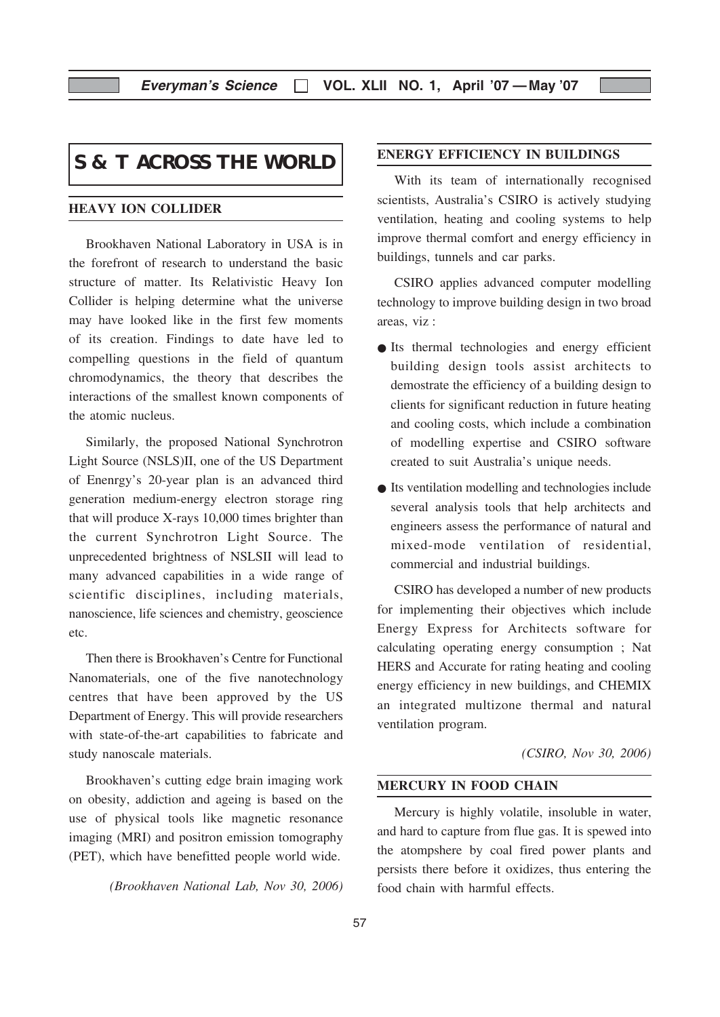Everyman's Science  $\Box$  VOL. XLII NO. 1, April '07 — May '07

# **S & T ACROSS THE WORLD**

#### HEAVY ION COLLIDER

Brookhaven National Laboratory in USA is in the forefront of research to understand the basic structure of matter. Its Relativistic Heavy Ion Collider is helping determine what the universe may have looked like in the first few moments of its creation. Findings to date have led to compelling questions in the field of quantum chromodynamics, the theory that describes the interactions of the smallest known components of the atomic nucleus.

Similarly, the proposed National Synchrotron Light Source (NSLS)II, one of the US Department of Enenrgy's 20-year plan is an advanced third generation medium-energy electron storage ring that will produce X-rays 10,000 times brighter than the current Synchrotron Light Source. The unprecedented brightness of NSLSII will lead to many advanced capabilities in a wide range of scientific disciplines, including materials, nanoscience, life sciences and chemistry, geoscience etc.

Then there is Brookhaven's Centre for Functional Nanomaterials, one of the five nanotechnology centres that have been approved by the US Department of Energy. This will provide researchers with state-of-the-art capabilities to fabricate and study nanoscale materials.

Brookhaven's cutting edge brain imaging work on obesity, addiction and ageing is based on the use of physical tools like magnetic resonance imaging (MRI) and positron emission tomography (PET), which have benefitted people world wide.

(Brookhaven National Lab, Nov 30, 2006)

#### ENERGY EFFICIENCY IN BUILDINGS

With its team of internationally recognised scientists, Australia's CSIRO is actively studying ventilation, heating and cooling systems to help improve thermal comfort and energy efficiency in buildings, tunnels and car parks.

CSIRO applies advanced computer modelling technology to improve building design in two broad areas, viz :

- Its thermal technologies and energy efficient building design tools assist architects to demostrate the efficiency of a building design to clients for significant reduction in future heating and cooling costs, which include a combination of modelling expertise and CSIRO software created to suit Australia's unique needs.
- Its ventilation modelling and technologies include several analysis tools that help architects and engineers assess the performance of natural and mixed-mode ventilation of residential, commercial and industrial buildings.

CSIRO has developed a number of new products for implementing their objectives which include Energy Express for Architects software for calculating operating energy consumption ; Nat HERS and Accurate for rating heating and cooling energy efficiency in new buildings, and CHEMIX an integrated multizone thermal and natural ventilation program.

(CSIRO, Nov 30, 2006)

#### MERCURY IN FOOD CHAIN

Mercury is highly volatile, insoluble in water, and hard to capture from flue gas. It is spewed into the atompshere by coal fired power plants and persists there before it oxidizes, thus entering the food chain with harmful effects.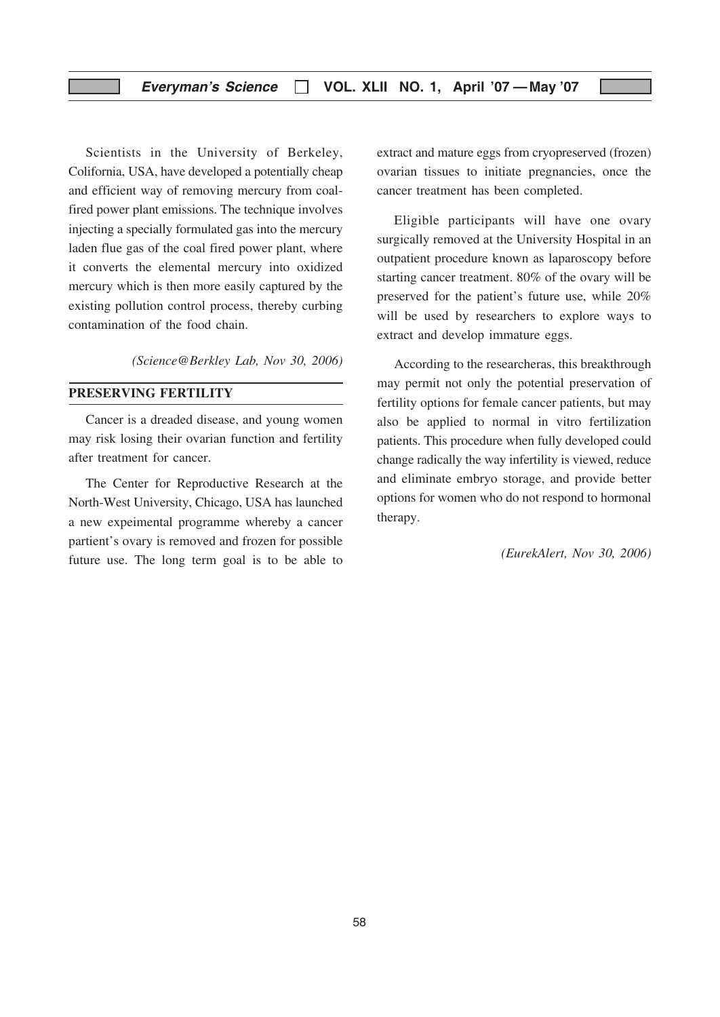Scientists in the University of Berkeley, Colifornia, USA, have developed a potentially cheap and efficient way of removing mercury from coalfired power plant emissions. The technique involves injecting a specially formulated gas into the mercury laden flue gas of the coal fired power plant, where it converts the elemental mercury into oxidized mercury which is then more easily captured by the existing pollution control process, thereby curbing contamination of the food chain.

(Science@Berkley Lab, Nov 30, 2006)

#### PRESERVING FERTILITY

Cancer is a dreaded disease, and young women may risk losing their ovarian function and fertility after treatment for cancer.

The Center for Reproductive Research at the North-West University, Chicago, USA has launched a new expeimental programme whereby a cancer partient's ovary is removed and frozen for possible future use. The long term goal is to be able to

extract and mature eggs from cryopreserved (frozen) ovarian tissues to initiate pregnancies, once the cancer treatment has been completed.

Eligible participants will have one ovary surgically removed at the University Hospital in an outpatient procedure known as laparoscopy before starting cancer treatment. 80% of the ovary will be preserved for the patient's future use, while 20% will be used by researchers to explore ways to extract and develop immature eggs.

According to the researcheras, this breakthrough may permit not only the potential preservation of fertility options for female cancer patients, but may also be applied to normal in vitro fertilization patients. This procedure when fully developed could change radically the way infertility is viewed, reduce and eliminate embryo storage, and provide better options for women who do not respond to hormonal therapy.

(EurekAlert, Nov 30, 2006)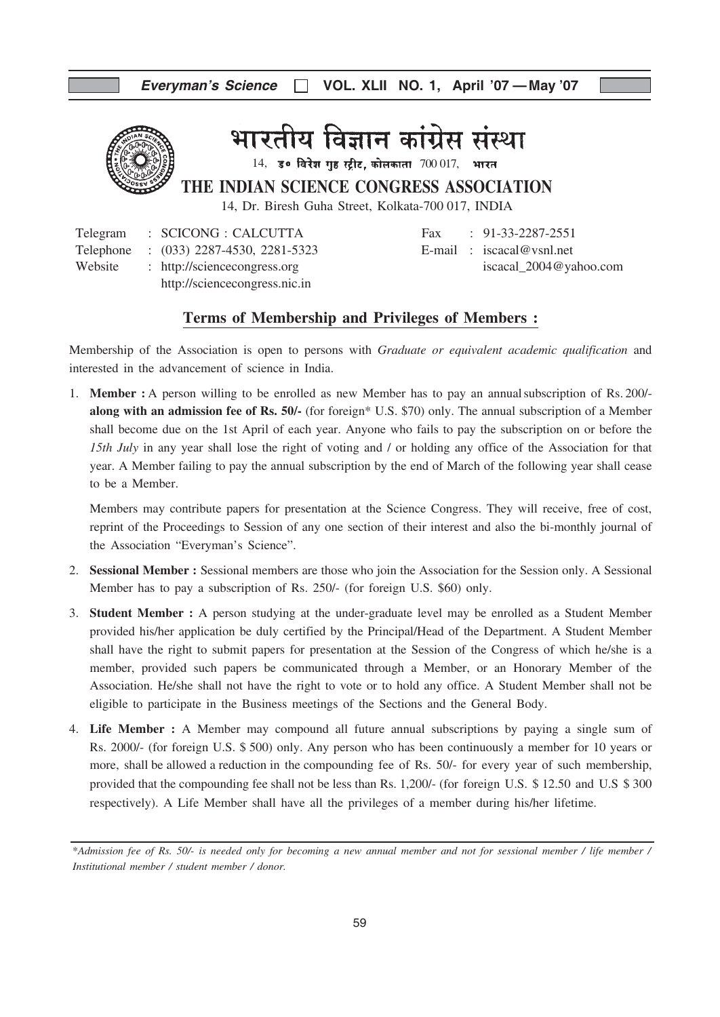

भारतीय विज्ञान कांग्रेस संस्था

 $14$ , उ० विरेश गुह स्ट्रीट, कोलकाता  $700017$ , भारत

THE INDIAN SCIENCE CONGRESS ASSOCIATION

14, Dr. Biresh Guha Street, Kolkata-700 017, INDIA

|         | Telegram : SCICONG : CALCUTTA          | Fax: $91-33-2287-2551$     |
|---------|----------------------------------------|----------------------------|
|         | Telephone : (033) 2287-4530, 2281-5323 | E-mail: $iscacal@vsnl.net$ |
| Website | : http://sciencecongress.org           | iscacal_2004@yahoo.com     |
|         | http://sciencecongress.nic.in          |                            |

| rax | $\left[ \frac{91-33-2281-2331}{20} \right]$ |
|-----|---------------------------------------------|
|     | E-mail : $iscacal@vsnl.net$                 |
|     | iscacal_ $2004@$ yahoo.com                  |

#### Terms of Membership and Privileges of Members :

Membership of the Association is open to persons with *Graduate or equivalent academic qualification* and interested in the advancement of science in India.

1. Member : A person willing to be enrolled as new Member has to pay an annualsubscription of Rs. 200/ along with an admission fee of Rs. 50/- (for foreign\* U.S. \$70) only. The annual subscription of a Member shall become due on the 1st April of each year. Anyone who fails to pay the subscription on or before the 15th July in any year shall lose the right of voting and / or holding any office of the Association for that year. A Member failing to pay the annual subscription by the end of March of the following year shall cease to be a Member.

Members may contribute papers for presentation at the Science Congress. They will receive, free of cost, reprint of the Proceedings to Session of any one section of their interest and also the bi-monthly journal of the Association "Everyman's Science".

- 2. Sessional Member : Sessional members are those who join the Association for the Session only. A Sessional Member has to pay a subscription of Rs. 250/- (for foreign U.S. \$60) only.
- 3. Student Member : A person studying at the under-graduate level may be enrolled as a Student Member provided his/her application be duly certified by the Principal/Head of the Department. A Student Member shall have the right to submit papers for presentation at the Session of the Congress of which he/she is a member, provided such papers be communicated through a Member, or an Honorary Member of the Association. He/she shall not have the right to vote or to hold any office. A Student Member shall not be eligible to participate in the Business meetings of the Sections and the General Body.
- 4. Life Member : A Member may compound all future annual subscriptions by paying a single sum of Rs. 2000/- (for foreign U.S. \$ 500) only. Any person who has been continuously a member for 10 years or more, shall be allowed a reduction in the compounding fee of Rs. 50/- for every year of such membership, provided that the compounding fee shall not be less than Rs. 1,200/- (for foreign U.S. \$ 12.50 and U.S \$ 300 respectively). A Life Member shall have all the privileges of a member during his/her lifetime.

<sup>\*</sup>Admission fee of Rs. 50/- is needed only for becoming a new annual member and not for sessional member / life member / Institutional member / student member / donor.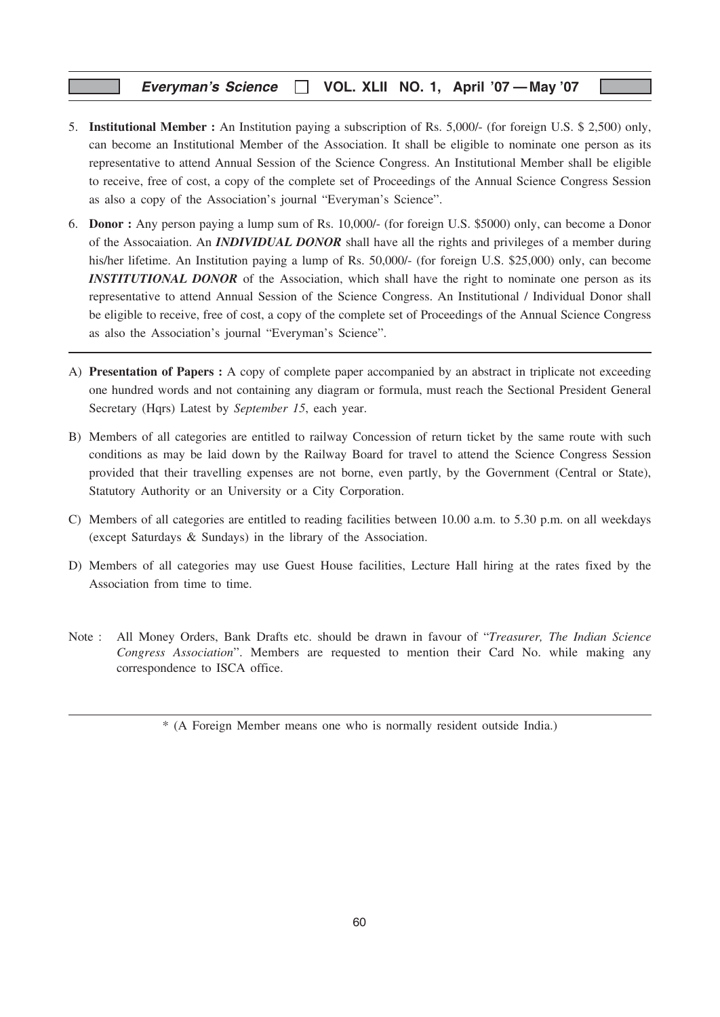#### Everyman's Science □ VOL. XLII NO. 1, April '07 - May '07

- 5. Institutional Member : An Institution paying a subscription of Rs. 5,000/- (for foreign U.S. \$ 2,500) only, can become an Institutional Member of the Association. It shall be eligible to nominate one person as its representative to attend Annual Session of the Science Congress. An Institutional Member shall be eligible to receive, free of cost, a copy of the complete set of Proceedings of the Annual Science Congress Session as also a copy of the Association's journal "Everyman's Science".
- 6. Donor : Any person paying a lump sum of Rs. 10,000/- (for foreign U.S. \$5000) only, can become a Donor of the Assocaiation. An **INDIVIDUAL DONOR** shall have all the rights and privileges of a member during his/her lifetime. An Institution paying a lump of Rs. 50,000/- (for foreign U.S. \$25,000) only, can become **INSTITUTIONAL DONOR** of the Association, which shall have the right to nominate one person as its representative to attend Annual Session of the Science Congress. An Institutional / Individual Donor shall be eligible to receive, free of cost, a copy of the complete set of Proceedings of the Annual Science Congress as also the Association's journal "Everyman's Science".
- A) Presentation of Papers : A copy of complete paper accompanied by an abstract in triplicate not exceeding one hundred words and not containing any diagram or formula, must reach the Sectional President General Secretary (Hqrs) Latest by September 15, each year.
- B) Members of all categories are entitled to railway Concession of return ticket by the same route with such conditions as may be laid down by the Railway Board for travel to attend the Science Congress Session provided that their travelling expenses are not borne, even partly, by the Government (Central or State), Statutory Authority or an University or a City Corporation.
- C) Members of all categories are entitled to reading facilities between 10.00 a.m. to 5.30 p.m. on all weekdays (except Saturdays & Sundays) in the library of the Association.
- D) Members of all categories may use Guest House facilities, Lecture Hall hiring at the rates fixed by the Association from time to time.
- Note : All Money Orders, Bank Drafts etc. should be drawn in favour of "Treasurer, The Indian Science" Congress Association". Members are requested to mention their Card No. while making any correspondence to ISCA office.

<sup>\* (</sup>A Foreign Member means one who is normally resident outside India.)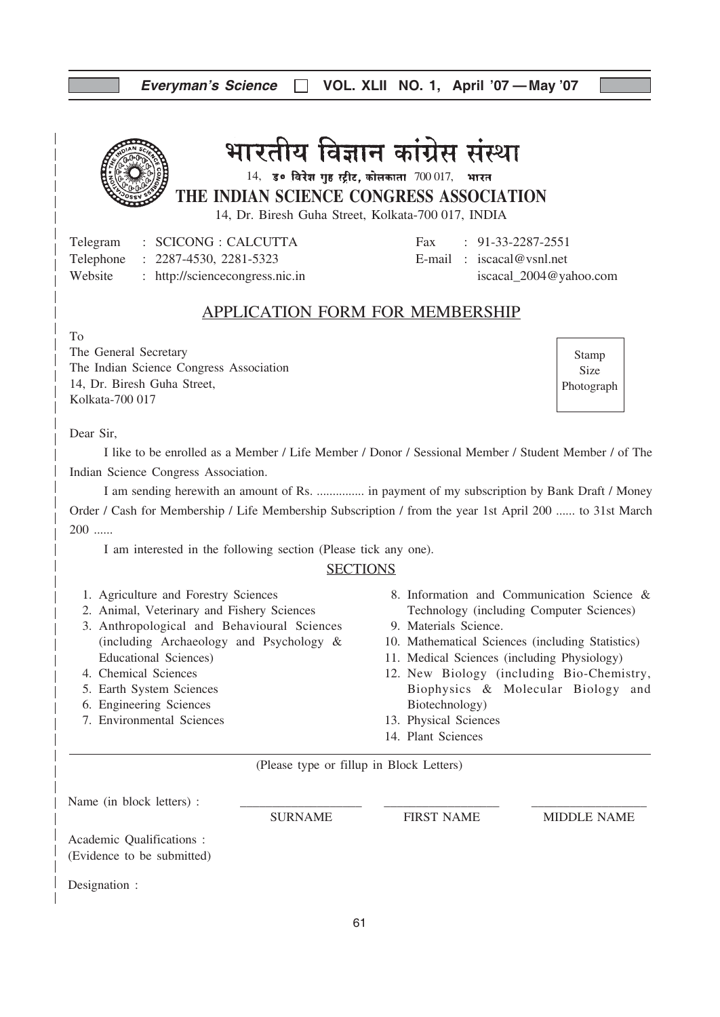| Everyman's Science [   VOL. XLII NO. 1, April '07 - May '07 |  |  |  |  |  |
|-------------------------------------------------------------|--|--|--|--|--|
|-------------------------------------------------------------|--|--|--|--|--|

# भारतीय विज्ञान कांग्रेस संस्था

 $14$ , उ० विरेश गृह स्ट्रीट, कोलकाता  $700017$ , भारत

THE INDIAN SCIENCE CONGRESS ASSOCIATION

14, Dr. Biresh Guha Street, Kolkata-700 017, INDIA

Telegram : SCICONG : CALCUTTA Fax : 91-33-2287-2551 Telephone : 2287-4530, 2281-5323 E-mail : iscacal@vsnl.net Website : http://sciencecongress.nic.in iscacal\_2004@yahoo.com

#### APPLICATION FORM FOR MEMBERSHIP

To

The General Secretary The Indian Science Congress Association 14, Dr. Biresh Guha Street, Kolkata-700 017

Stamp Size Photograph

Dear Sir,

I like to be enrolled as a Member / Life Member / Donor / Sessional Member / Student Member / of The Indian Science Congress Association.

I am sending herewith an amount of Rs. ............... in payment of my subscription by Bank Draft / Money Order / Cash for Membership / Life Membership Subscription / from the year 1st April 200 ...... to 31st March 200 ......

I am interested in the following section (Please tick any one).

#### **SECTIONS**

- 1. Agriculture and Forestry Sciences
- 2. Animal, Veterinary and Fishery Sciences
- 3. Anthropological and Behavioural Sciences (including Archaeology and Psychology & Educational Sciences)
- 4. Chemical Sciences
- 5. Earth System Sciences
- 6. Engineering Sciences
- 7. Environmental Sciences
- 8. Information and Communication Science & Technology (including Computer Sciences)
- 9. Materials Science.
- 10. Mathematical Sciences (including Statistics)
- 11. Medical Sciences (including Physiology)
- 12. New Biology (including Bio-Chemistry, Biophysics & Molecular Biology and Biotechnology)
- 13. Physical Sciences
- 14. Plant Sciences

(Please type or fillup in Block Letters)

| Name (in block letters) :                               |                |                   |                    |
|---------------------------------------------------------|----------------|-------------------|--------------------|
|                                                         | <b>SURNAME</b> | <b>FIRST NAME</b> | <b>MIDDLE NAME</b> |
| Academic Qualifications :<br>(Evidence to be submitted) |                |                   |                    |
| Designation :                                           |                |                   |                    |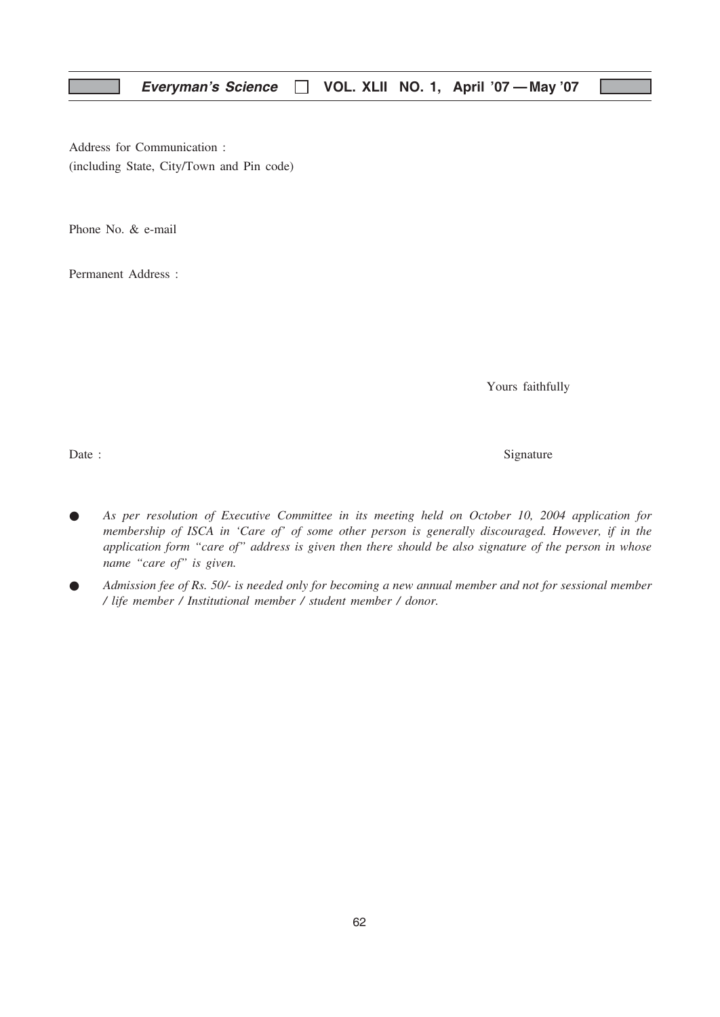Address for Communication : (including State, City/Town and Pin code)

Phone No. & e-mail

Permanent Address :

Yours faithfully

Date : Signature  $\sum_{n=1}^{\infty}$  Signature

- As per resolution of Executive Committee in its meeting held on October 10, 2004 application for membership of ISCA in 'Care of' of some other person is generally discouraged. However, if in the application form "care of" address is given then there should be also signature of the person in whose name "care of" is given.
- Admission fee of Rs. 50/- is needed only for becoming a new annual member and not for sessional member / life member / Institutional member / student member / donor.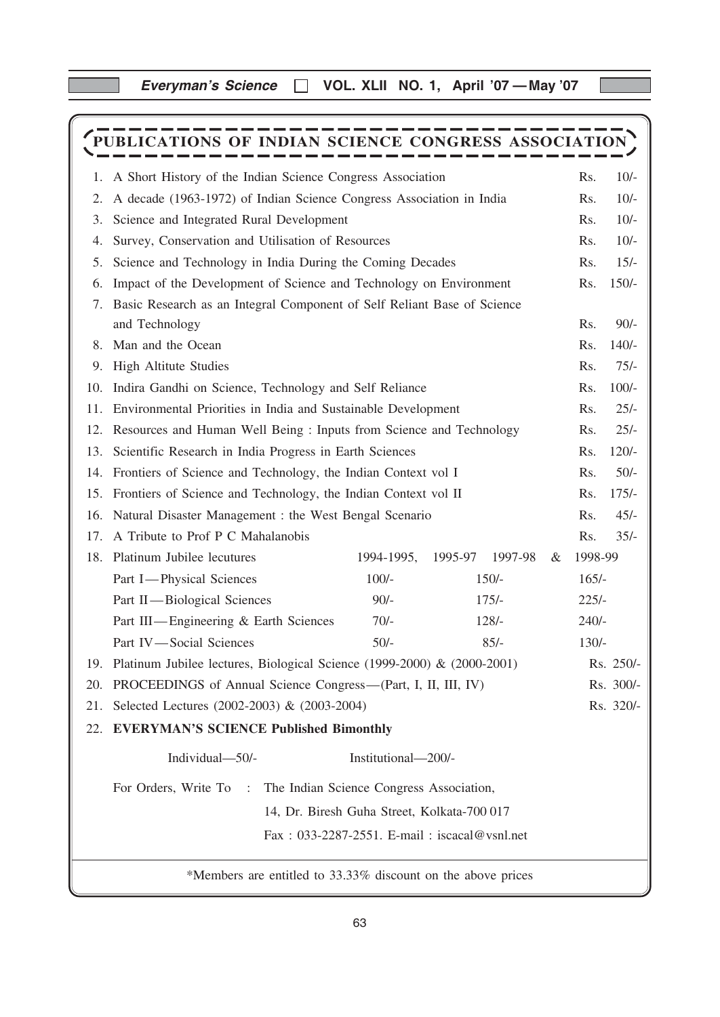Everyman's Science □ VOL. XLII NO. 1, April '07 - May '07

# PUBLICATIONS OF INDIAN SCIENCE CONGRESS ASSOCIATION

| 1.  | A Short History of the Indian Science Congress Association                  |                     |                                              |   | Rs.     | $10/-$    |
|-----|-----------------------------------------------------------------------------|---------------------|----------------------------------------------|---|---------|-----------|
| 2.  | A decade (1963-1972) of Indian Science Congress Association in India        |                     |                                              |   |         | $10/-$    |
| 3.  | Science and Integrated Rural Development                                    |                     |                                              |   |         | $10/-$    |
| 4.  | Survey, Conservation and Utilisation of Resources                           |                     |                                              |   | Rs.     | $10/-$    |
| 5.  | Science and Technology in India During the Coming Decades                   |                     |                                              |   | Rs.     | $15/-$    |
| 6.  | Impact of the Development of Science and Technology on Environment          |                     |                                              |   | Rs.     | $150/-$   |
| 7.  | Basic Research as an Integral Component of Self Reliant Base of Science     |                     |                                              |   |         |           |
|     | and Technology                                                              |                     |                                              |   | Rs.     | $90/-$    |
|     | 8. Man and the Ocean                                                        |                     |                                              |   | Rs.     | $140/-$   |
| 9.  | <b>High Altitute Studies</b>                                                |                     |                                              |   | Rs.     | $75/-$    |
| 10. | Indira Gandhi on Science, Technology and Self Reliance                      |                     |                                              |   | Rs.     | $100/-$   |
| 11. | Environmental Priorities in India and Sustainable Development               |                     |                                              |   | Rs.     | $25/-$    |
| 12. | Resources and Human Well Being: Inputs from Science and Technology          |                     |                                              |   | Rs.     | $25/-$    |
| 13. | Scientific Research in India Progress in Earth Sciences                     |                     |                                              |   |         | $120/-$   |
| 14. | Frontiers of Science and Technology, the Indian Context vol I               |                     |                                              |   |         | $50/-$    |
| 15. | Frontiers of Science and Technology, the Indian Context vol II              |                     |                                              |   | Rs.     | $175/-$   |
| 16. | Natural Disaster Management : the West Bengal Scenario                      |                     |                                              |   |         | $45/-$    |
| 17. | A Tribute to Prof P C Mahalanobis                                           |                     |                                              |   | Rs.     | $35/-$    |
|     | 18. Platinum Jubilee lecutures                                              | 1994-1995,          | 1995-97<br>1997-98                           | & | 1998-99 |           |
|     | Part I-Physical Sciences                                                    | $100/-$             | $150/-$                                      |   | $165/-$ |           |
|     | Part II—Biological Sciences                                                 | $90/-$              | $175/-$                                      |   | $225/-$ |           |
|     | Part III—Engineering & Earth Sciences                                       | $70/-$              | $128/-$                                      |   | $240/-$ |           |
|     | Part IV-Social Sciences                                                     | $50/-$              | $85/-$                                       |   | $130/-$ |           |
|     | 19. Platinum Jubilee lectures, Biological Science (1999-2000) & (2000-2001) |                     |                                              |   |         | Rs. 250/- |
|     | 20. PROCEEDINGS of Annual Science Congress—(Part, I, II, III, IV)           |                     |                                              |   |         | Rs. 300/- |
|     | 21. Selected Lectures (2002-2003) & (2003-2004)                             |                     |                                              |   |         | Rs. 320/- |
|     | 22. EVERYMAN'S SCIENCE Published Bimonthly                                  |                     |                                              |   |         |           |
|     | Individual-50/-                                                             | Institutional-200/- |                                              |   |         |           |
|     | For Orders, Write To :<br>The Indian Science Congress Association,          |                     |                                              |   |         |           |
|     | 14, Dr. Biresh Guha Street, Kolkata-700 017                                 |                     |                                              |   |         |           |
|     |                                                                             |                     | Fax: 033-2287-2551. E-mail: iscacal@vsnl.net |   |         |           |
|     |                                                                             |                     |                                              |   |         |           |
|     | *Members are entitled to 33.33% discount on the above prices                |                     |                                              |   |         |           |